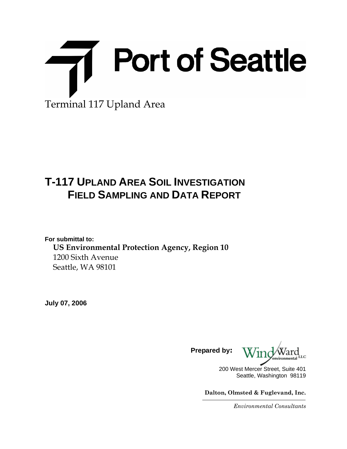

# **T-117 UPLAND AREA SOIL INVESTIGATION FIELD SAMPLING AND DATA REPORT**

**For submittal to: US Environmental Protection Agency, Region 10**  1200 Sixth Avenue Seattle, WA 98101

**July 07, 2006** 

**Prep ared by:** 

200 West Mercer Street, Suite 401 Seattle, Washington 98119

**Dalton, Olmsted & Fuglevand, Inc.** 

*Environmental Consultants*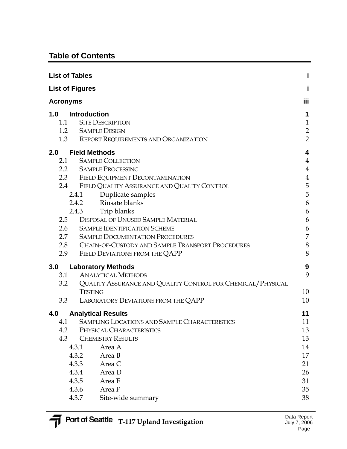# **Table of Contents**

| iii                                                                                                                                                                                |
|------------------------------------------------------------------------------------------------------------------------------------------------------------------------------------|
| 1<br>$\mathbf 1$<br>$\overline{2}$<br>$\overline{2}$                                                                                                                               |
| 4                                                                                                                                                                                  |
| $\overline{4}$<br>$\overline{4}$<br>$\overline{4}$<br>5<br>5<br>6<br>6<br>6<br>6<br>7<br>8<br>8<br>9<br>9<br>3.2 QUALITY ASSURANCE AND QUALITY CONTROL FOR CHEMICAL/PHYSICAL<br>10 |
| 10                                                                                                                                                                                 |
| 11<br>11<br>13<br>13<br>14<br>17<br>21<br>26<br>31<br>35<br>38                                                                                                                     |
|                                                                                                                                                                                    |

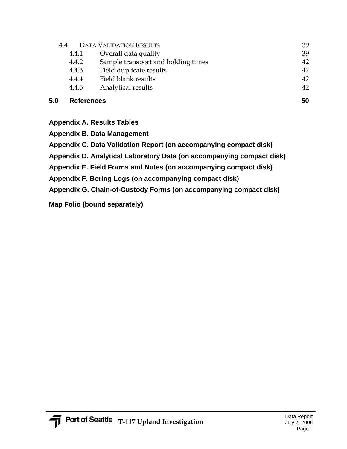| 5.0 | <b>References</b> |                                    | 50 |
|-----|-------------------|------------------------------------|----|
|     | 4.4.5             | Analytical results                 | 42 |
|     | 4.4.4             | Field blank results                | 42 |
|     | 4.4.3             | Field duplicate results            | 42 |
|     | 4.4.2             | Sample transport and holding times | 42 |
|     | 4.4.1             | Overall data quality               | 39 |
|     | 4.4               | <b>DATA VALIDATION RESULTS</b>     | 39 |
|     |                   |                                    |    |

#### **Appendix A. Results Tables**

### **Appendix B. Data Management**

**Appendix C. Data Validation Report (on accompanying compact disk)** 

**Appendix D. Analytical Laboratory Data (on accompanying compact disk)** 

**Appendix E. Field Forms and Notes (on accompanying compact disk)** 

**Appendix F. Boring Logs (on accompanying compact disk)** 

**Appendix G. Chain-of-Custody Forms (on accompanying compact disk)** 

**Map Folio (bound separately)**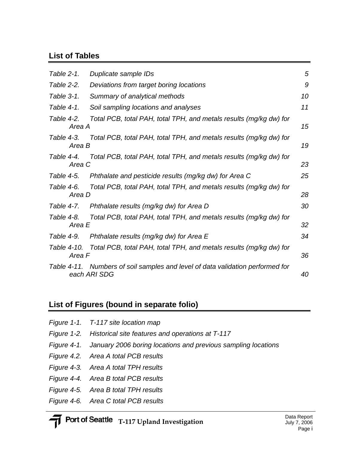### <span id="page-3-0"></span>**List of Tables**

| Table 2-1.            | Duplicate sample IDs                                                               | 5  |
|-----------------------|------------------------------------------------------------------------------------|----|
| Table 2-2.            | Deviations from target boring locations                                            | 9  |
| Table 3-1.            | Summary of analytical methods                                                      | 10 |
| Table 4-1.            | Soil sampling locations and analyses                                               | 11 |
| Table 4-2.<br>Area A  | Total PCB, total PAH, total TPH, and metals results (mg/kg dw) for                 | 15 |
| Table 4-3.<br>Area B  | Total PCB, total PAH, total TPH, and metals results (mg/kg dw) for                 | 19 |
| Table 4-4.<br>Area C  | Total PCB, total PAH, total TPH, and metals results (mg/kg dw) for                 | 23 |
| Table 4-5.            | Phthalate and pesticide results (mg/kg dw) for Area C                              | 25 |
| Table 4-6.<br>Area D  | Total PCB, total PAH, total TPH, and metals results (mg/kg dw) for                 | 28 |
| Table 4-7.            | Phthalate results (mg/kg dw) for Area D                                            | 30 |
| Table 4-8.<br>Area E  | Total PCB, total PAH, total TPH, and metals results (mg/kg dw) for                 | 32 |
| Table 4-9.            | Phthalate results (mg/kg dw) for Area E                                            | 34 |
| Table 4-10.<br>Area F | Total PCB, total PAH, total TPH, and metals results (mg/kg dw) for                 | 36 |
| Table 4-11.           | Numbers of soil samples and level of data validation performed for<br>each ARI SDG | 40 |

# **List of Figures (bound in separate folio)**

| Figure 1-1. T-117 site location map                                       |
|---------------------------------------------------------------------------|
| Figure 1-2. Historical site features and operations at T-117              |
| Figure 4-1. January 2006 boring locations and previous sampling locations |
| Figure 4.2. Area A total PCB results                                      |
| Figure 4-3. Area A total TPH results                                      |
| Figure 4-4. Area B total PCB results                                      |
| Figure 4-5. Area B total TPH results                                      |
| Figure 4-6. Area C total PCB results                                      |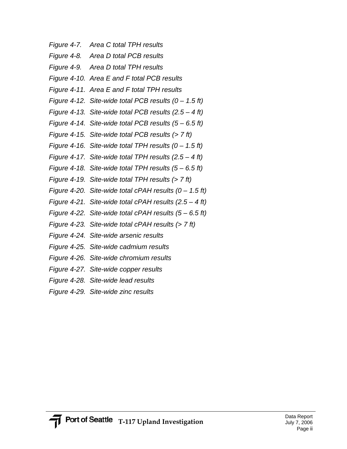- *Figure 4-7. Area C total TPH results*
- *Figure 4-8. Area D total PCB results*
- *Figure 4-9. Area D total TPH results*
- *Figure 4-10. Area E and F total PCB results*
- *Figure 4-11. Area E and F total TPH results*
- *Figure 4-12. Site-wide total PCB results (0 1.5 ft)*
- *Figure 4-13. Site-wide total PCB results (2.5 4 ft)*
- *Figure 4-14. Site-wide total PCB results (5 6.5 ft)*
- *Figure 4-15. Site-wide total PCB results (> 7 ft)*
- *Figure 4-16. Site-wide total TPH results (0 1.5 ft)*
- *Figure 4-17. Site-wide total TPH results (2.5 4 ft)*
- *Figure 4-18. Site-wide total TPH results (5 6.5 ft)*
- *Figure 4-19. Site-wide total TPH results (> 7 ft)*
- *Figure 4-20. Site-wide total cPAH results (0 1.5 ft)*
- *Figure 4-21. Site-wide total cPAH results (2.5 4 ft)*
- *Figure 4-22. Site-wide total cPAH results (5 6.5 ft)*
- *Figure 4-23. Site-wide total cPAH results (> 7 ft)*
- *Figure 4-24. Site-wide arsenic results*
- *Figure 4-25. Site-wide cadmium results*
- *Figure 4-26. Site-wide chromium results*
- *Figure 4-27. Site-wide copper results*
- *Figure 4-28. Site-wide lead results*
- *Figure 4-29. Site-wide zinc results*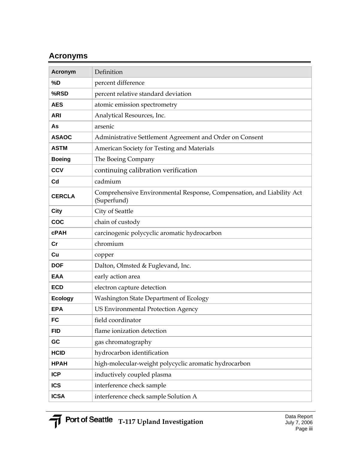# <span id="page-5-0"></span>**Acronyms**

| <b>Acronym</b> | Definition                                                                           |  |  |  |  |
|----------------|--------------------------------------------------------------------------------------|--|--|--|--|
| %D             | percent difference                                                                   |  |  |  |  |
| %RSD           | percent relative standard deviation                                                  |  |  |  |  |
| <b>AES</b>     | atomic emission spectrometry                                                         |  |  |  |  |
| <b>ARI</b>     | Analytical Resources, Inc.                                                           |  |  |  |  |
| As             | arsenic                                                                              |  |  |  |  |
| <b>ASAOC</b>   | Administrative Settlement Agreement and Order on Consent                             |  |  |  |  |
| <b>ASTM</b>    | American Society for Testing and Materials                                           |  |  |  |  |
| <b>Boeing</b>  | The Boeing Company                                                                   |  |  |  |  |
| <b>CCV</b>     | continuing calibration verification                                                  |  |  |  |  |
| C <sub>d</sub> | cadmium                                                                              |  |  |  |  |
| <b>CERCLA</b>  | Comprehensive Environmental Response, Compensation, and Liability Act<br>(Superfund) |  |  |  |  |
| <b>City</b>    | City of Seattle                                                                      |  |  |  |  |
| COC            | chain of custody                                                                     |  |  |  |  |
| <b>cPAH</b>    | carcinogenic polycyclic aromatic hydrocarbon                                         |  |  |  |  |
| Cr             | chromium                                                                             |  |  |  |  |
| Cu             | copper                                                                               |  |  |  |  |
| <b>DOF</b>     | Dalton, Olmsted & Fuglevand, Inc.                                                    |  |  |  |  |
| <b>EAA</b>     | early action area                                                                    |  |  |  |  |
| <b>ECD</b>     | electron capture detection                                                           |  |  |  |  |
| <b>Ecology</b> | Washington State Department of Ecology                                               |  |  |  |  |
| <b>EPA</b>     | <b>US Environmental Protection Agency</b>                                            |  |  |  |  |
| <b>FC</b>      | field coordinator                                                                    |  |  |  |  |
| <b>FID</b>     | flame ionization detection                                                           |  |  |  |  |
| GC             | gas chromatography                                                                   |  |  |  |  |
| <b>HCID</b>    | hydrocarbon identification                                                           |  |  |  |  |
| <b>HPAH</b>    | high-molecular-weight polycyclic aromatic hydrocarbon                                |  |  |  |  |
| <b>ICP</b>     | inductively coupled plasma                                                           |  |  |  |  |
| <b>ICS</b>     | interference check sample                                                            |  |  |  |  |
| <b>ICSA</b>    | interference check sample Solution A                                                 |  |  |  |  |

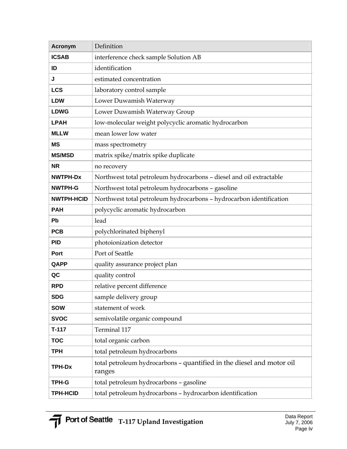| <b>Acronym</b>                                                                            | Definition                                                          |  |  |  |  |
|-------------------------------------------------------------------------------------------|---------------------------------------------------------------------|--|--|--|--|
| <b>ICSAB</b>                                                                              | interference check sample Solution AB                               |  |  |  |  |
| ID                                                                                        | identification                                                      |  |  |  |  |
| J                                                                                         | estimated concentration                                             |  |  |  |  |
| <b>LCS</b>                                                                                | laboratory control sample                                           |  |  |  |  |
| <b>LDW</b>                                                                                | Lower Duwamish Waterway                                             |  |  |  |  |
| <b>LDWG</b>                                                                               | Lower Duwamish Waterway Group                                       |  |  |  |  |
| <b>LPAH</b>                                                                               | low-molecular weight polycyclic aromatic hydrocarbon                |  |  |  |  |
| <b>MLLW</b>                                                                               | mean lower low water                                                |  |  |  |  |
| <b>MS</b>                                                                                 | mass spectrometry                                                   |  |  |  |  |
| <b>MS/MSD</b>                                                                             | matrix spike/matrix spike duplicate                                 |  |  |  |  |
| <b>NR</b>                                                                                 | no recovery                                                         |  |  |  |  |
| <b>NWTPH-Dx</b>                                                                           | Northwest total petroleum hydrocarbons - diesel and oil extractable |  |  |  |  |
| <b>NWTPH-G</b>                                                                            | Northwest total petroleum hydrocarbons - gasoline                   |  |  |  |  |
| <b>NWTPH-HCID</b>                                                                         | Northwest total petroleum hydrocarbons - hydrocarbon identification |  |  |  |  |
| <b>PAH</b>                                                                                | polycyclic aromatic hydrocarbon                                     |  |  |  |  |
| Pb                                                                                        | lead                                                                |  |  |  |  |
| <b>PCB</b>                                                                                | polychlorinated biphenyl                                            |  |  |  |  |
| <b>PID</b>                                                                                | photoionization detector                                            |  |  |  |  |
| Port                                                                                      | Port of Seattle                                                     |  |  |  |  |
| QAPP                                                                                      | quality assurance project plan                                      |  |  |  |  |
| QC                                                                                        | quality control                                                     |  |  |  |  |
| <b>RPD</b>                                                                                | relative percent difference                                         |  |  |  |  |
| <b>SDG</b>                                                                                | sample delivery group                                               |  |  |  |  |
| <b>SOW</b>                                                                                | statement of work                                                   |  |  |  |  |
| <b>SVOC</b>                                                                               | semivolatile organic compound                                       |  |  |  |  |
| $T-117$                                                                                   | Terminal 117                                                        |  |  |  |  |
| <b>TOC</b>                                                                                | total organic carbon                                                |  |  |  |  |
| <b>TPH</b>                                                                                | total petroleum hydrocarbons                                        |  |  |  |  |
| total petroleum hydrocarbons - quantified in the diesel and motor oil<br>TPH-Dx<br>ranges |                                                                     |  |  |  |  |
| <b>TPH-G</b>                                                                              | total petroleum hydrocarbons - gasoline                             |  |  |  |  |
| <b>TPH-HCID</b>                                                                           | total petroleum hydrocarbons - hydrocarbon identification           |  |  |  |  |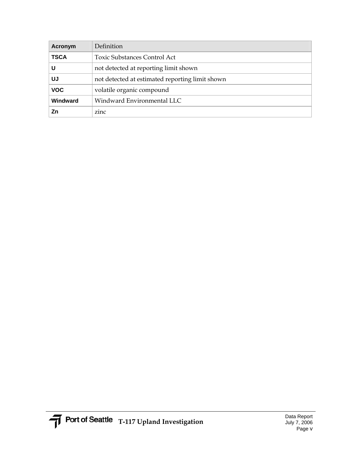| Acronym     | Definition                                      |  |  |  |
|-------------|-------------------------------------------------|--|--|--|
| <b>TSCA</b> | <b>Toxic Substances Control Act</b>             |  |  |  |
| U           | not detected at reporting limit shown           |  |  |  |
| UJ          | not detected at estimated reporting limit shown |  |  |  |
| <b>VOC</b>  | volatile organic compound                       |  |  |  |
| Windward    | Windward Environmental LLC                      |  |  |  |
| Ζn          | zinc                                            |  |  |  |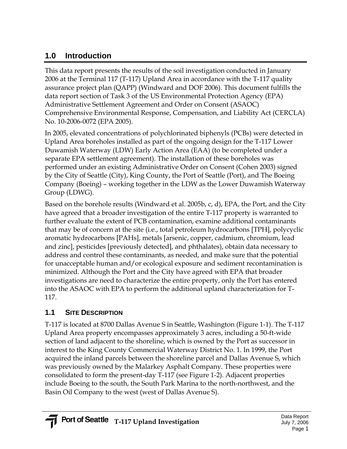# <span id="page-8-0"></span>**1.0 Introduction**

This data report presents the results of the soil investigation conducted in January 2006 at the Terminal 117 (T-117) Upland Area in accordance with the T-117 quality assurance project plan (QAPP) (Windward and DOF 2006). This document fulfills the data report section of Task 3 of the US Environmental Protection Agency (EPA) Administrative Settlement Agreement and Order on Consent (ASAOC) Comprehensive Environmental Response, Compensation, and Liability Act (CERCLA) No. 10-2006-0072 (EPA 2005).

In 2005, elevated concentrations of polychlorinated biphenyls (PCBs) were detected in Upland Area boreholes installed as part of the ongoing design for the T-117 Lower Duwamish Waterway (LDW) Early Action Area (EAA) (to be completed under a separate EPA settlement agreement). The installation of these boreholes was performed under an existing Administrative Order on Consent (Cohen 2003) signed by the City of Seattle (City), King County, the Port of Seattle (Port), and The Boeing Company (Boeing) – working together in the LDW as the Lower Duwamish Waterway Group (LDWG).

Based on the borehole results (Windward et al. 2005b, c, d), EPA, the Port, and the City have agreed that a broader investigation of the entire T-117 property is warranted to further evaluate the extent of PCB contamination, examine additional contaminants that may be of concern at the site (i.e., total petroleum hydrocarbons [TPH], polycyclic aromatic hydrocarbons [PAHs], metals [arsenic, copper, cadmium, chromium, lead and zinc], pesticides [previously detected], and phthalates), obtain data necessary to address and control these contaminants, as needed, and make sure that the potential for unacceptable human and/or ecological exposure and sediment recontamination is minimized. Although the Port and the City have agreed with EPA that broader investigations are need to characterize the entire property, only the Port has entered into the ASAOC with EPA to perform the additional upland characterization for T-117.

# **1.1 SITE DESCRIPTION**

T-117 is located at 8700 Dallas Avenue S in Seattle, Washington (Figure 1-1). The T-117 Upland Area property encompasses approximately 3 acres, including a 50-ft-wide section of land adjacent to the shoreline, which is owned by the Port as successor in interest to the King County Commercial Waterway District No. 1. In 1999, the Port acquired the inland parcels between the shoreline parcel and Dallas Avenue S, which was previously owned by the Malarkey Asphalt Company. These properties were consolidated to form the present-day T-117 (see Figure 1-2). Adjacent properties include Boeing to the south, the South Park Marina to the north-northwest, and the Basin Oil Company to the west (west of Dallas Avenue S).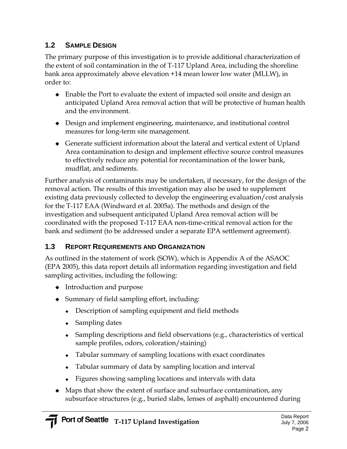### <span id="page-9-0"></span>**1.2 SAMPLE DESIGN**

The primary purpose of this investigation is to provide additional characterization of the extent of soil contamination in the of T-117 Upland Area, including the shoreline bank area approximately above elevation +14 mean lower low water (MLLW), in order to:

- Enable the Port to evaluate the extent of impacted soil onsite and design an anticipated Upland Area removal action that will be protective of human health and the environment.
- Design and implement engineering, maintenance, and institutional control measures for long-term site management.
- Generate sufficient information about the lateral and vertical extent of Upland Area contamination to design and implement effective source control measures to effectively reduce any potential for recontamination of the lower bank, mudflat, and sediments.

Further analysis of contaminants may be undertaken, if necessary, for the design of the removal action. The results of this investigation may also be used to supplement existing data previously collected to develop the engineering evaluation/cost analysis for the T-117 EAA (Windward et al. 2005a). The methods and design of the investigation and subsequent anticipated Upland Area removal action will be coordinated with the proposed T-117 EAA non-time-critical removal action for the bank and sediment (to be addressed under a separate EPA settlement agreement).

### **1.3 REPORT REQUIREMENTS AND ORGANIZATION**

As outlined in the statement of work (SOW), which is Appendix A of the ASAOC (EPA 2005), this data report details all information regarding investigation and field sampling activities, including the following:

- Introduction and purpose
- Summary of field sampling effort, including:
	- Description of sampling equipment and field methods
	- $\bullet$  Sampling dates
	- Sampling descriptions and field observations (e.g., characteristics of vertical sample profiles, odors, coloration/staining)
	- Tabular summary of sampling locations with exact coordinates
	- Tabular summary of data by sampling location and interval
	- Figures showing sampling locations and intervals with data
- Maps that show the extent of surface and subsurface contamination, any subsurface structures (e.g., buried slabs, lenses of asphalt) encountered during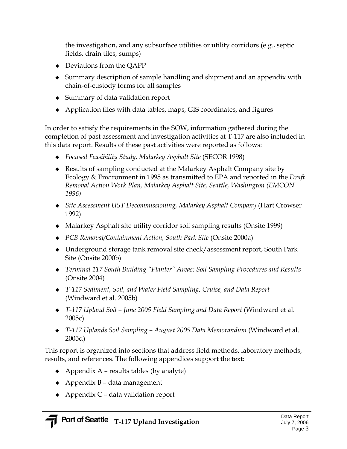the investigation, and any subsurface utilities or utility corridors (e.g., septic fields, drain tiles, sumps)

- Deviations from the QAPP
- Summary description of sample handling and shipment and an appendix with chain-of-custody forms for all samples
- Summary of data validation report
- Application files with data tables, maps, GIS coordinates, and figures

In order to satisfy the requirements in the SOW, information gathered during the completion of past assessment and investigation activities at T-117 are also included in this data report. Results of these past activities were reported as follows:

- *Focused Feasibility Study, Malarkey Asphalt Site* (SECOR 1998)
- Results of sampling conducted at the Malarkey Asphalt Company site by Ecology & Environment in 1995 as transmitted to EPA and reported in the *Draft Removal Action Work Plan, Malarkey Asphalt Site, Seattle, Washington (EMCON 1996)*
- *Site Assessment UST Decommissioning, Malarkey Asphalt Company* (Hart Crowser 1992)
- Malarkey Asphalt site utility corridor soil sampling results (Onsite 1999)
- *PCB Removal/Containment Action, South Park Site* (Onsite 2000a)
- Underground storage tank removal site check/assessment report, South Park Site (Onsite 2000b)
- *Terminal 117 South Building "Planter" Areas: Soil Sampling Procedures and Results*  (Onsite 2004)
- *T-117 Sediment, Soil, and Water Field Sampling, Cruise, and Data Report*  (Windward et al. 2005b)
- *T-117 Upland Soil June 2005 Field Sampling and Data Report* (Windward et al. 2005c)
- *T-117 Uplands Soil Sampling August 2005 Data Memorandum* (Windward et al. 2005d)

This report is organized into sections that address field methods, laboratory methods, results, and references. The following appendices support the text:

- $\leftrightarrow$  Appendix A results tables (by analyte)
- Appendix B data management
- $\triangle$  Appendix C data validation report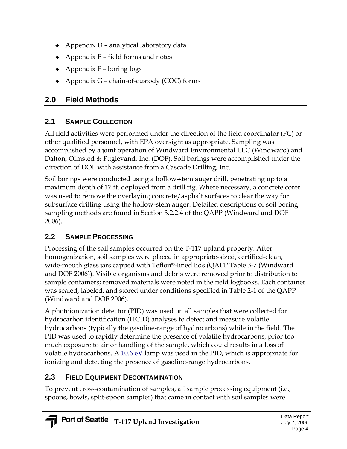- <span id="page-11-0"></span>Appendix D – analytical laboratory data
- Appendix E field forms and notes
- $\leftrightarrow$  Appendix F boring logs
- Appendix G chain-of-custody (COC) forms

# **2.0 Field Methods**

# **2.1 SAMPLE COLLECTION**

All field activities were performed under the direction of the field coordinator (FC) or other qualified personnel, with EPA oversight as appropriate. Sampling was accomplished by a joint operation of Windward Environmental LLC (Windward) and Dalton, Olmsted & Fuglevand, Inc. (DOF). Soil borings were accomplished under the direction of DOF with assistance from a Cascade Drilling, Inc.

Soil borings were conducted using a hollow-stem auger drill, penetrating up to a maximum depth of 17 ft, deployed from a drill rig. Where necessary, a concrete corer was used to remove the overlaying concrete/asphalt surfaces to clear the way for subsurface drilling using the hollow-stem auger. Detailed descriptions of soil boring sampling methods are found in Section 3.2.2.4 of the QAPP (Windward and DOF 2006).

# **2.2 SAMPLE PROCESSING**

Processing of the soil samples occurred on the T-117 upland property. After homogenization, soil samples were placed in appropriate-sized, certified-clean, wide-mouth glass jars capped with Teflon®-lined lids (QAPP Table 3-7 (Windward and DOF 2006)). Visible organisms and debris were removed prior to distribution to sample containers; removed materials were noted in the field logbooks. Each container was sealed, labeled, and stored under conditions specified in Table 2-1 of the QAPP (Windward and DOF 2006).

A photoionization detector (PID) was used on all samples that were collected for hydrocarbon identification (HCID) analyses to detect and measure volatile hydrocarbons (typically the gasoline-range of hydrocarbons) while in the field. The PID was used to rapidly determine the presence of volatile hydrocarbons, prior too much exposure to air or handling of the sample, which could results in a loss of volatile hydrocarbons. A 10.6 eV lamp was used in the PID, which is appropriate for ionizing and detecting the presence of gasoline-range hydrocarbons.

# **2.3 FIELD EQUIPMENT DECONTAMINATION**

To prevent cross-contamination of samples, all sample processing equipment (i.e., spoons, bowls, split-spoon sampler) that came in contact with soil samples were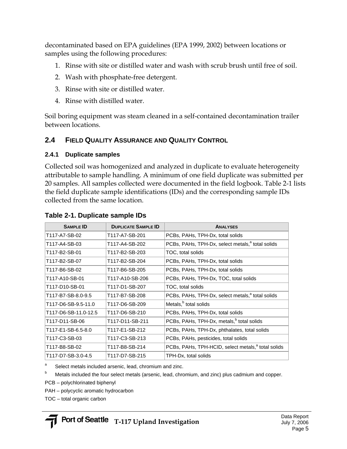<span id="page-12-0"></span>decontaminated based on EPA guidelines (EPA 1999, 2002) between locations or samples using the following procedures:

- 1. Rinse with site or distilled water and wash with scrub brush until free of soil.
- 2. Wash with phosphate-free detergent.
- 3. Rinse with site or distilled water.
- 4. Rinse with distilled water.

Soil boring equipment was steam cleaned in a self-contained decontamination trailer between locations.

### **2.4 FIELD QUALITY ASSURANCE AND QUALITY CONTROL**

#### **2.4.1 Duplicate samples**

Collected soil was homogenized and analyzed in duplicate to evaluate heterogeneity attributable to sample handling. A minimum of one field duplicate was submitted per 20 samples. All samples collected were documented in the field logbook. Table 2-1 lists the field duplicate sample identifications (IDs) and the corresponding sample IDs collected from the same location.

| <b>SAMPLE ID</b><br><b>DUPLICATE SAMPLE ID</b> |                 | <b>ANALYSES</b>                                                |  |  |
|------------------------------------------------|-----------------|----------------------------------------------------------------|--|--|
| T117-A7-SB-02                                  | T117-A7-SB-201  | PCBs, PAHs, TPH-Dx, total solids                               |  |  |
| T117-A4-SB-03                                  | T117-A4-SB-202  | PCBs, PAHs, TPH-Dx, select metals, <sup>a</sup> total solids   |  |  |
| T117-B2-SB-01                                  | T117-B2-SB-203  | TOC, total solids                                              |  |  |
| T117-B2-SB-07                                  | T117-B2-SB-204  | PCBs, PAHs, TPH-Dx, total solids                               |  |  |
| T117-B6-SB-02                                  | T117-B6-SB-205  | PCBs, PAHs, TPH-Dx, total solids                               |  |  |
| T117-A10-SB-01                                 | T117-A10-SB-206 | PCBs, PAHs, TPH-Dx, TOC, total solids                          |  |  |
| T117-D10-SB-01                                 | T117-D1-SB-207  | TOC, total solids                                              |  |  |
| T117-B7-SB-8.0-9.5                             | T117-B7-SB-208  | PCBs, PAHs, TPH-Dx, select metals, <sup>a</sup> total solids   |  |  |
| T117-D6-SB-9.5-11.0                            | T117-D6-SB-209  | Metals, <sup>b</sup> total solids                              |  |  |
| T117-D6-SB-11.0-12.5                           | T117-D6-SB-210  | PCBs, PAHs, TPH-Dx, total solids                               |  |  |
| T117-D11-SB-06                                 | T117-D11-SB-211 | PCBs, PAHs, TPH-Dx, metals, <sup>b</sup> total solids          |  |  |
| T117-E1-SB-6.5-8.0                             | T117-E1-SB-212  | PCBs, PAHs, TPH-Dx, phthalates, total solids                   |  |  |
| T117-C3-SB-03                                  | T117-C3-SB-213  | PCBs, PAHs, pesticides, total solids                           |  |  |
| T117-B8-SB-02                                  | T117-B8-SB-214  | PCBs, PAHs, TPH-HCID, select metals, <sup>a</sup> total solids |  |  |
| T117-D7-SB-3.0-4.5                             | T117-D7-SB-215  | TPH-Dx, total solids                                           |  |  |

#### **Table 2-1. Duplicate sample IDs**

a Select metals included arsenic, lead, chromium and zinc.

b Metals included the four select metals (arsenic, lead, chromium, and zinc) plus cadmium and copper.

PCB – polychlorinated biphenyl

PAH – polycyclic aromatic hydrocarbon

TOC – total organic carbon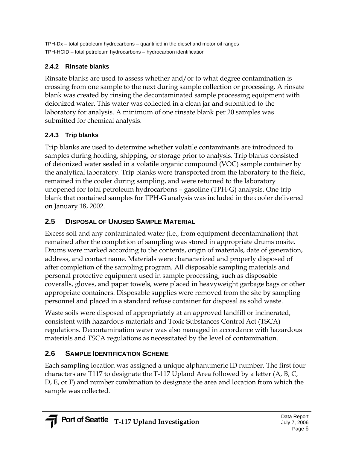<span id="page-13-0"></span>TPH-Dx – total petroleum hydrocarbons – quantified in the diesel and motor oil ranges TPH-HCID – total petroleum hydrocarbons – hydrocarbon identification

### **2.4.2 Rinsate blanks**

Rinsate blanks are used to assess whether and/or to what degree contamination is crossing from one sample to the next during sample collection or processing. A rinsate blank was created by rinsing the decontaminated sample processing equipment with deionized water. This water was collected in a clean jar and submitted to the laboratory for analysis. A minimum of one rinsate blank per 20 samples was submitted for chemical analysis.

## **2.4.3 Trip blanks**

Trip blanks are used to determine whether volatile contaminants are introduced to samples during holding, shipping, or storage prior to analysis. Trip blanks consisted of deionized water sealed in a volatile organic compound (VOC) sample container by the analytical laboratory. Trip blanks were transported from the laboratory to the field, remained in the cooler during sampling, and were returned to the laboratory unopened for total petroleum hydrocarbons – gasoline (TPH-G) analysis. One trip blank that contained samples for TPH-G analysis was included in the cooler delivered on January 18, 2002.

# **2.5 DISPOSAL OF UNUSED SAMPLE MATERIAL**

Excess soil and any contaminated water (i.e., from equipment decontamination) that remained after the completion of sampling was stored in appropriate drums onsite. Drums were marked according to the contents, origin of materials, date of generation, address, and contact name. Materials were characterized and properly disposed of after completion of the sampling program. All disposable sampling materials and personal protective equipment used in sample processing, such as disposable coveralls, gloves, and paper towels, were placed in heavyweight garbage bags or other appropriate containers. Disposable supplies were removed from the site by sampling personnel and placed in a standard refuse container for disposal as solid waste.

Waste soils were disposed of appropriately at an approved landfill or incinerated, consistent with hazardous materials and Toxic Substances Control Act (TSCA) regulations. Decontamination water was also managed in accordance with hazardous materials and TSCA regulations as necessitated by the level of contamination.

# **2.6 SAMPLE IDENTIFICATION SCHEME**

Each sampling location was assigned a unique alphanumeric ID number. The first four characters are T117 to designate the T-117 Upland Area followed by a letter (A, B, C, D, E, or F) and number combination to designate the area and location from which the sample was collected.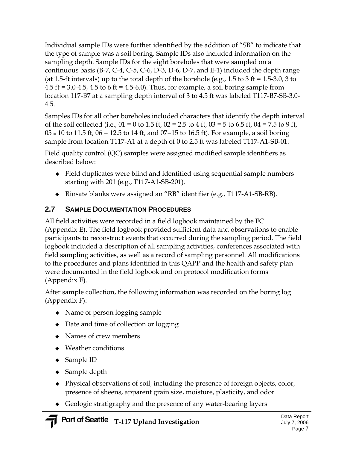<span id="page-14-0"></span>Individual sample IDs were further identified by the addition of "SB" to indicate that the type of sample was a soil boring. Sample IDs also included information on the sampling depth. Sample IDs for the eight boreholes that were sampled on a continuous basis (B-7, C-4, C-5, C-6, D-3, D-6, D-7, and E-1) included the depth range (at 1.5-ft intervals) up to the total depth of the borehole (e.g., 1.5 to 3 ft = 1.5-3.0, 3 to 4.5 ft = 3.0-4.5, 4.5 to 6 ft = 4.5-6.0). Thus, for example, a soil boring sample from location 117-B7 at a sampling depth interval of 3 to 4.5 ft was labeled T117-B7-SB-3.0- 4.5.

Samples IDs for all other boreholes included characters that identify the depth interval of the soil collected (i.e.,  $01 = 0$  to 1.5 ft,  $02 = 2.5$  to 4 ft,  $03 = 5$  to 6.5 ft,  $04 = 7.5$  to 9 ft,  $05 = 10$  to 11.5 ft,  $06 = 12.5$  to 14 ft, and  $07 = 15$  to 16.5 ft). For example, a soil boring sample from location T117-A1 at a depth of 0 to 2.5 ft was labeled T117-A1-SB-01.

Field quality control (QC) samples were assigned modified sample identifiers as described below:

- ◆ Field duplicates were blind and identified using sequential sample numbers starting with 201 (e.g., T117-A1-SB-201).
- Rinsate blanks were assigned an "RB" identifier (e.g., T117-A1-SB-RB).

# **2.7 SAMPLE DOCUMENTATION PROCEDURES**

All field activities were recorded in a field logbook maintained by the FC (Appendix E). The field logbook provided sufficient data and observations to enable participants to reconstruct events that occurred during the sampling period. The field logbook included a description of all sampling activities, conferences associated with field sampling activities, as well as a record of sampling personnel. All modifications to the procedures and plans identified in this QAPP and the health and safety plan were documented in the field logbook and on protocol modification forms (Appendix E).

After sample collection, the following information was recorded on the boring log (Appendix F):

- Name of person logging sample
- Date and time of collection or logging
- Names of crew members
- Weather conditions
- ◆ Sample ID
- ◆ Sample depth
- Physical observations of soil, including the presence of foreign objects, color, presence of sheens, apparent grain size, moisture, plasticity, and odor
- Geologic stratigraphy and the presence of any water-bearing layers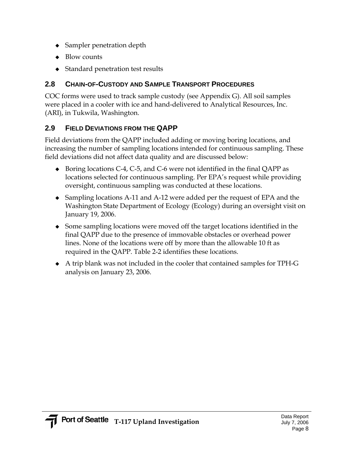- <span id="page-15-0"></span>• Sampler penetration depth
- Blow counts
- Standard penetration test results

### **2.8 CHAIN-OF-CUSTODY AND SAMPLE TRANSPORT PROCEDURES**

COC forms were used to track sample custody (see Appendix G). All soil samples were placed in a cooler with ice and hand-delivered to Analytical Resources, Inc. (ARI), in Tukwila, Washington.

# **2.9 FIELD DEVIATIONS FROM THE QAPP**

Field deviations from the QAPP included adding or moving boring locations, and increasing the number of sampling locations intended for continuous sampling. These field deviations did not affect data quality and are discussed below:

- Boring locations C-4, C-5, and C-6 were not identified in the final QAPP as locations selected for continuous sampling. Per EPA's request while providing oversight, continuous sampling was conducted at these locations.
- Sampling locations A-11 and A-12 were added per the request of EPA and the Washington State Department of Ecology (Ecology) during an oversight visit on January 19, 2006.
- Some sampling locations were moved off the target locations identified in the final QAPP due to the presence of immovable obstacles or overhead power lines. None of the locations were off by more than the allowable 10 ft as required in the QAPP. Table 2-2 identifies these locations.
- A trip blank was not included in the cooler that contained samples for TPH-G analysis on January 23, 2006.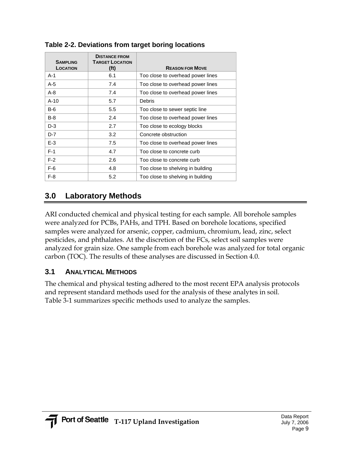| <b>SAMPLING</b><br>LOCATION | <b>DISTANCE FROM</b><br><b>TARGET LOCATION</b><br>(f <sub>t</sub> ) | <b>REASON FOR MOVE</b>            |  |
|-----------------------------|---------------------------------------------------------------------|-----------------------------------|--|
| $A-1$                       | 6.1                                                                 | Too close to overhead power lines |  |
| $A-5$                       | 7.4                                                                 | Too close to overhead power lines |  |
| $A - 8$                     | 7.4                                                                 | Too close to overhead power lines |  |
| $A-10$                      | 5.7                                                                 | Debris                            |  |
| B-6                         | 5.5                                                                 | Too close to sewer septic line    |  |
| $B-8$                       | 2.4                                                                 | Too close to overhead power lines |  |
| $D-3$                       | 2.7                                                                 | Too close to ecology blocks       |  |
| $D-7$                       | 3.2                                                                 | Concrete obstruction              |  |
| $E-3$                       | 7.5                                                                 | Too close to overhead power lines |  |
| $F-1$                       | 4.7                                                                 | Too close to concrete curb        |  |
| $F-2$                       | 2.6                                                                 | Too close to concrete curb        |  |
| $F-6$                       | 4.8                                                                 | Too close to shelving in building |  |
| $F-8$                       | 5.2                                                                 | Too close to shelving in building |  |

#### <span id="page-16-0"></span>**Table 2-2. Deviations from target boring locations**

### **3.0 Laboratory Methods**

ARI conducted chemical and physical testing for each sample. All borehole samples were analyzed for PCBs, PAHs, and TPH. Based on borehole locations, specified samples were analyzed for arsenic, copper, cadmium, chromium, lead, zinc, select pesticides, and phthalates. At the discretion of the FCs, select soil samples were analyzed for grain size. One sample from each borehole was analyzed for total organic carbon (TOC). The results of these analyses are discussed in Section 4.0.

#### **3.1 ANALYTICAL METHODS**

The chemical and physical testing adhered to the most recent EPA analysis protocols and represent standard methods used for the analysis of these analytes in soil. Table 3-1 summarizes specific methods used to analyze the samples.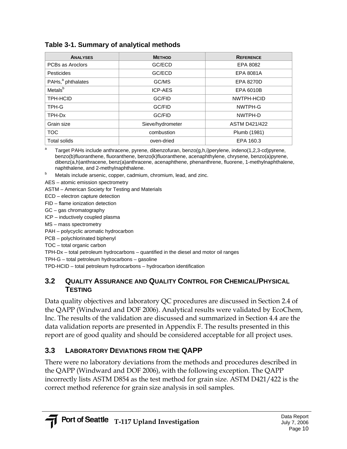<span id="page-17-0"></span>

| Table 3-1. Summary of analytical methods |  |
|------------------------------------------|--|
|------------------------------------------|--|

| <b>ANALYSES</b>               | <b>METHOD</b>    | <b>REFERENCE</b>     |
|-------------------------------|------------------|----------------------|
| PCBs as Aroclors              | GC/ECD           | EPA 8082             |
| Pesticides                    | GC/ECD           | EPA 8081A            |
| PAHs, <sup>a</sup> phthalates | GC/MS            | EPA 8270D            |
| Metals <sup>b</sup>           | <b>ICP-AES</b>   | <b>EPA 6010B</b>     |
| TPH-HCID                      | GC/FID           | NWTPH-HCID           |
| TPH-G                         | GC/FID           | NWTPH-G              |
| TPH-Dx                        | GC/FID           | NWTPH-D              |
| Grain size                    | Sieve/hydrometer | <b>ASTM D421/422</b> |
| <b>TOC</b>                    | combustion       | Plumb (1981)         |
| <b>Total solids</b>           | oven-dried       | EPA 160.3            |

<sup>a</sup> Target PAHs include anthracene, pyrene, dibenzofuran, benzo(g,h,i)perylene, indeno(1,2,3-cd)pyrene, benzo(b)fluoranthene, fluoranthene, benzo(k)fluoranthene, acenaphthylene, chrysene, benzo(a)pyrene, dibenz(a,h)anthracene, benz(a)anthracene, acenaphthene, phenanthrene, fluorene, 1-methylnaphthalene, naphthalene, and 2-methylnaphthalene.

 $b$  Metals include arsenic, copper, cadmium, chromium, lead, and zinc.

AES – atomic emission spectrometry

- ASTM American Society for Testing and Materials
- ECD electron capture detection
- FID flame ionization detection
- GC gas chromatography
- ICP inductively coupled plasma
- MS mass spectrometry
- PAH polycyclic aromatic hydrocarbon
- PCB polychlorinated biphenyl
- TOC total organic carbon

TPH-Dx – total petroleum hydrocarbons – quantified in the diesel and motor oil ranges

TPH-G – total petroleum hydrocarbons – gasoline

TPD-HCID – total petroleum hydrocarbons – hydrocarbon identification

#### **3.2 QUALITY ASSURANCE AND QUALITY CONTROL FOR CHEMICAL/PHYSICAL TESTING**

Data quality objectives and laboratory QC procedures are discussed in Section 2.4 of the QAPP (Windward and DOF 2006). Analytical results were validated by EcoChem, Inc. The results of the validation are discussed and summarized in Section 4.4 are the data validation reports are presented in Appendix F. The results presented in this report are of good quality and should be considered acceptable for all project uses.

#### **3.3 LABORATORY DEVIATIONS FROM THE QAPP**

There were no laboratory deviations from the methods and procedures described in the QAPP (Windward and DOF 2006), with the following exception. The QAPP incorrectly lists ASTM D854 as the test method for grain size. ASTM D421/422 is the correct method reference for grain size analysis in soil samples.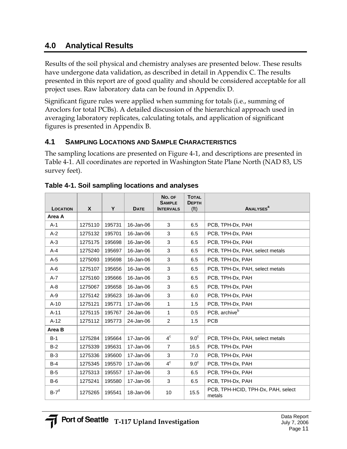# <span id="page-18-0"></span>**4.0 Analytical Results**

Results of the soil physical and chemistry analyses are presented below. These results have undergone data validation, as described in detail in Appendix C. The results presented in this report are of good quality and should be considered acceptable for all project uses. Raw laboratory data can be found in Appendix D.

Significant figure rules were applied when summing for totals (i.e., summing of Aroclors for total PCBs). A detailed discussion of the hierarchical approach used in averaging laboratory replicates, calculating totals, and application of significant figures is presented in Appendix B.

#### **4.1 SAMPLING LOCATIONS AND SAMPLE CHARACTERISTICS**

The sampling locations are presented on Figure 4-1, and descriptions are presented in Table 4-1. All coordinates are reported in Washington State Plane North (NAD 83, US survey feet).

|                 |              |        |             | No. OF<br><b>SAMPLE</b> | <b>TOTAL</b><br><b>DEPTH</b> |                                              |
|-----------------|--------------|--------|-------------|-------------------------|------------------------------|----------------------------------------------|
| <b>LOCATION</b> | $\mathbf{x}$ | Y      | <b>DATE</b> | <b>INTERVALS</b>        | (f <sup>t</sup> )            | <b>ANALYSES</b> <sup>a</sup>                 |
| Area A          |              |        |             |                         |                              |                                              |
| $A-1$           | 1275110      | 195731 | 16-Jan-06   | 3                       | 6.5                          | PCB, TPH-Dx, PAH                             |
| $A-2$           | 1275132      | 195701 | 16-Jan-06   | 3                       | 6.5                          | PCB, TPH-Dx, PAH                             |
| $A-3$           | 1275175      | 195698 | 16-Jan-06   | 3                       | 6.5                          | PCB, TPH-Dx, PAH                             |
| A-4             | 1275240      | 195697 | 16-Jan-06   | 3                       | 6.5                          | PCB, TPH-Dx, PAH, select metals              |
| $A-5$           | 1275093      | 195698 | 16-Jan-06   | 3                       | 6.5                          | PCB, TPH-Dx, PAH                             |
| $A-6$           | 1275107      | 195656 | 16-Jan-06   | 3                       | 6.5                          | PCB, TPH-Dx, PAH, select metals              |
| $A-7$           | 1275160      | 195666 | 16-Jan-06   | 3                       | 6.5                          | PCB, TPH-Dx, PAH                             |
| $A-8$           | 1275067      | 195658 | 16-Jan-06   | 3                       | 6.5                          | PCB. TPH-Dx. PAH                             |
| $A-9$           | 1275142      | 195623 | 16-Jan-06   | 3                       | 6.0                          | PCB, TPH-Dx, PAH                             |
| $A-10$          | 1275121      | 195771 | 17-Jan-06   | $\mathbf{1}$            | 1.5                          | PCB, TPH-Dx, PAH                             |
| A-11            | 1275115      | 195767 | 24-Jan-06   | $\mathbf{1}$            | 0.5                          | PCB, archive <sup>b</sup>                    |
| $A-12$          | 1275112      | 195773 | 24-Jan-06   | $\overline{2}$          | 1.5                          | <b>PCB</b>                                   |
| Area B          |              |        |             |                         |                              |                                              |
| $B-1$           | 1275284      | 195664 | 17-Jan-06   | 4 <sup>c</sup>          | 9.0 <sup>c</sup>             | PCB, TPH-Dx, PAH, select metals              |
| $B-2$           | 1275339      | 195631 | 17-Jan-06   | $\overline{7}$          | 16.5                         | PCB, TPH-Dx, PAH                             |
| $B-3$           | 1275336      | 195600 | 17-Jan-06   | 3                       | 7.0                          | PCB, TPH-Dx, PAH                             |
| $B-4$           | 1275345      | 195570 | 17-Jan-06   | 4 <sup>c</sup>          | 9.0 <sup>c</sup>             | PCB, TPH-Dx, PAH                             |
| $B-5$           | 1275313      | 195557 | 17-Jan-06   | 3                       | 6.5                          | PCB, TPH-Dx, PAH                             |
| $B-6$           | 1275241      | 195580 | 17-Jan-06   | 3                       | 6.5                          | PCB, TPH-Dx, PAH                             |
| $B-7d$          | 1275265      | 195541 | 18-Jan-06   | 10                      | 15.5                         | PCB, TPH-HCID, TPH-Dx, PAH, select<br>metals |

**Table 4-1. Soil sampling locations and analyses**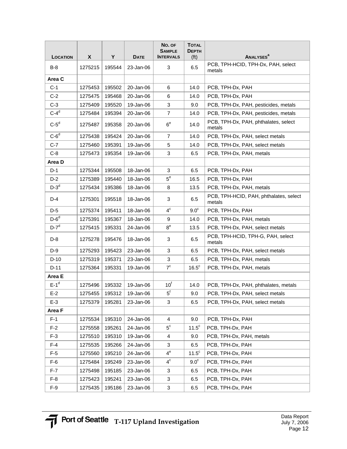| LOCATION  | X       | Υ      | <b>DATE</b> | No. OF<br><b>SAMPLE</b><br><b>INTERVALS</b> | <b>TOTAL</b><br><b>DEPTH</b><br>(f <sup>t</sup> ) | <b>ANALYSES<sup>a</sup></b>                                          |  |  |  |
|-----------|---------|--------|-------------|---------------------------------------------|---------------------------------------------------|----------------------------------------------------------------------|--|--|--|
| $B-8$     | 1275215 | 195544 | 23-Jan-06   | 3                                           | 6.5                                               | PCB, TPH-HCID, TPH-Dx, PAH, select<br>metals                         |  |  |  |
| Area C    |         |        |             |                                             |                                                   |                                                                      |  |  |  |
| $C-1$     | 1275453 | 195502 | 20-Jan-06   | 6                                           | 14.0                                              | PCB, TPH-Dx, PAH                                                     |  |  |  |
| $C-2$     | 1275475 | 195468 | 20-Jan-06   | 6                                           | 14.0                                              | PCB, TPH-Dx, PAH                                                     |  |  |  |
| $C-3$     | 1275409 | 195520 | 19-Jan-06   | 3                                           | 9.0                                               | PCB, TPH-Dx, PAH, pesticides, metals                                 |  |  |  |
| $C - 4^d$ | 1275484 | 195394 | 20-Jan-06   | $\overline{7}$                              | 14.0                                              | PCB, TPH-Dx, PAH, pesticides, metals                                 |  |  |  |
| $C-5^d$   | 1275487 | 195358 | 20-Jan-06   | 6 <sup>e</sup>                              | 14.0                                              | PCB, TPH-Dx, PAH, phthalates, select<br>metals                       |  |  |  |
| $C-6d$    | 1275438 | 195424 | 20-Jan-06   | 7                                           | 14.0                                              | PCB, TPH-Dx, PAH, select metals                                      |  |  |  |
| $C-7$     | 1275460 | 195391 | 19-Jan-06   | 5                                           | 14.0                                              | PCB, TPH-Dx, PAH, select metals                                      |  |  |  |
| $C-8$     | 1275473 | 195354 | 19-Jan-06   | 3                                           | 6.5                                               | PCB, TPH-Dx, PAH, metals                                             |  |  |  |
| Area D    |         |        |             |                                             |                                                   |                                                                      |  |  |  |
| $D-1$     | 1275344 | 195508 | 18-Jan-06   | 3                                           | 6.5                                               | PCB, TPH-Dx, PAH                                                     |  |  |  |
| $D-2$     | 1275389 | 195440 | 18-Jan-06   | $5^e$                                       | 16.5                                              | PCB, TPH-Dx, PAH                                                     |  |  |  |
| $D-3^d$   | 1275434 | 195386 | 18-Jan-06   | 8                                           | 13.5                                              | PCB, TPH-Dx, PAH, metals                                             |  |  |  |
| $D-4$     | 1275301 | 195518 | 18-Jan-06   | 3                                           | 6.5                                               | PCB, TPH-HCID, PAH, phthalates, select<br>metals<br>PCB, TPH-Dx, PAH |  |  |  |
| $D-5$     | 1275374 | 195411 | 18-Jan-06   | 4 <sup>c</sup>                              | 9.0 <sup>c</sup>                                  |                                                                      |  |  |  |
| $D-6^d$   | 1275391 | 195367 | 18-Jan-06   | 9                                           | 14.0                                              | PCB, TPH-Dx, PAH, metals                                             |  |  |  |
| $D-7^d$   | 1275415 | 195331 | 24-Jan-06   | $8^e$                                       | 13.5                                              | PCB, TPH-Dx, PAH, select metals                                      |  |  |  |
| D-8       | 1275278 | 195476 | 18-Jan-06   | 3                                           | 6.5                                               | PCB, TPH-HCID, TPH-G, PAH, select<br>metals                          |  |  |  |
| $D-9$     | 1275293 | 195423 | 23-Jan-06   | 3                                           | 6.5                                               | PCB, TPH-Dx, PAH, select metals                                      |  |  |  |
| $D-10$    | 1275319 | 195371 | 23-Jan-06   | 3                                           | 6.5                                               | PCB, TPH-Dx, PAH, metals                                             |  |  |  |
| $D-11$    | 1275364 | 195331 | 19-Jan-06   | 7 <sup>c</sup>                              | $16.5^{\circ}$                                    | PCB, TPH-Dx, PAH, metals                                             |  |  |  |
| Area E    |         |        |             |                                             |                                                   |                                                                      |  |  |  |
| $E-1d$    | 1275496 | 195332 | 19-Jan-06   | $10^{\text{f}}$                             | 14.0                                              | PCB, TPH-Dx, PAH, phthalates, metals                                 |  |  |  |
| $E-2$     | 1275455 | 195312 | 19-Jan-06   | $5^{\mathsf{f}}$                            | 9.0                                               | PCB, TPH-Dx, PAH, select metals                                      |  |  |  |
| $E-3$     | 1275379 | 195281 | 23-Jan-06   | 3                                           | 6.5                                               | PCB, TPH-Dx, PAH, select metals                                      |  |  |  |
| Area F    |         |        |             |                                             |                                                   |                                                                      |  |  |  |
| $F-1$     | 1275534 | 195310 | 24-Jan-06   | 4                                           | 9.0                                               | PCB, TPH-Dx, PAH                                                     |  |  |  |
| $F-2$     | 1275558 | 195261 | 24-Jan-06   | $5^{\circ}$                                 | $11.5^{\circ}$                                    | PCB, TPH-Dx, PAH                                                     |  |  |  |
| $F-3$     | 1275510 | 195310 | 19-Jan-06   | 4                                           | 9.0                                               | PCB, TPH-Dx, PAH, metals                                             |  |  |  |
| $F-4$     | 1275535 | 195266 | 24-Jan-06   | 3                                           | 6.5                                               | PCB, TPH-Dx, PAH                                                     |  |  |  |
| $F-5$     | 1275560 | 195210 | 24-Jan-06   | $4^e$                                       | 11.5 <sup>c</sup>                                 | PCB, TPH-Dx, PAH                                                     |  |  |  |
| $F-6$     | 1275484 | 195249 | 23-Jan-06   | $4^\circ$                                   | 9.0 <sup>c</sup>                                  | PCB, TPH-Dx, PAH                                                     |  |  |  |
| $F-7$     | 1275498 | 195185 | 23-Jan-06   | 3                                           | 6.5                                               | PCB, TPH-Dx, PAH                                                     |  |  |  |
| $F-8$     | 1275423 | 195241 | 23-Jan-06   | 3                                           | 6.5                                               | PCB, TPH-Dx, PAH                                                     |  |  |  |
| $F-9$     | 1275435 | 195186 | 23-Jan-06   | 3                                           | 6.5                                               | PCB, TPH-Dx, PAH                                                     |  |  |  |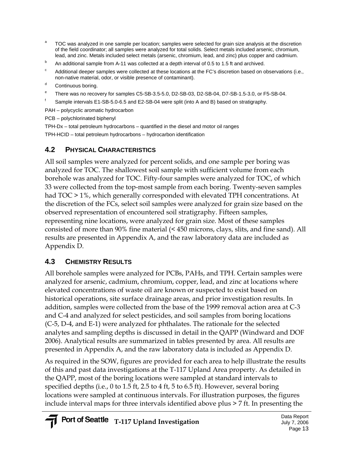- <span id="page-20-0"></span><sup>a</sup> TOC was analyzed in one sample per location; samples were selected for grain size analysis at the discretion of the field coordinator; all samples were analyzed for total solids. Select metals included arsenic, chromium, lead, and zinc. Metals included select metals (arsenic, chromium, lead, and zinc) plus copper and cadmium.
- $b$  An additional sample from A-11 was collected at a depth interval of 0.5 to 1.5 ft and archived.
- $c^{\circ}$  Additional deeper samples were collected at these locations at the FC's discretion based on observations (i.e., non-native material, odor, or visible presence of contaminant).
- d Continuous boring.
- e There was no recovery for samples C5-SB-3.5-5.0, D2-SB-03, D2-SB-04, D7-SB-1.5-3.0, or F5-SB-04.
- <sup>f</sup> Sample intervals E1-SB-5.0-6.5 and E2-SB-04 were split (into A and B) based on stratigraphy.

PAH – polycyclic aromatic hydrocarbon

PCB – polychlorinated biphenyl

TPH-Dx – total petroleum hydrocarbons – quantified in the diesel and motor oil ranges

TPH-HCID – total petroleum hydrocarbons – hydrocarbon identification

# **4.2 PHYSICAL CHARACTERISTICS**

All soil samples were analyzed for percent solids, and one sample per boring was analyzed for TOC. The shallowest soil sample with sufficient volume from each borehole was analyzed for TOC. Fifty-four samples were analyzed for TOC, of which 33 were collected from the top-most sample from each boring. Twenty-seven samples had TOC > 1%, which generally corresponded with elevated TPH concentrations. At the discretion of the FCs, select soil samples were analyzed for grain size based on the observed representation of encountered soil stratigraphy. Fifteen samples, representing nine locations, were analyzed for grain size. Most of these samples consisted of more than 90% fine material (< 450 microns, clays, slits, and fine sand). All results are presented in Appendix A, and the raw laboratory data are included as Appendix D.

# **4.3 CHEMISTRY RESULTS**

All borehole samples were analyzed for PCBs, PAHs, and TPH. Certain samples were analyzed for arsenic, cadmium, chromium, copper, lead, and zinc at locations where elevated concentrations of waste oil are known or suspected to exist based on historical operations, site surface drainage areas, and prior investigation results. In addition, samples were collected from the base of the 1999 removal action area at C-3 and C-4 and analyzed for select pesticides, and soil samples from boring locations (C-5, D-4, and E-1) were analyzed for phthalates. The rationale for the selected analytes and sampling depths is discussed in detail in the QAPP (Windward and DOF 2006). Analytical results are summarized in tables presented by area. All results are presented in Appendix A, and the raw laboratory data is included as Appendix D.

As required in the SOW, figures are provided for each area to help illustrate the results of this and past data investigations at the T-117 Upland Area property. As detailed in the QAPP, most of the boring locations were sampled at standard intervals to specified depths (i.e., 0 to 1.5 ft, 2.5 to 4 ft, 5 to 6.5 ft). However, several boring locations were sampled at continuous intervals. For illustration purposes, the figures include interval maps for three intervals identified above plus > 7 ft. In presenting the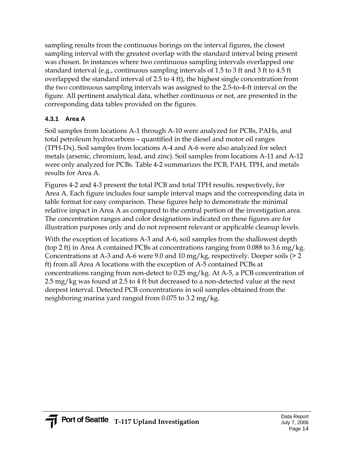<span id="page-21-0"></span>sampling results from the continuous borings on the interval figures, the closest sampling interval with the greatest overlap with the standard interval being present was chosen. In instances where two continuous sampling intervals overlapped one standard interval (e.g., continuous sampling intervals of 1.5 to 3 ft and 3 ft to 4.5 ft overlapped the standard interval of 2.5 to 4 ft), the highest single concentration from the two continuous sampling intervals was assigned to the 2.5-to-4-ft interval on the figure. All pertinent analytical data, whether continuous or not, are presented in the corresponding data tables provided on the figures.

### **4.3.1 Area A**

Soil samples from locations A-1 through A-10 were analyzed for PCBs, PAHs, and total petroleum hydrocarbons – quantified in the diesel and motor oil ranges (TPH-Dx). Soil samples from locations A-4 and A-6 were also analyzed for select metals (arsenic, chromium, lead, and zinc). Soil samples from locations A-11 and A-12 were only analyzed for PCBs. Table 4-2 summarizes the PCB, PAH, TPH, and metals results for Area A.

Figures 4-2 and 4-3 present the total PCB and total TPH results, respectively, for Area A. Each figure includes four sample interval maps and the corresponding data in table format for easy comparison. These figures help to demonstrate the minimal relative impact in Area A as compared to the central portion of the investigation area. The concentration ranges and color designations indicated on these figures are for illustration purposes only and do not represent relevant or applicable cleanup levels.

With the exception of locations A-3 and A-6, soil samples from the shallowest depth (top 2 ft) in Area A contained PCBs at concentrations ranging from 0.088 to 3.6 mg/kg. Concentrations at A-3 and A-6 were 9.0 and 10 mg/kg, respectively. Deeper soils (> 2 ft) from all Area A locations with the exception of A-5 contained PCBs at concentrations ranging from non-detect to 0.25 mg/kg. At A-5, a PCB concentration of 2.5 mg/kg was found at 2.5 to 4 ft but decreased to a non-detected value at the next deepest interval. Detected PCB concentrations in soil samples obtained from the neighboring marina yard ranged from 0.075 to 3.2 mg/kg.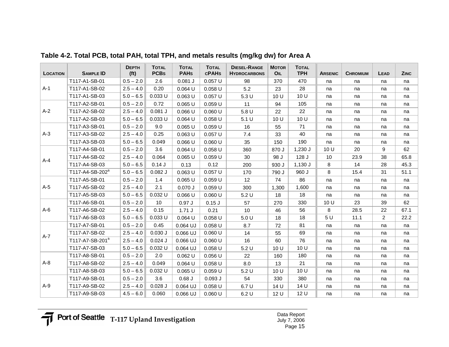| <b>LOCATION</b> | <b>SAMPLE ID</b>            | <b>DEPTH</b><br>(f <sup>t</sup> ) | <b>TOTAL</b><br><b>PCBs</b> | <b>TOTAL</b><br><b>PAHs</b> | <b>TOTAL</b><br><b>CPAHS</b> | <b>DIESEL-RANGE</b><br><b>HYDROCARBONS</b> | <b>MOTOR</b><br>OIL | <b>TOTAL</b><br><b>TPH</b> | <b>ARSENIC</b> | <b>CHROMIUM</b> | LEAD           | <b>ZINC</b> |
|-----------------|-----------------------------|-----------------------------------|-----------------------------|-----------------------------|------------------------------|--------------------------------------------|---------------------|----------------------------|----------------|-----------------|----------------|-------------|
|                 | T117-A1-SB-01               | $0.5 - 2.0$                       | 2.6                         | $0.081$ J                   | $0.057$ U                    | 98                                         | 370                 | 470                        | na             | na              | na             | na          |
| $A-1$           | T117-A1-SB-02               | $2.5 - 4.0$                       | 0.20                        | $0.064$ U                   | $0.058$ U                    | 5.2                                        | 23                  | 28                         | na             | na              | na             | na          |
|                 | T117-A1-SB-03               | $5.0 - 6.5$                       | $0.033$ U                   | $0.063$ U                   | $0.057$ U                    | 5.3U                                       | 10U                 | 10 U                       | na             | na              | na             | na          |
|                 | T117-A2-SB-01               | $0.5 - 2.0$                       | 0.72                        | $0.065$ U                   | $0.059$ U                    | 11                                         | 94                  | 105                        | na             | na              | na             | na          |
| $A-2$           | T117-A2-SB-02               | $2.5 - 4.0$                       | $0.081$ J                   | $0.066$ U                   | 0.060 U                      | 5.8 U                                      | 22                  | 22                         | na             | na              | na             | na          |
|                 | T117-A2-SB-03               | $5.0 - 6.5$                       | $0.033$ U                   | $0.064$ U                   | $0.058$ U                    | 5.1 U                                      | 10U                 | 10 U                       | na             | na              | na             | na          |
|                 | T117-A3-SB-01               | $0.5 - 2.0$                       | 9.0                         | $0.065$ U                   | 0.059U                       | 16                                         | 55                  | 71                         | na             | na              | na             | na          |
| $A-3$           | T117-A3-SB-02               | $2.5 - 4.0$                       | 0.25                        | $0.063$ U                   | $0.057$ U                    | 7.4                                        | 33                  | 40                         | na             | na              | na             | na          |
|                 | T117-A3-SB-03               | $5.0 - 6.5$                       | 0.049                       | $0.066$ U                   | $0.060$ U                    | 35                                         | 150                 | 190                        | na             | na              | na             | na          |
|                 | T117-A4-SB-01               | $0.5 - 2.0$                       | 3.6                         | $0.064$ U                   | $0.058$ U                    | 360                                        | 870 J               | $1,230$ J                  | 10 U           | 20              | 9              | 62          |
| $A - 4$         | T117-A4-SB-02               | $2.5 - 4.0$                       | 0.064                       | $0.065$ U                   | 0.059U                       | 30                                         | 98 J                | 128J                       | 10             | 23.9            | 38             | 65.8        |
|                 | T117-A4-SB-03               | $5.0 - 6.5$                       | 0.14J                       | 0.13                        | 0.12                         | 200                                        | 930 J               | $1,130$ J                  | 8              | 14              | 28             | 45.3        |
|                 | T117-A4-SB-202 <sup>a</sup> | $5.0 - 6.5$                       | $0.082$ J                   | $0.063$ U                   | 0.057 U                      | 170                                        | 790 J               | 960 J                      | 8              | 15.4            | 31             | 51.1        |
|                 | T117-A5-SB-01               | $0.5 - 2.0$                       | 1.4                         | $0.065$ U                   | 0.059 U                      | 12                                         | 74                  | 86                         | na             | na              | na             | na          |
| $A-5$           | T117-A5-SB-02               | $2.5 - 4.0$                       | 2.1                         | $0.070$ J                   | 0.059U                       | 300                                        | 1,300               | 1,600                      | na             | na              | na             | na          |
|                 | T117-A5-SB-03               | $5.0 - 6.5$                       | 0.032 U                     | $0.066$ U                   | $0.060$ U                    | 5.2U                                       | 18                  | 18                         | na             | na              | na             | na          |
|                 | T117-A6-SB-01               | $0.5 - 2.0$                       | 10                          | 0.97J                       | $0.15$ J                     | 57                                         | 270                 | 330                        | 10U            | 23              | 39             | 62          |
| $A-6$           | T117-A6-SB-02               | $2.5 - 4.0$                       | 0.15                        | $1.71$ J                    | 0.21                         | 10                                         | 46                  | 56                         | 8              | 28.5            | 22             | 67.1        |
|                 | T117-A6-SB-03               | $5.0 - 6.5$                       | 0.033 U                     | $0.064$ U                   | 0.058 U                      | 5.0 U                                      | 18                  | 18                         | 5 U            | 11.1            | $\overline{2}$ | 22.2        |
|                 | T117-A7-SB-01               | $0.5 - 2.0$                       | 0.45                        | $0.064$ UJ                  | $0.058$ U                    | 8.7                                        | 72                  | 81                         | na             | na              | na             | na          |
| $A-7$           | T117-A7-SB-02               | $2.5 - 4.0$                       | 0.030 J                     | $0.066$ UJ                  | 0.060 U                      | 14                                         | 55                  | 69                         | na             | na              | na             | na          |
|                 | T117-A7-SB-201 <sup>a</sup> | $2.5 - 4.0$                       | $0.024$ J                   | 0.066 UJ                    | $0.060$ U                    | 16                                         | 60                  | 76                         | na             | na              | na             | na          |
|                 | T117-A7-SB-03               | $5.0 - 6.5$                       | $0.032$ U                   | 0.064 UJ                    | $0.058$ U                    | 5.2U                                       | 10 U                | 10 U                       | na             | na              | na             | na          |
|                 | T117-A8-SB-01               | $0.5 - 2.0$                       | 2.0                         | $0.062$ U                   | $0.056$ U                    | 22                                         | 160                 | 180                        | na             | na              | na             | na          |
| $A-8$           | T117-A8-SB-02               | $2.5 - 4.0$                       | 0.049                       | $0.064$ U                   | $0.058$ U                    | 8.0                                        | 13                  | 21                         | na             | na              | na             | na          |
|                 | T117-A8-SB-03               | $5.0 - 6.5$                       | 0.032 U                     | $0.065$ U                   | 0.059 U                      | 5.2 U                                      | 10 U                | 10U                        | na             | na              | na             | na          |
|                 | T117-A9-SB-01               | $0.5 - 2.0$                       | 3.6                         | $0.68$ J                    | $0.093$ J                    | 54                                         | 330                 | 380                        | na             | na              | na             | na          |
| $A-9$           | T117-A9-SB-02               | $2.5 - 4.0$                       | $0.028$ J                   | $0.064$ UJ                  | 0.058 U                      | 6.7 U                                      | 14 U                | 14 U                       | na             | na              | na             | na          |
|                 | T117-A9-SB-03               | $4.5 - 6.0$                       | 0.060                       | $0.066$ UJ                  | 0.060 U                      | 6.2 U                                      | 12 <sub>U</sub>     | 12 <sub>U</sub>            | na             | na              | na             | na          |

#### **Table 4-2. Total PCB, total PAH, total TPH, and metals results (mg/kg dw) for Area A**

<span id="page-22-0"></span>**T** Port of Seattle T-117 Upland Investigation Data Report Data Report Data Report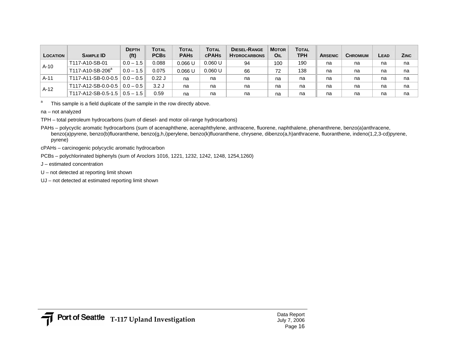| LOCATION | <b>SAMPLE ID</b>              | <b>DEPTH</b><br>(f <sup>t</sup> ) | <b>TOTAL</b><br><b>PCBs</b> | <b>TOTAL</b><br><b>PAHs</b> | <b>TOTAL</b><br><b>CPAHS</b> | <b>DIESEL-RANGE</b><br><b>HYDROCARBONS</b> | <b>MOTOR</b><br>OIL | <b>TOTAL</b><br><b>TPH</b> | <b>ARSENIC</b> | <b>CHROMIUM</b> | LEAD | <b>ZINC</b> |
|----------|-------------------------------|-----------------------------------|-----------------------------|-----------------------------|------------------------------|--------------------------------------------|---------------------|----------------------------|----------------|-----------------|------|-------------|
| $A-10$   | T117-A10-SB-01                | $0.0 - 1.5$                       | 0.088                       | 0.066 U                     | 0.060 U                      | 94                                         | 100                 | 190                        | na             | na              | na   | na          |
|          | T117-A10-SB-206 <sup>a</sup>  | $0.0 - 1.5$                       | 0.075                       | 0.066 U                     | 0.060 U                      | 66                                         | 72                  | 138                        | na             | na              | na   | na          |
| $A-11$   | $T117 - A11 - SB - 0.0 - 0.5$ | $0.0 - 0.5$                       | 0.22 J                      | na                          | na                           | na                                         | na                  | na                         | na             | na              | na   | na          |
|          | T117-A12-SB-0.0-0.5           | $0.0 - 0.5$                       | 3.2J                        | na                          | na                           | na                                         | na                  | na                         | na             | na              | na   | na          |
| $A-12$   | T117-A12-SB-0.5-1.5           | $\mid 0.5-1.5\mid$                | 0.59                        | na                          | na                           | na                                         | na                  | na                         | na             | na              | na   | na          |

<sup>a</sup> This sample is a field duplicate of the sample in the row directly above.

na – not analyzed

TPH – total petroleum hydrocarbons (sum of diesel- and motor oil-range hydrocarbons)

PAHs – polycyclic aromatic hydrocarbons (sum of acenaphthene, acenaphthylene, anthracene, fluorene, naphthalene, phenanthrene, benzo(a)anthracene, benzo(a)pyrene, benzo(b)fluoranthene, benzo(g,h,i)perylene, benzo(k)fluoranthene, chrysene, dibenzo(a,h)anthracene, fluoranthene, indeno(1,2,3-cd)pyrene, pyrene)

cPAHs – carcinogenic polycyclic aromatic hydrocarbon

PCBs – polychlorinated biphenyls (sum of Aroclors 1016, 1221, 1232, 1242, 1248, 1254,1260)

J – estimated concentration

U – not detected at reporting limit shown

UJ – not detected at estimated reporting limit shown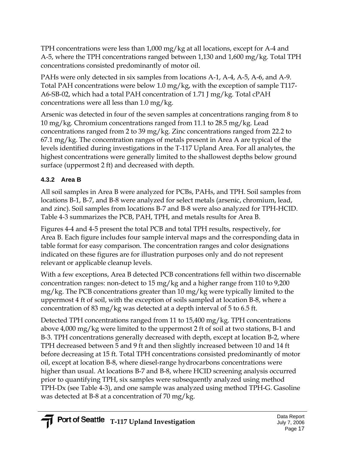<span id="page-24-0"></span>TPH concentrations were less than 1,000 mg/kg at all locations, except for A-4 and A-5, where the TPH concentrations ranged between 1,130 and 1,600 mg/kg. Total TPH concentrations consisted predominantly of motor oil.

PAHs were only detected in six samples from locations A-1, A-4, A-5, A-6, and A-9. Total PAH concentrations were below 1.0 mg/kg, with the exception of sample T117- A6-SB-02, which had a total PAH concentration of 1.71 J mg/kg. Total cPAH concentrations were all less than 1.0 mg/kg.

Arsenic was detected in four of the seven samples at concentrations ranging from 8 to 10 mg/kg. Chromium concentrations ranged from 11.1 to 28.5 mg/kg. Lead concentrations ranged from 2 to 39 mg/kg. Zinc concentrations ranged from 22.2 to 67.1 mg/kg. The concentration ranges of metals present in Area A are typical of the levels identified during investigations in the T-117 Upland Area. For all analytes, the highest concentrations were generally limited to the shallowest depths below ground surface (uppermost 2 ft) and decreased with depth.

### **4.3.2 Area B**

All soil samples in Area B were analyzed for PCBs, PAHs, and TPH. Soil samples from locations B-1, B-7, and B-8 were analyzed for select metals (arsenic, chromium, lead, and zinc). Soil samples from locations B-7 and B-8 were also analyzed for TPH-HCID. Table 4-3 summarizes the PCB, PAH, TPH, and metals results for Area B.

Figures 4-4 and 4-5 present the total PCB and total TPH results, respectively, for Area B. Each figure includes four sample interval maps and the corresponding data in table format for easy comparison. The concentration ranges and color designations indicated on these figures are for illustration purposes only and do not represent relevant or applicable cleanup levels.

With a few exceptions, Area B detected PCB concentrations fell within two discernable concentration ranges: non-detect to 15 mg/kg and a higher range from 110 to 9,200 mg/kg. The PCB concentrations greater than 10 mg/kg were typically limited to the uppermost 4 ft of soil, with the exception of soils sampled at location B-8, where a concentration of 83 mg/kg was detected at a depth interval of 5 to 6.5 ft.

Detected TPH concentrations ranged from 11 to 15,400 mg/kg. TPH concentrations above 4,000 mg/kg were limited to the uppermost 2 ft of soil at two stations, B-1 and B-3. TPH concentrations generally decreased with depth, except at location B-2, where TPH decreased between 5 and 9 ft and then slightly increased between 10 and 14 ft before decreasing at 15 ft. Total TPH concentrations consisted predominantly of motor oil, except at location B-8, where diesel-range hydrocarbons concentrations were higher than usual. At locations B-7 and B-8, where HCID screening analysis occurred prior to quantifying TPH, six samples were subsequently analyzed using method TPH-Dx (see Table 4-3), and one sample was analyzed using method TPH-G. Gasoline was detected at B-8 at a concentration of 70 mg/kg.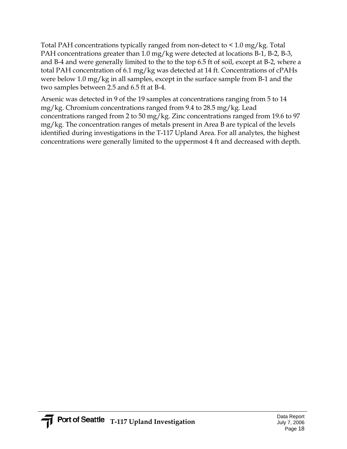Total PAH concentrations typically ranged from non-detect to < 1.0 mg/kg. Total PAH concentrations greater than 1.0 mg/kg were detected at locations B-1, B-2, B-3, and B-4 and were generally limited to the to the top 6.5 ft of soil, except at B-2, where a total PAH concentration of 6.1 mg/kg was detected at 14 ft. Concentrations of cPAHs were below 1.0 mg/kg in all samples, except in the surface sample from B-1 and the two samples between 2.5 and 6.5 ft at B-4.

Arsenic was detected in 9 of the 19 samples at concentrations ranging from 5 to 14 mg/kg. Chromium concentrations ranged from 9.4 to 28.5 mg/kg. Lead concentrations ranged from 2 to 50 mg/kg. Zinc concentrations ranged from 19.6 to 97 mg/kg. The concentration ranges of metals present in Area B are typical of the levels identified during investigations in the T-117 Upland Area. For all analytes, the highest concentrations were generally limited to the uppermost 4 ft and decreased with depth.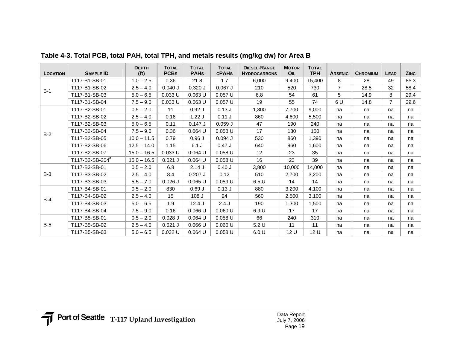<span id="page-26-0"></span>

| <b>LOCATION</b> | <b>SAMPLE ID</b>            | <b>DEPTH</b><br>(f <sup>t</sup> ) | <b>TOTAL</b><br><b>PCBs</b> | <b>TOTAL</b><br><b>PAHS</b> | <b>TOTAL</b><br><b>CPAHS</b> | <b>DIESEL-RANGE</b><br><b>HYDROCARBONS</b> | <b>MOTOR</b><br>OIL | <b>TOTAL</b><br><b>TPH</b> | <b>ARSENIC</b> | <b>CHROMIUM</b> | LEAD           | <b>ZINC</b> |
|-----------------|-----------------------------|-----------------------------------|-----------------------------|-----------------------------|------------------------------|--------------------------------------------|---------------------|----------------------------|----------------|-----------------|----------------|-------------|
|                 | T117-B1-SB-01               | $1.0 - 2.5$                       | 0.36                        | 21.8                        | 1.7                          | 6,000                                      | 9,400               | 15,400                     | 8              | 28              | 49             | 85.3        |
| $B-1$           | T117-B1-SB-02               | $2.5 - 4.0$                       | $0.040$ J                   | $0.320$ J                   | $0.067$ J                    | 210                                        | 520                 | 730                        | $\overline{7}$ | 28.5            | 32             | 58.4        |
|                 | T117-B1-SB-03               | $5.0 - 6.5$                       | 0.033 U                     | $0.063$ U                   | $0.057$ U                    | 6.8                                        | 54                  | 61                         | 5              | 14.9            | 8              | 29.4        |
|                 | T117-B1-SB-04               | $7.5 - 9.0$                       | $0.033$ U                   | $0.063$ U                   | 0.057 U                      | 19                                         | 55                  | 74                         | 6 U            | 14.8            | $\overline{7}$ | 29.6        |
|                 | T117-B2-SB-01               | $0.5 - 2.0$                       | 11                          | 0.92J                       | 0.13J                        | 1,300                                      | 7,700               | 9,000                      | na             | na              | na             | na          |
|                 | T117-B2-SB-02               | $2.5 - 4.0$                       | 0.16                        | 1.22J                       | 0.11J                        | 860                                        | 4,600               | 5,500                      | na             | na              | na             | na          |
|                 | T117-B2-SB-03               | $5.0 - 6.5$                       | 0.11                        | 0.147 J                     | $0.059$ J                    | 47                                         | 190                 | 240                        | na             | na              | na             | na          |
| $B-2$           | T117-B2-SB-04               | $7.5 - 9.0$                       | 0.36                        | $0.064$ U                   | $0.058$ U                    | 17                                         | 130                 | 150                        | na             | na              | na             | na          |
|                 | T117-B2-SB-05               | $10.0 - 11.5$                     | 0.79                        | 0.96J                       | $0.094$ J                    | 530                                        | 860                 | 1,390                      | na             | na              | na             | na          |
|                 | T117-B2-SB-06               | $12.5 - 14.0$                     | 1.15                        | 6.1J                        | 0.47J                        | 640                                        | 960                 | 1.600                      | na             | na              | na             | na          |
|                 | T117-B2-SB-07               | $15.0 - 16.5$                     | $0.033$ U                   | $0.064$ U                   | $0.058$ U                    | 12                                         | 23                  | 35                         | na             | na              | na             | na          |
|                 | T117-B2-SB-204 <sup>a</sup> | $15.0 - 16.5$                     | $0.021$ J                   | $0.064$ U                   | $0.058$ U                    | 16                                         | 23                  | 39                         | na             | na              | na             | na          |
|                 | T117-B3-SB-01               | $0.5 - 2.0$                       | 6.8                         | 2.14J                       | 0.40J                        | 3,800                                      | 10,000              | 14.000                     | na             | na              | na             | na          |
| $B-3$           | T117-B3-SB-02               | $2.5 - 4.0$                       | 8.4                         | $0.207$ J                   | 0.12                         | 510                                        | 2,700               | 3,200                      | na             | na              | na             | na          |
|                 | T117-B3-SB-03               | $5.5 - 7.0$                       | $0.026$ J                   | $0.065$ U                   | 0.059 U                      | 6.5U                                       | 14                  | 14                         | na             | na              | na             | na          |
|                 | T117-B4-SB-01               | $0.5 - 2.0$                       | 830                         | 0.69J                       | 0.13J                        | 880                                        | 3,200               | 4.100                      | na             | na              | na             | na          |
| $B-4$           | T117-B4-SB-02               | $2.5 - 4.0$                       | 15                          | 108J                        | 24                           | 560                                        | 2,500               | 3,100                      | na             | na              | na             | na          |
|                 | T117-B4-SB-03               | $5.0 - 6.5$                       | 1.9                         | $12.4$ J                    | 2.4J                         | 190                                        | 1,300               | 1,500                      | na             | na              | na             | na          |
|                 | T117-B4-SB-04               | $7.5 - 9.0$                       | 0.16                        | 0.066 U                     | 0.060 U                      | 6.9 U                                      | 17                  | 17                         | na             | na              | na             | na          |
|                 | T117-B5-SB-01               | $0.5 - 2.0$                       | $0.028$ J                   | $0.064$ U                   | $0.058$ U                    | 66                                         | 240                 | 310                        | na             | na              | na             | na          |
| $B-5$           | T117-B5-SB-02               | $2.5 - 4.0$                       | $0.021$ J                   | $0.066$ U                   | 0.060 U                      | 5.2U                                       | 11                  | 11                         | na             | na              | na             | na          |
|                 | T117-B5-SB-03               | $5.0 - 6.5$                       | $0.032$ U                   | $0.064$ U                   | $0.058$ U                    | 6.0 U                                      | 12 U                | 12 U                       | na             | na              | na             | na          |

#### **Table 4-3. Total PCB, total PAH, total TPH, and metals results (mg/kg dw) for Area B**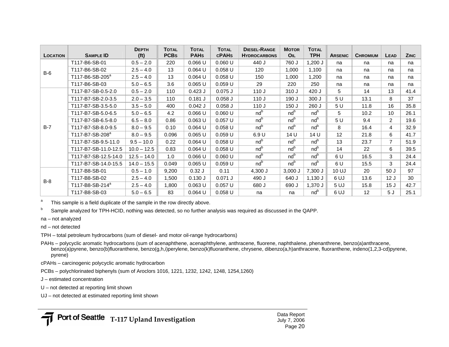| LOCATION | <b>SAMPLE ID</b>            | <b>DEPTH</b><br>(f <sup>t</sup> ) | <b>TOTAL</b><br><b>PCBs</b> | <b>TOTAL</b><br><b>PAHS</b> | <b>TOTAL</b><br><b>CPAHS</b> | <b>DIESEL-RANGE</b><br><b>HYDROCARBONS</b> | <b>MOTOR</b><br><b>OIL</b> | <b>TOTAL</b><br><b>TPH</b> | <b>ARSENIC</b> | <b>CHROMIUM</b>   | LEAD           | <b>ZINC</b> |
|----------|-----------------------------|-----------------------------------|-----------------------------|-----------------------------|------------------------------|--------------------------------------------|----------------------------|----------------------------|----------------|-------------------|----------------|-------------|
|          | T117-B6-SB-01               | $0.5 - 2.0$                       | 220                         | $0.066$ U                   | 0.060 U                      | 440 J                                      | 760 J                      | 1,200 $J$                  | na             | na                | na             | na          |
| $B-6$    | T117-B6-SB-02               | $2.5 - 4.0$                       | 13                          | $0.064$ U                   | 0.058 U                      | 120                                        | 1,000                      | 1,100                      | na             | na                | na             | na          |
|          | T117-B6-SB-205 <sup>a</sup> | $2.5 - 4.0$                       | 13                          | $0.064$ U                   | 0.058 U                      | 150                                        | 1,000                      | 1,200                      | na             | na                | na             | na          |
|          | T117-B6-SB-03               | $5.0 - 6.5$                       | 3.6                         | $0.065$ U                   | 0.059 U                      | 29                                         | 220                        | 250                        | na             | na                | na             | na          |
|          | T117-B7-SB-0.5-2.0          | $0.5 - 2.0$                       | 110                         | $0.423$ J                   | $0.075$ J                    | 110J                                       | 310 J                      | 420 J                      | 5              | 14                | 13             | 41.4        |
|          | T117-B7-SB-2.0-3.5          | $2.0 - 3.5$                       | 110                         | 0.181 J                     | $0.058$ J                    | 110J                                       | 190 J                      | 300 J                      | 5U             | 13.1              | 8              | 37          |
|          | T117-B7-SB-3.5-5.0          | $3.5 - 5.0$                       | 400                         | $0.042$ J                   | $0.058$ J                    | 110J                                       | 150 J                      | 260J                       | 5 U            | 11.8              | 16             | 35.8        |
|          | T117-B7-SB-5.0-6.5          | $5.0 - 6.5$                       | 4.2                         | $0.066$ U                   | 0.060 U                      | nd <sup>b</sup>                            | nd <sup>b</sup>            | nd <sup>b</sup>            | 5              | 10.2              | 10             | 26.1        |
|          | T117-B7-SB-6.5-8.0          | $6.5 - 8.0$                       | 0.86                        | $0.063$ U                   | $0.057$ U                    | nd <sup>b</sup>                            | nd <sup>b</sup>            | nd <sup>b</sup>            | 5 U            | 9.4               | $\overline{2}$ | 19.6        |
| $B-7$    | T117-B7-SB-8.0-9.5          | $8.0 - 9.5$                       | 0.10                        | $0.064$ U                   | 0.058 U                      | nd <sup>b</sup>                            | nd <sup>b</sup>            | nd <sup>b</sup>            | 8              | 16.4              | 4              | 32.9        |
|          | T117-B7-SB-208 <sup>a</sup> | $8.0 - 9.5$                       | 0.096                       | $0.065$ U                   | 0.059 U                      | 6.9 U                                      | 14 U                       | 14 U                       | 12             | 21.8              | 6              | 41.7        |
|          | T117-B7-SB-9.5-11.0         | $9.5 - 10.0$                      | 0.22                        | $0.064$ U                   | 0.058 U                      | nd <sup>b</sup>                            | nd <sup>b</sup>            | nd <sup>b</sup>            | 13             | 23.7              | $\overline{7}$ | 51.9        |
|          | T117-B7-SB-11.0-12.5        | $10.0 - 12.5$                     | 0.83                        | $0.064$ U                   | 0.058 U                      | nd <sup>b</sup>                            | nd <sup>b</sup>            | nd <sup>b</sup>            | 14             | 22                | 6              | 39.5        |
|          | T117-B7-SB-12.5-14.0        | $12.5 - 14.0$                     | 1.0                         | $0.066$ U                   | 0.060 U                      | nd <sup>b</sup>                            | nd <sup>b</sup>            | nd <sup>b</sup>            | 6 U            | 16.5              | 3              | 24.4        |
|          | T117-B7-SB-14.0-15.5        | $14.0 - 15.5$                     | 0.049                       | $0.065$ U                   | 0.059 U                      | nd <sup>b</sup>                            | nd <sup>b</sup>            | nd <sup>b</sup>            | 6 U            | 15.5              | 3              | 24.4        |
|          | T117-B8-SB-01               | $0.5 - 1.0$                       | 9,200                       | $0.32$ J                    | 0.11                         | 4,300 $J$                                  | $3,000$ J                  | 7,300 J                    | 10 UJ          | 20                | 50J            | 97          |
| $B-8$    | T117-B8-SB-02               | $2.5 - 4.0$                       | 1,500                       | 0.130 J                     | $0.071$ J                    | 490 J                                      | 640 J                      | $1.130$ J                  | 6 UJ           | 13.6              | 12J            | 30          |
|          | T117-B8-SB-214 <sup>a</sup> | $2.5 - 4.0$                       | 1,800                       | $0.063$ U                   | $0.057$ U                    | 680 J                                      | 690 J                      | 1,370 J                    | 5 UJ           | 15.8              | 15J            | 42.7        |
|          | T117-B8-SB-03               | $5.0 - 6.5$                       | 83                          | $0.064$ U                   | 0.058 U                      | na                                         | na                         | nd <sup>b</sup>            | 6 UJ           | $12 \overline{ }$ | 5J             | 25.1        |

 $a$  This sample is a field duplicate of the sample in the row directly above.

<sup>b</sup> Sample analyzed for TPH-HCID, nothing was detected, so no further analysis was required as discussed in the QAPP.

na – not analyzed

nd – not detected

TPH – total petroleum hydrocarbons (sum of diesel- and motor oil-range hydrocarbons)

PAHs – polycyclic aromatic hydrocarbons (sum of acenaphthene, acenaphthylene, anthracene, fluorene, naphthalene, phenanthrene, benzo(a)anthracene, benzo(a)pyrene, benzo(b)fluoranthene, benzo(g,h,i)perylene, benzo(k)fluoranthene, chrysene, dibenzo(a,h)anthracene, fluoranthene, indeno(1,2,3-cd)pyrene, pyrene)

cPAHs – carcinogenic polycyclic aromatic hydrocarbon

PCBs – polychlorinated biphenyls (sum of Aroclors 1016, 1221, 1232, 1242, 1248, 1254,1260)

J – estimated concentration

U – not detected at reporting limit shown

UJ – not detected at estimated reporting limit shown

**T** Port of Seattle T-117 Upland Investigation Data Report Data Report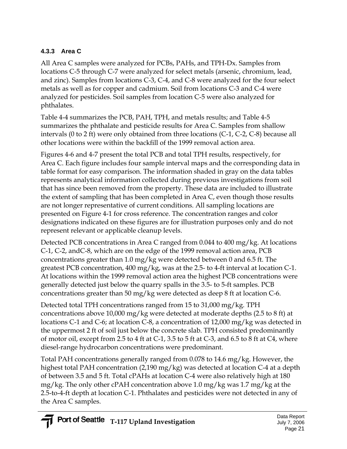### <span id="page-28-0"></span>**4.3.3 Area C**

All Area C samples were analyzed for PCBs, PAHs, and TPH-Dx. Samples from locations C-5 through C-7 were analyzed for select metals (arsenic, chromium, lead, and zinc). Samples from locations C-3, C-4, and C-8 were analyzed for the four select metals as well as for copper and cadmium. Soil from locations C-3 and C-4 were analyzed for pesticides. Soil samples from location C-5 were also analyzed for phthalates.

Table 4-4 summarizes the PCB, PAH, TPH, and metals results; and Table 4-5 summarizes the phthalate and pesticide results for Area C. Samples from shallow intervals (0 to 2 ft) were only obtained from three locations (C-1, C-2, C-8) because all other locations were within the backfill of the 1999 removal action area.

Figures 4-6 and 4-7 present the total PCB and total TPH results, respectively, for Area C. Each figure includes four sample interval maps and the corresponding data in table format for easy comparison. The information shaded in gray on the data tables represents analytical information collected during previous investigations from soil that has since been removed from the property. These data are included to illustrate the extent of sampling that has been completed in Area C, even though those results are not longer representative of current conditions. All sampling locations are presented on Figure 4-1 for cross reference. The concentration ranges and color designations indicated on these figures are for illustration purposes only and do not represent relevant or applicable cleanup levels.

Detected PCB concentrations in Area C ranged from 0.044 to 400 mg/kg. At locations C-1, C-2, andC-8, which are on the edge of the 1999 removal action area, PCB concentrations greater than 1.0 mg/kg were detected between 0 and 6.5 ft. The greatest PCB concentration, 400 mg/kg, was at the 2.5- to 4-ft interval at location C-1. At locations within the 1999 removal action area the highest PCB concentrations were generally detected just below the quarry spalls in the 3.5- to 5-ft samples. PCB concentrations greater than 50 mg/kg were detected as deep 8 ft at location C-6.

Detected total TPH concentrations ranged from 15 to 31,000 mg/kg. TPH concentrations above 10,000 mg/kg were detected at moderate depths (2.5 to 8 ft) at locations C-1 and C-6; at location C-8, a concentration of 12,000 mg/kg was detected in the uppermost 2 ft of soil just below the concrete slab. TPH consisted predominantly of motor oil, except from 2.5 to 4 ft at C-1, 3.5 to 5 ft at C-3, and 6.5 to 8 ft at C4, where diesel-range hydrocarbon concentrations were predominant.

Total PAH concentrations generally ranged from 0.078 to 14.6 mg/kg. However, the highest total PAH concentration (2,190 mg/kg) was detected at location C-4 at a depth of between 3.5 and 5 ft. Total cPAHs at location C-4 were also relatively high at 180 mg/kg. The only other cPAH concentration above 1.0 mg/kg was 1.7 mg/kg at the 2.5-to-4-ft depth at location C-1. Phthalates and pesticides were not detected in any of the Area C samples.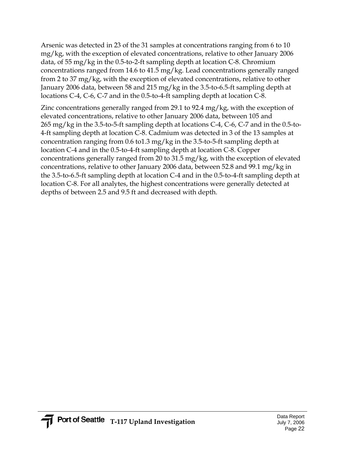Arsenic was detected in 23 of the 31 samples at concentrations ranging from 6 to 10 mg/kg, with the exception of elevated concentrations, relative to other January 2006 data, of 55 mg/kg in the 0.5-to-2-ft sampling depth at location C-8. Chromium concentrations ranged from 14.6 to 41.5 mg/kg. Lead concentrations generally ranged from 2 to 37 mg/kg, with the exception of elevated concentrations, relative to other January 2006 data, between 58 and 215 mg/kg in the 3.5-to-6.5-ft sampling depth at locations C-4, C-6, C-7 and in the 0.5-to-4-ft sampling depth at location C-8.

Zinc concentrations generally ranged from 29.1 to 92.4 mg/kg, with the exception of elevated concentrations, relative to other January 2006 data, between 105 and 265 mg/kg in the 3.5-to-5-ft sampling depth at locations C-4, C-6, C-7 and in the 0.5-to-4-ft sampling depth at location C-8. Cadmium was detected in 3 of the 13 samples at concentration ranging from 0.6 to1.3 mg/kg in the 3.5-to-5-ft sampling depth at location C-4 and in the 0.5-to-4-ft sampling depth at location C-8. Copper concentrations generally ranged from 20 to 31.5 mg/kg, with the exception of elevated concentrations, relative to other January 2006 data, between 52.8 and 99.1 mg/kg in the 3.5-to-6.5-ft sampling depth at location C-4 and in the 0.5-to-4-ft sampling depth at location C-8. For all analytes, the highest concentrations were generally detected at depths of between 2.5 and 9.5 ft and decreased with depth.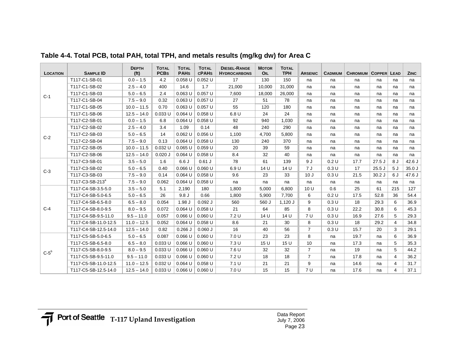<span id="page-30-0"></span>

| <b>LOCATION</b> | <b>SAMPLE ID</b>            | <b>DEPTH</b><br>(f <sub>t</sub> ) | <b>TOTAL</b><br><b>PCBs</b> | <b>TOTAL</b><br><b>PAHS</b> | <b>TOTAL</b><br><b>CPAHS</b> | <b>DIESEL-RANGE</b><br><b>HYDROCARBONS</b> | <b>MOTOR</b><br>OIL | <b>TOTAL</b><br><b>TPH</b> | <b>ARSENIC</b> | <b>CADMIUM</b> | <b>CHROMIUM COPPER</b> |        | LEAD | <b>ZINC</b> |
|-----------------|-----------------------------|-----------------------------------|-----------------------------|-----------------------------|------------------------------|--------------------------------------------|---------------------|----------------------------|----------------|----------------|------------------------|--------|------|-------------|
|                 | T117-C1-SB-01               | $0.0 - 1.5$                       | 4.2                         | 0.058 U                     | 0.052 U                      | 17                                         | 130                 | 150                        | na             | na             | na                     | na     | na   | na          |
|                 | T117-C1-SB-02               | $2.5 - 4.0$                       | 400                         | 14.6                        | 1.7                          | 21,000                                     | 10.000              | 31.000                     | na             | na             | na                     | na     | na   | na          |
| $C-1$           | T117-C1-SB-03               | $5.0 - 6.5$                       | 2.4                         | $0.063$ U                   | 0.057 U                      | 7,600                                      | 18,000              | 26,000                     | na             | na             | na                     | na     | na   | na          |
|                 | T117-C1-SB-04               | $7.5 - 9.0$                       | 0.32                        | $0.063$ U                   | 0.057 U                      | 27                                         | 51                  | 78                         | na             | na             | na                     | na     | na   | na          |
|                 | T117-C1-SB-05               | $10.0 - 11.5$                     | 0.70                        | $0.063$ U                   | $0.057$ U                    | 55                                         | 120                 | 180                        | na             | na             | na                     | na     | na   | na          |
|                 | T117-C1-SB-06               | $12.5 - 14.0$                     | $0.033$ U                   | $0.064$ U                   | $0.058$ U                    | 6.8 U                                      | 24                  | 24                         | na             | na             | na                     | na     | na   | na          |
|                 | T117-C2-SB-01               | $0.0 - 1.5$                       | 6.8                         | $0.064$ U                   | $0.058$ U                    | 92                                         | 940                 | 1,030                      | na             | na             | na                     | na     | na   | na          |
|                 | T117-C2-SB-02               | $2.5 - 4.0$                       | 3.4                         | 1.09                        | 0.14                         | 48                                         | 240                 | 290                        | na             | na             | na                     | na     | na   | na          |
| $C-2$           | T117-C2-SB-03               | $5.0 - 6.5$                       | 14                          | $0.062$ U                   | $0.056$ U                    | 1,100                                      | 4,700               | 5,800                      | na             | na             | na                     | na     | na   | na          |
|                 | T117-C2-SB-04               | $7.5 - 9.0$                       | 0.13                        | $0.064$ U                   | $0.058$ U                    | 130                                        | 240                 | 370                        | na             | na             | na                     | na     | na   | na          |
|                 | T117-C2-SB-05               | $10.0 - 11.5$                     | $0.032$ U                   | 0.065 U                     | $0.059$ U                    | 20                                         | 39                  | 59                         | na             | na             | na                     | na     | na   | na          |
|                 | T117-C2-SB-06               | $12.5 - 14.0$                     | $0.020$ J                   | $0.064$ U                   | $0.058$ U                    | 8.4                                        | 32                  | 40                         | na             | na             | na                     | na     | na   | na          |
|                 | T117-C3-SB-01               | $3.5 - 5.0$                       | 1.6                         | 6.6J                        | $0.61$ J                     | 78                                         | 61                  | 139                        | 9 J            | 0.2 U          | 17.7                   | 27.5 J | 8J   | 42.6J       |
| $C-3$           | T117-C3-SB-02               | $5.0 - 6.5$                       | 0.40                        | $0.066$ U                   | 0.060 U                      | 6.9 U                                      | 14 U                | 14 U                       | 7 J            | 0.3 U          | 17                     | 25.5J  | 5J   | 35.0J       |
|                 | T117-C3-SB-03               | $7.5 - 9.0$                       | 0.14                        | $0.064$ U                   | $0.058$ U                    | 9.6                                        | 23                  | 33                         | 10J            | 0.3 U          | 21.5                   | 30.2J  | 6 J  | 47.6 J      |
|                 | T117-C3-SB-213 <sup>a</sup> | $7.5 - 9.0$                       | 0.062                       | $0.064$ U                   | $0.058$ U                    | na                                         | na                  | na                         | na             | na             | na                     | na     | na   | na          |
|                 | T117-C4-SB-3.5-5.0          | $3.5 - 5.0$                       | 5.1                         | 2,190                       | 180                          | 1,800                                      | 5,000               | 6,800                      | 10U            | 0.6            | 25                     | 61     | 215  | 127         |
|                 | T117-C4-SB-5.0-6.5          | $5.0 - 6.5$                       | 26                          | 9.8J                        | 0.66                         | 1,800                                      | 5,900               | 7,700                      | 6              | 0.2 U          | 17.5                   | 52.8   | 36   | 54.4        |
|                 | T117-C4-SB-6.5-8.0          | $6.5 - 8.0$                       | 0.054                       | 1.98J                       | $0.092$ J                    | 560                                        | 560 J               | $1,120$ J                  | 9              | 0.3U           | 18                     | 29.3   | 6    | 36.9        |
| $C-4$           | T117-C4-SB-8.0-9.5          | $8.0 - 9.5$                       | 0.072                       | $0.064$ U                   | 0.058 U                      | 21                                         | 64                  | 85                         | 8              | 0.3 U          | 22.2                   | 30.8   | 6    | 45.3        |
|                 | T117-C4-SB-9.5-11.0         | $9.5 - 11.0$                      | 0.057                       | 0.066 U                     | 0.060 U                      | 7.2U                                       | 14 U                | 14 U                       | 7 U            | 0.3U           | 16.9                   | 27.6   | 5    | 29.3        |
|                 | T117-C4-SB-11.0-12.5        | $11.0 - 12.5$                     | 0.052                       | $0.064$ U                   | $0.058$ U                    | 8.6                                        | 21                  | 30                         | 8              | 0.3U           | 18                     | 29.2   | 4    | 34.8        |
|                 | T117-C4-SB-12.5-14.0        | $12.5 - 14.0$                     | 0.82                        | $0.266$ J                   | $0.060$ J                    | 16                                         | 40                  | 56                         | $\overline{7}$ | 0.3 U          | 15.7                   | 20     | 3    | 29.1        |
|                 | T117-C5-SB-5.0-6.5          | $5.0 - 6.5$                       | 0.087                       | 0.066 U                     | 0.060 U                      | 7.0 U                                      | 23                  | 23                         | 8              | na             | 19.7                   | na     | 6    | 36.9        |
|                 | T117-C5-SB-6.5-8.0          | $6.5 - 8.0$                       | 0.033 U                     | $0.066$ U                   | 0.060 U                      | 7.3U                                       | 15U                 | 15 U                       | 10             | na             | 17.3                   | na     | 5    | 35.3        |
| $C-5^b$         | T117-C5-SB-8.0-9.5          | $8.0 - 9.5$                       | $0.033$ U                   | $0.066$ U                   | 0.060 U                      | 7.6 U                                      | 32                  | 32                         | $\overline{7}$ | na             | 19                     | na     | 5    | 44.2        |
|                 | T117-C5-SB-9.5-11.0         | $9.5 - 11.0$                      | $0.033$ U                   | $0.066$ U                   | $0.060$ U                    | 7.2 U                                      | 18                  | 18                         | $\overline{7}$ | na             | 17.8                   | na     | 4    | 36.2        |
|                 | T117-C5-SB-11.0-12.5        | $11.0 - 12.5$                     | $0.032$ U                   | $0.064$ U                   | $0.058$ U                    | 7.1 U                                      | 21                  | 21                         | 9              | na             | 14.6                   | na     | 4    | 31.7        |
|                 | T117-C5-SB-12.5-14.0        | $12.5 - 14.0$                     | $0.033$ U                   | $0.066$ U                   | 0.060 U                      | 7.0 U                                      | 15                  | 15                         | 7 U            | na             | 17.6                   | na     | 4    | 37.1        |

#### **Table 4-4. Total PCB, total PAH, total TPH, and metals results (mg/kg dw) for Area C**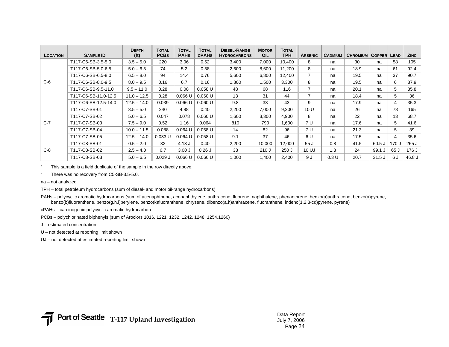| LOCATION | <b>SAMPLE ID</b>     | <b>DEPTH</b><br>(f <sup>t</sup> ) | <b>TOTAL</b><br><b>PCBs</b> | <b>TOTAL</b><br><b>PAHS</b> | TOTAL<br><b>CPAHS</b> | <b>DIESEL-RANGE</b><br><b>HYDROCARBONS</b> | <b>MOTOR</b><br>OIL | TOTAL<br>TPH | <b>ARSENIC</b> | <b>CADMIUM</b> | <b>CHROMIUM</b> | <b>COPPER</b> | LEAD  | <b>ZINC</b> |
|----------|----------------------|-----------------------------------|-----------------------------|-----------------------------|-----------------------|--------------------------------------------|---------------------|--------------|----------------|----------------|-----------------|---------------|-------|-------------|
|          | T117-C6-SB-3.5-5.0   | $3.5 - 5.0$                       | 220                         | 3.06                        | 0.52                  | 3,400                                      | 7,000               | 10,400       | 8              | na             | 30              | na            | 58    | 105         |
|          | T117-C6-SB-5.0-6.5   | $5.0 - 6.5$                       | 74                          | 5.2                         | 0.58                  | 2,600                                      | 8,600               | 11,200       | 8              | na             | 18.9            | na            | 61    | 92.4        |
|          | T117-C6-SB-6.5-8.0   | $6.5 - 8.0$                       | 94                          | 14.4                        | 0.76                  | 5,600                                      | 6,800               | 12,400       | $\overline{7}$ | na             | 19.5            | na            | 37    | 90.7        |
| $C-6$    | T117-C6-SB-8.0-9.5   | $8.0 - 9.5$                       | 0.16                        | 6.7                         | 0.16                  | 1,800                                      | 1,500               | 3,300        | 8              | na             | 19.5            | na            | 6     | 37.9        |
|          | T117-C6-SB-9.5-11.0  | $9.5 - 11.0$                      | 0.28                        | 0.08                        | 0.058 U               | 48                                         | 68                  | 116          |                | na             | 20.1            | na            | 5     | 35.8        |
|          | T117-C6-SB-11.0-12.5 | $11.0 - 12.5$                     | 0.28                        | 0.066 U                     | 0.060 U               | 13                                         | 31                  | 44           | $\overline{7}$ | na             | 18.4            | na            | 5.    | 36          |
|          | T117-C6-SB-12.5-14.0 | $12.5 - 14.0$                     | 0.039                       | 0.066 U                     | 0.060 U               | 9.8                                        | 33                  | 43           | 9              | na             | 17.9            | na            | 4     | 35.3        |
|          | T117-C7-SB-01        | $3.5 - 5.0$                       | 240                         | 4.88                        | 0.40                  | 2,200                                      | 7,000               | 9,200        | 10U            | na             | 26              | na            | 78    | 165         |
|          | T117-C7-SB-02        | $5.0 - 6.5$                       | 0.047                       | 0.078                       | $0.060$ U             | 1.600                                      | 3,300               | 4,900        | 8              | na             | 22              | na            | 13    | 68.7        |
| $C-7$    | T117-C7-SB-03        | $7.5 - 9.0$                       | 0.52                        | 1.16                        | 0.064                 | 810                                        | 790                 | 1.600        | 7 U            | na             | 17.6            | na            | 5     | 41.6        |
|          | T117-C7-SB-04        | $10.0 - 11.5$                     | 0.088                       | $0.064$ U                   | $0.058$ U             | 14                                         | 82                  | 96           | 7 U            | na             | 21.3            | na            | 5     | 39          |
|          | T117-C7-SB-05        | $12.5 - 14.0$                     | 0.033U                      | $0.064$ U                   | 0.058 U               | 9.1                                        | 37                  | 46           | 6 U            | na             | 17.5            | na            | 4     | 35.6        |
|          | T117-C8-SB-01        | $0.5 - 2.0$                       | 32                          | 4.18 J                      | 0.40                  | 2,200                                      | 10,000              | 12,000       | 55 J           | 0.8            | 41.5            | $60.5$ J      | 170 J | 265 J       |
| $C-8$    | T117-C8-SB-02        | $2.5 - 4.0$                       | 6.7                         | $3.00$ J                    | $0.26$ J              | 38                                         | 210J                | 250J         | 10 UJ          | 1.3            | 24              | 99.1 J        | 65 J  | 176 J       |
|          | T117-C8-SB-03        | $5.0 - 6.5$                       | $0.029$ J                   | $0.066$ U                   | 0.060 U               | 1,000                                      | 1,400               | 2,400        | 9 J            | 0.3 U          | 20.7            | $31.5$ J      | 6 J   | 46.8 J      |

aThis sample is a field duplicate of the sample in the row directly above.

bThere was no recovery from C5-SB-3.5-5.0.

na – not analyzed

TPH – total petroleum hydrocarbons (sum of diesel- and motor oil-range hydrocarbons)

PAHs - polycyclic aromatic hydrocarbons (sum of acenaphthene, acenaphthylene, anthracene, fluorene, naphthalene, phenanthrene, benzo(a)anthracene, benzo(a)pyrene, benzo(b)fluoranthene, benzo(g,h,i)perylene, benzo(k)fluoranthene, chrysene, dibenzo(a,h)anthracene, fluoranthene, indeno(1,2,3-cd)pyrene, pyrene)

cPAHs – carcinogenic polycyclic aromatic hydrocarbon

PCBs – polychlorinated biphenyls (sum of Aroclors 1016, 1221, 1232, 1242, 1248, 1254,1260)

J – estimated concentration

U – not detected at reporting limit shown

UJ – not detected at estimated reporting limit shown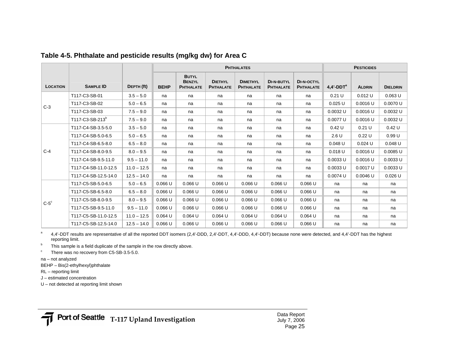|                    |                             |               |             |                                                   |                                    | <b>PHTHALATES</b>                   |                                |                                       |                          | <b>PESTICIDES</b> |                 |
|--------------------|-----------------------------|---------------|-------------|---------------------------------------------------|------------------------------------|-------------------------------------|--------------------------------|---------------------------------------|--------------------------|-------------------|-----------------|
| <b>LOCATION</b>    | <b>SAMPLE ID</b>            | DEPTH (ft)    | <b>BEHP</b> | <b>BUTYL</b><br><b>BENZYL</b><br><b>PHTHALATE</b> | <b>DIETHYL</b><br><b>PHTHALATE</b> | <b>DIMETHYL</b><br><b>PHTHALATE</b> | DI-N-BUTYL<br><b>PHTHALATE</b> | <b>DI-N-OCTYL</b><br><b>PHTHALATE</b> | $4.4'$ -DDT <sup>a</sup> | <b>ALDRIN</b>     | <b>DIELDRIN</b> |
|                    | T117-C3-SB-01               | $3.5 - 5.0$   | na          | na                                                | na                                 | na                                  | na                             | na                                    | 0.21 U                   | $0.012$ U         | $0.063$ U       |
| $C-3$              | T117-C3-SB-02               | $5.0 - 6.5$   | na          | na                                                | na                                 | na                                  | na                             | na                                    | 0.025 U                  | $0.0016$ U        | 0.0070 U        |
|                    | T117-C3-SB-03               | $7.5 - 9.0$   | na          | na                                                | na                                 | na                                  | na                             | na                                    | 0.0032 U                 | $0.0016$ U        | 0.0032 U        |
|                    | T117-C3-SB-213 <sup>b</sup> | $7.5 - 9.0$   | na          | na                                                | na                                 | na                                  | na                             | na                                    | 0.0077 U                 | $0.0016$ U        | 0.0032 U        |
|                    | T117-C4-SB-3.5-5.0          | $3.5 - 5.0$   | na          | na                                                | na                                 | na                                  | na                             | na                                    | 0.42U                    | $0.21$ U          | 0.42U           |
|                    | T117-C4-SB-5.0-6.5          | $5.0 - 6.5$   | na          | na                                                | na                                 | na                                  | na                             | na                                    | 2.6 U                    | 0.22U             | 0.99U           |
|                    | T117-C4-SB-6.5-8.0          | $6.5 - 8.0$   | na          | na                                                | na                                 | na                                  | na                             | na                                    | $0.048$ U                | $0.024$ U         | $0.048$ U       |
| $C-4$              | T117-C4-SB-8.0-9.5          | $8.0 - 9.5$   | na          | na                                                | na                                 | na                                  | na                             | na                                    | $0.018$ U                | $0.0016$ U        | 0.0085 U        |
|                    | T117-C4-SB-9.5-11.0         | $9.5 - 11.0$  | na          | na                                                | na                                 | na                                  | na                             | na                                    | 0.0033 U                 | $0.0016$ U        | 0.0033 U        |
|                    | T117-C4-SB-11.0-12.5        | $11.0 - 12.5$ | na          | na                                                | na                                 | na                                  | na                             | na                                    | 0.0033 U                 | 0.0017 U          | 0.0033 U        |
|                    | T117-C4-SB-12.5-14.0        | $12.5 - 14.0$ | na          | na                                                | na                                 | na                                  | na                             | na                                    | 0.0074 U                 | $0.0046$ U        | $0.026$ U       |
|                    | T117-C5-SB-5.0-6.5          | $5.0 - 6.5$   | $0.066$ U   | $0.066$ U                                         | $0.066$ U                          | $0.066$ U                           | $0.066$ U                      | $0.066$ U                             | na                       | na                | na              |
|                    | T117-C5-SB-6.5-8.0          | $6.5 - 8.0$   | $0.066$ U   | $0.066$ U                                         | $0.066$ U                          | $0.066$ U                           | $0.066$ U                      | $0.066$ U                             | na                       | na                | na              |
| $C-5$ <sup>c</sup> | T117-C5-SB-8.0-9.5          | $8.0 - 9.5$   | $0.066$ U   | $0.066$ U                                         | $0.066$ U                          | $0.066$ U                           | $0.066$ U                      | $0.066$ U                             | na                       | na                | na              |
|                    | T117-C5-SB-9.5-11.0         | $9.5 - 11.0$  | $0.066$ U   | $0.066$ U                                         | $0.066$ U                          | $0.066$ U                           | $0.066$ U                      | $0.066$ U                             | na                       | na                | na              |
|                    | T117-C5-SB-11.0-12.5        | $11.0 - 12.5$ | $0.064$ U   | $0.064$ U                                         | $0.064$ U                          | $0.064$ U                           | $0.064$ U                      | $0.064$ U                             | na                       | na                | na              |
|                    | T117-C5-SB-12.5-14.0        | $12.5 - 14.0$ | $0.066$ U   | $0.066$ U                                         | $0.066$ U                          | $0.066$ U                           | $0.066$ U                      | $0.066$ U                             | na                       | na                | na              |

#### **Table 4-5. Phthalate and pesticide results (mg/kg dw) for Area C**

a 4,4'-DDT results are representative of all the reported DDT isomers (2,4'-DDD, 2,4'-DDT, 4,4'-DDD, 4,4'-DDT) because none were detected, and 4,4'-DDT has the highest reporting limit.

bThis sample is a field duplicate of the sample in the row directly above.

<sup>c</sup> There was no recovery from C5-SB-3.5-5.0.

na – not analyzed

BEHP – Bis(2-ethylhexyl)phthalate

RL – reporting limit

J – estimated concentration

U – not detected at reporting limit shown

<span id="page-32-0"></span>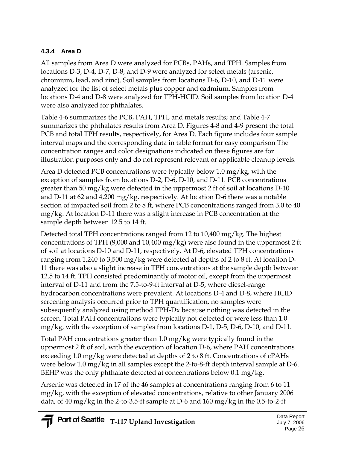#### <span id="page-33-0"></span>**4.3.4 Area D**

All samples from Area D were analyzed for PCBs, PAHs, and TPH. Samples from locations D-3, D-4, D-7, D-8, and D-9 were analyzed for select metals (arsenic, chromium, lead, and zinc). Soil samples from locations D-6, D-10, and D-11 were analyzed for the list of select metals plus copper and cadmium. Samples from locations D-4 and D-8 were analyzed for TPH-HCID. Soil samples from location D-4 were also analyzed for phthalates.

Table 4-6 summarizes the PCB, PAH, TPH, and metals results; and Table 4-7 summarizes the phthalates results from Area D. Figures 4-8 and 4-9 present the total PCB and total TPH results, respectively, for Area D. Each figure includes four sample interval maps and the corresponding data in table format for easy comparison The concentration ranges and color designations indicated on these figures are for illustration purposes only and do not represent relevant or applicable cleanup levels.

Area D detected PCB concentrations were typically below 1.0 mg/kg, with the exception of samples from locations D-2, D-6, D-10, and D-11. PCB concentrations greater than 50 mg/kg were detected in the uppermost 2 ft of soil at locations D-10 and D-11 at 62 and 4,200 mg/kg, respectively. At location D-6 there was a notable section of impacted soil from 2 to 8 ft, where PCB concentrations ranged from 3.0 to 40 mg/kg. At location D-11 there was a slight increase in PCB concentration at the sample depth between 12.5 to 14 ft.

Detected total TPH concentrations ranged from 12 to 10,400 mg/kg. The highest concentrations of TPH (9,000 and 10,400 mg/kg) were also found in the uppermost 2 ft of soil at locations D-10 and D-11, respectively. At D-6, elevated TPH concentrations ranging from 1,240 to 3,500 mg/kg were detected at depths of 2 to 8 ft. At location D-11 there was also a slight increase in TPH concentrations at the sample depth between 12.5 to 14 ft. TPH consisted predominantly of motor oil, except from the uppermost interval of D-11 and from the 7.5-to-9-ft interval at D-5, where diesel-range hydrocarbon concentrations were prevalent. At locations D-4 and D-8, where HCID screening analysis occurred prior to TPH quantification, no samples were subsequently analyzed using method TPH-Dx because nothing was detected in the screen. Total PAH concentrations were typically not detected or were less than 1.0 mg/kg, with the exception of samples from locations D-1, D-5, D-6, D-10, and D-11.

Total PAH concentrations greater than 1.0 mg/kg were typically found in the uppermost 2 ft of soil, with the exception of location D-6, where PAH concentrations exceeding 1.0 mg/kg were detected at depths of 2 to 8 ft. Concentrations of cPAHs were below 1.0 mg/kg in all samples except the 2-to-8-ft depth interval sample at D-6. BEHP was the only phthalate detected at concentrations below 0.1 mg/kg.

Arsenic was detected in 17 of the 46 samples at concentrations ranging from 6 to 11 mg/kg, with the exception of elevated concentrations, relative to other January 2006 data, of 40 mg/kg in the 2-to-3.5-ft sample at D-6 and 160 mg/kg in the 0.5-to-2-ft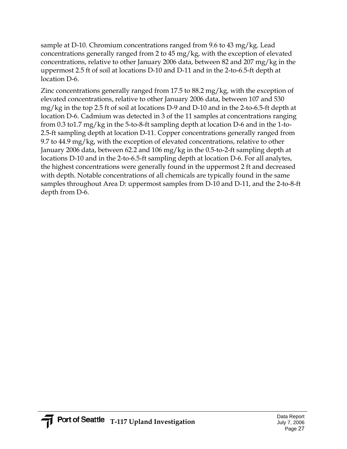sample at D-10. Chromium concentrations ranged from 9.6 to 43 mg/kg. Lead concentrations generally ranged from 2 to 45 mg/kg, with the exception of elevated concentrations, relative to other January 2006 data, between 82 and 207 mg/kg in the uppermost 2.5 ft of soil at locations D-10 and D-11 and in the 2-to-6.5-ft depth at location D-6.

Zinc concentrations generally ranged from 17.5 to 88.2 mg/kg, with the exception of elevated concentrations, relative to other January 2006 data, between 107 and 530 mg/kg in the top 2.5 ft of soil at locations D-9 and D-10 and in the 2-to-6.5-ft depth at location D-6. Cadmium was detected in 3 of the 11 samples at concentrations ranging from 0.3 to1.7 mg/kg in the 5-to-8-ft sampling depth at location D-6 and in the 1-to-2.5-ft sampling depth at location D-11. Copper concentrations generally ranged from 9.7 to 44.9 mg/kg, with the exception of elevated concentrations, relative to other January 2006 data, between 62.2 and 106 mg/kg in the 0.5-to-2-ft sampling depth at locations D-10 and in the 2-to-6.5-ft sampling depth at location D-6. For all analytes, the highest concentrations were generally found in the uppermost 2 ft and decreased with depth. Notable concentrations of all chemicals are typically found in the same samples throughout Area D: uppermost samples from D-10 and D-11, and the 2-to-8-ft depth from D-6.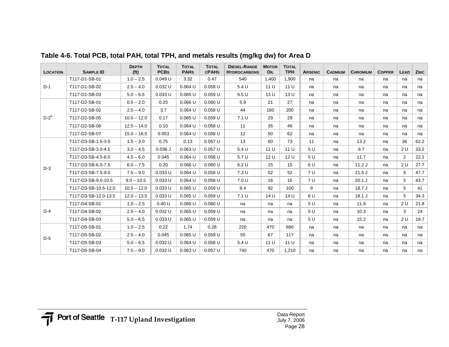<span id="page-35-0"></span>

| <b>LOCATION</b> | <b>SAMPLE ID</b>     | <b>DEPTH</b><br>(f <sup>t</sup> ) | <b>TOTAL</b><br><b>PCBs</b> | <b>TOTAL</b><br><b>PAHs</b> | <b>TOTAL</b><br><b>CPAHS</b> | <b>DIESEL-RANGE</b><br><b>HYDROCARBONS</b> | <b>MOTOR</b><br>OIL | <b>TOTAL</b><br><b>TPH</b> | <b>ARSENIC</b> | <b>CADMIUM</b> | <b>CHROMIUM</b> | <b>COPPER</b> | <b>LEAD</b> | <b>ZINC</b> |
|-----------------|----------------------|-----------------------------------|-----------------------------|-----------------------------|------------------------------|--------------------------------------------|---------------------|----------------------------|----------------|----------------|-----------------|---------------|-------------|-------------|
|                 | T117-D1-SB-01        | $1.0 - 2.5$                       | 0.049 U                     | 3.32                        | 0.47                         | 540                                        | 1,400               | 1,900                      | na             | na             | na              | na            | na          | na          |
| $D-1$           | T117-D1-SB-02        | $2.5 - 4.0$                       | $0.032$ U                   | $0.064$ U                   | $0.058$ U                    | 5.4 U                                      | 11 <sup>U</sup>     | 11 <sup>U</sup>            | na             | na             | na              | na            | na          | na          |
|                 | T117-D1-SB-03        | $5.0 - 6.5$                       | $0.033$ U                   | $0.065$ U                   | $0.059$ U                    | 6.5U                                       | 13 U                | 13 <sup>U</sup>            | na             | na             | na              | na            | na          | na          |
|                 | T117-D2-SB-01        | $0.5 - 2.0$                       | 0.25                        | 0.066 U                     | 0.060 U                      | 5.9                                        | 21                  | 27                         | na             | na             | na              | na            | na          | na          |
|                 | T117-D2-SB-02        | $2.5 - 4.0$                       | 3.7                         | $0.064$ U                   | $0.058$ U                    | 44                                         | 160                 | 200                        | na             | na             | na              | na            | na          | na          |
| $D-2^b$         | T117-D2-SB-05        | $10.0 - 12.0$                     | 0.17                        | $0.065$ U                   | 0.059 U                      | 7.1 U                                      | 29                  | 29                         | na             | na             | na              | na            | na          | na          |
|                 | T117-D2-SB-06        | $12.5 - 14.0$                     | 0.10                        | $0.064$ U                   | $0.058$ U                    | 11                                         | 35                  | 46                         | na             | na             | na              | na            | na          | na          |
|                 | T117-D2-SB-07        | $15.0 - 16.5$                     | 0.053                       | $0.064$ U                   | $0.058$ U                    | 12                                         | 50                  | 62                         | na             | na             | na              | na            | na          | na          |
|                 | T117-D3-SB-1.5-3.0   | $1.5 - 3.0$                       | 0.75                        | 0.13                        | $0.057$ U                    | 13                                         | 60                  | 73                         | 11             | na             | 13.2            | na            | 36          | 62.2        |
|                 | T117-D3-SB-3.0-4.5   | $3.0 - 4.5$                       | $0.036$ J                   | $0.063$ U                   | 0.057U                       | 5.4 U                                      | 11 <sup>U</sup>     | 11 U                       | 5 U            | na             | 9.7             | na            | 2U          | 33.2        |
|                 | T117-D3-SB-4.5-6.0   | $4.5 - 6.0$                       | 0.045                       | $0.064$ U                   | $0.058$ U                    | 5.7 U                                      | 12 U                | 12 <sub>U</sub>            | 5 U            | na             | 11.7            | na            | 2           | 22.1        |
| $D-3$           | T117-D3-SB-6.0-7.5   | $6.0 - 7.5$                       | 0.20                        | $0.066$ U                   | 0.060 U                      | 6.2 U                                      | 15                  | 15                         | 6 U            | na             | $11.2$ J        | na            | 2U          | 27.7        |
|                 | T117-D3-SB-7.5-9.0   | $7.5 - 9.0$                       | $0.033$ U                   | $0.064$ U                   | $0.058$ U                    | 7.3 U                                      | 52                  | 52                         | 7 U            | na             | $21.5$ J        | na            | 6           | 47.7        |
|                 | T117-D3-SB-9.0-10.5  | $9.0 - 10.5$                      | $0.033$ U                   | $0.064$ U                   | $0.058$ U                    | 7.0 U                                      | 16                  | 16                         | 7 U            | na             | 20.1 J          | na            | 5           | 43.7        |
|                 | T117-D3-SB-10.5-12.0 | $10.5 - 12.0$                     | $0.033$ U                   | $0.065$ U                   | 0.059 U                      | 8.4                                        | 92                  | 100                        | 9              | na             | 18.7 J          | na            | 5           | 41          |
|                 | T117-D3-SB-12.0-13.5 | $12.0 - 13.5$                     | $0.033$ U                   | $0.065$ U                   | 0.059U                       | 7.1 U                                      | 14 U                | 14 U                       | 6 U            | na             | $18.1$ J        | na            | 5           | 34.3        |
|                 | T117-D4-SB-01        | $1.0 - 2.5$                       | 0.40U                       | $0.066$ U                   | 0.060 U                      | na                                         | na                  | na                         | 5 U            | na             | 11.9            | na            | 2 U         | 21.8        |
| $D-4$           | T117-D4-SB-02        | $2.5 - 4.0$                       | $0.032$ U                   | $0.065$ U                   | 0.059U                       | na                                         | na                  | na                         | 5 U            | na             | 10.3            | na            | 3           | 24          |
|                 | T117-D4-SB-03        | $5.0 - 6.5$                       | $0.033$ U                   | $0.065$ U                   | 0.059U                       | na                                         | na                  | na                         | 5 U            | na             | 15.2            | na            | 2U          | 19.7        |
|                 | T117-D5-SB-01        | $1.0 - 2.5$                       | 0.22                        | 1.74                        | 0.28                         | 220                                        | 470                 | 690                        | na             | na             | na              | na            | na          | na          |
| $D-5$           | T117-D5-SB-02        | $2.5 - 4.0$                       | 0.045                       | $0.065$ U                   | 0.059 U                      | 50                                         | 67                  | 117                        | na             | na             | na              | na            | na          | na          |
|                 | T117-D5-SB-03        | $5.0 - 6.5$                       | $0.032$ U                   | $0.064$ U                   | $0.058$ U                    | 5.4 U                                      | 11 <sub>U</sub>     | 11 U                       | na             | na             | na              | na            | na          | na          |
|                 | T117-D5-SB-04        | $7.5 - 9.0$                       | $0.032$ U                   | $0.063$ U                   | $0.057$ U                    | 740                                        | 470                 | 1,210                      | na             | na             | na              | na            | na          | na          |

#### **Table 4-6. Total PCB, total PAH, total TPH, and metals results (mg/kg dw) for Area D**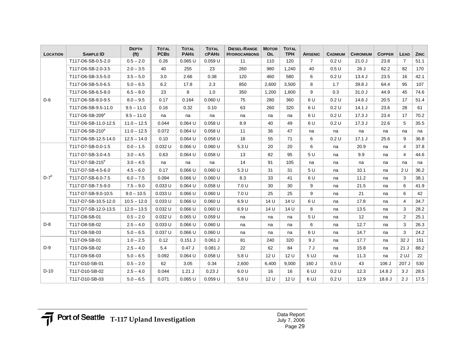| <b>LOCATION</b> | <b>SAMPLE ID</b>            | <b>DEPTH</b><br>(f <sup>t</sup> ) | <b>TOTAL</b><br><b>PCBs</b> | <b>TOTAL</b><br><b>PAHs</b> | <b>TOTAL</b><br><b>CPAHS</b> | <b>DIESEL-RANGE</b><br><b>HYDROCARBONS</b> | <b>MOTOR</b><br><b>OIL</b> | <b>TOTAL</b><br><b>TPH</b> | <b>ARSENIC</b> | <b>CADMIUM</b> | <b>CHROMIUM</b> | <b>COPPER</b> | <b>LEAD</b>     | <b>ZINC</b> |
|-----------------|-----------------------------|-----------------------------------|-----------------------------|-----------------------------|------------------------------|--------------------------------------------|----------------------------|----------------------------|----------------|----------------|-----------------|---------------|-----------------|-------------|
|                 | T117-D6-SB-0.5-2.0          | $0.5 - 2.0$                       | 0.26                        | $0.065$ U                   | 0.059 U                      | 11                                         | 110                        | 120                        | $\overline{7}$ | 0.2 U          | 21.0J           | 23.8          | $\overline{7}$  | 51.1        |
|                 | T117-D6-SB-2.0-3.5          | $2.0 - 3.5$                       | 40                          | 255                         | 23                           | 260                                        | 980                        | 1,240                      | 40             | 0.5U           | 26J             | 62.2          | 82              | 170         |
|                 | T117-D6-SB-3.5-5.0          | $3.5 - 5.0$                       | 3.0                         | 2.66                        | 0.38                         | 120                                        | 460                        | 580                        | 6              | 0.2 U          | 13.4 J          | 23.5          | 16              | 42.1        |
|                 | T117-D6-SB-5.0-6.5          | $5.0 - 6.5$                       | 6.2                         | 17.8                        | 2.3                          | 850                                        | 2,600                      | 3,500                      | 8              | 1.7            | 39.8 J          | 64.4          | 95              | 107         |
|                 | T117-D6-SB-6.5-8.0          | $6.5 - 8.0$                       | 23                          | 8                           | 1.0                          | 350                                        | 1,200                      | 1,600                      | 9              | 0.3            | 31.0J           | 44.9          | 45              | 74.6        |
| $D-6$           | T117-D6-SB-8.0-9.5          | $8.0 - 9.5$                       | 0.17                        | 0.164                       | 0.060U                       | 75                                         | 280                        | 360                        | 6 U            | 0.2 U          | 14.6 J          | 20.5          | 17              | 51.4        |
|                 | T117-D6-SB-9.5-11.0         | $9.5 - 11.0$                      | 0.16                        | 0.32                        | 0.10                         | 63                                         | 260                        | 320                        | 6 U            | 0.2 U          | $14.1$ J        | 23.6          | 28              | 61          |
|                 | T117-D6-SB-209 <sup>a</sup> | $9.5 - 11.0$                      | na                          | na                          | na                           | na                                         | na                         | na                         | 6 U            | 0.2 U          | $17.3$ J        | 23.4          | 17              | 70.2        |
|                 | T117-D6-SB-11.0-12.5        | $11.0 - 12.5$                     | 0.044                       | $0.064$ U                   | $0.058$ U                    | 8.9                                        | 40                         | 49                         | 6 U            | 0.2 U          | $17.3$ J        | 22.6          | 5               | 35.5        |
|                 | T117-D6-SB-210 <sup>a</sup> | $11.0 - 12.5$                     | 0.072                       | $0.064$ U                   | $0.058$ U                    | 11                                         | 36                         | 47                         | na             | na             | na              | na            | na              | na          |
|                 | T117-D6-SB-12.5-14.0        | $12.5 - 14.0$                     | 0.10                        | $0.064$ U                   | $0.058$ U                    | 16                                         | 55                         | 71                         | 6              | 0.2 U          | $17.1$ J        | 25.6          | 9               | 36.8        |
|                 | T117-D7-SB-0.0-1.5          | $0.0 - 1.5$                       | $0.032$ U                   | $0.066$ U                   | 0.060 U                      | 5.3U                                       | 20                         | 20                         | 6              | na             | 20.9            | na            | $\overline{4}$  | 37.8        |
|                 | T117-D7-SB-3.0-4.5          | $3.0 - 4.5$                       | 0.63                        | $0.064$ U                   | $0.058$ U                    | 13                                         | 82                         | 95                         | 5U             | na             | 9.9             | na            | $\overline{4}$  | 44.6        |
|                 | T117-D7-SB-215 <sup>a</sup> | $3.0 - 4.5$                       | na                          | na                          | na                           | 14                                         | 91                         | 105                        | na             | na             | na              | na            | na              | na          |
|                 | T117-D7-SB-4.5-6.0          | $4.5 - 6.0$                       | 0.17                        | $0.066$ U                   | 0.060 U                      | 5.3U                                       | 31                         | 31                         | 5 U            | na             | 10.1            | na            | 2 U             | 36.2        |
| $D-7^b$         | T117-D7-SB-6.0-7.5          | $6.0 - 7.5$                       | 0.094                       | $0.066$ U                   | 0.060 U                      | 8.3                                        | 33                         | 41                         | 6 U            | na             | 11.2            | na            | 3               | 38.1        |
|                 | T117-D7-SB-7.5-9.0          | $7.5 - 9.0$                       | 0.033U                      | $0.064$ U                   | $0.058$ U                    | 7.0 U                                      | 30                         | 30                         | 9              | na             | 21.5            | na            | 6               | 41.9        |
|                 | T117-D7-SB-9.0-10.5         | $9.0 - 10.5$                      | 0.033 U                     | $0.066$ U                   | 0.060 U                      | 7.0 U                                      | 25                         | 25                         | 9              | na             | 21              | na            | 6               | 42          |
|                 | T117-D7-SB-10.5-12.0        | $10.5 - 12.0$                     | 0.033 U                     | $0.066$ U                   | 0.060 U                      | 6.9 U                                      | 14 U                       | 14 U                       | 6 U            | na             | 17.8            | na            | 4               | 34.7        |
|                 | T117-D7-SB-12.0-13.5        | $12.0 - 13.5$                     | $0.032$ U                   | $0.066$ U                   | 0.060 U                      | 6.9 U                                      | 14 U                       | 14 U                       | 8              | na             | 13.5            | na            | 3               | 28.2        |
|                 | T117-D8-SB-01               | $0.5 - 2.0$                       | 0.032 U                     | $0.065$ U                   | 0.059U                       | na                                         | na                         | na                         | 5U             | na             | 12              | na            | 2               | 25.1        |
| $D-8$           | T117-D8-SB-02               | $2.5 - 4.0$                       | $0.033$ U                   | $0.066$ U                   | 0.060 U                      | na                                         | na                         | na                         | 6              | na             | 12.7            | na            | 3               | 26.3        |
|                 | T117-D8-SB-03               | $5.0 - 6.5$                       | $0.037$ U                   | $0.066$ U                   | 0.060 U                      | na                                         | na                         | na                         | 6 U            | na             | 14.7            | na            | 3               | 24.2        |
|                 | T117-D9-SB-01               | $1.0 - 2.5$                       | 0.12                        | 0.151 J                     | $0.061$ J                    | 81                                         | 240                        | 320                        | 9 J            | na             | 17.7            | na            | 32 J            | 151         |
| $D-9$           | T117-D9-SB-02               | $2.5 - 4.0$                       | 5.4                         | 0.47J                       | $0.081$ J                    | 22                                         | 62                         | 84                         | 7 J            | na             | 15.8            | na            | 21J             | 88.2        |
|                 | T117-D9-SB-03               | $5.0 - 6.5$                       | 0.092                       | $0.064$ U                   | $0.058$ U                    | 5.8 U                                      | 12 U                       | 12 <sub>U</sub>            | 5 UJ           | na             | 11.3            | na            | 2 <sub>UJ</sub> | 22          |
|                 | T117-D10-SB-01              | $0.5 - 2.0$                       | 62                          | 3.05                        | 0.34                         | 2,600                                      | 6,400                      | 9,000                      | 160 J          | 0.5U           | 43              | 106 J         | 207 J           | 530         |
| $D-10$          | T117-D10-SB-02              | $2.5 - 4.0$                       | 0.044                       | $1.21$ J                    | 0.23J                        | 6.0 U                                      | 16                         | 16                         | 6 UJ           | 0.2 U          | 12.3            | 14.8 J        | 3J              | 28.5        |
|                 | T117-D10-SB-03              | $5.0 - 6.5$                       | 0.071                       | $0.065$ U                   | 0.059U                       | 5.8 U                                      | 12 U                       | 12 <sub>U</sub>            | 6 UJ           | 0.2 U          | 12.9            | 18.6J         | 2J              | 17.5        |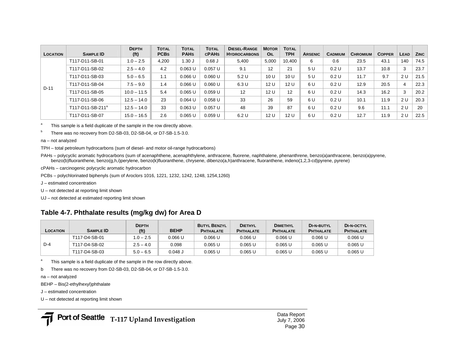| <b>LOCATION</b> | <b>SAMPLE ID</b>             | <b>DEPTH</b><br>(f <sup>t</sup> ) | <b>TOTAL</b><br><b>PCBs</b> | Τοτal<br><b>PAHS</b> | <b>TOTAL</b><br><b>CPAHS</b> | <b>DIESEL-RANGE</b><br><b>HYDROCARBONS</b> | <b>MOTOR</b><br>OIL | <b>TOTAL</b><br>TPH | <b>ARSENIC</b> | <b>CADMIUM</b> | <b>CHROMIUM</b> | <b>COPPER</b> | LEAD           | <b>ZINC</b> |
|-----------------|------------------------------|-----------------------------------|-----------------------------|----------------------|------------------------------|--------------------------------------------|---------------------|---------------------|----------------|----------------|-----------------|---------------|----------------|-------------|
|                 | T117-D11-SB-01               | $1.0 - 2.5$                       | 4,200                       | 1.30 J               | $0.68$ J                     | 5,400                                      | 5,000               | 10,400              | 6              | 0.6            | 23.5            | 43.1          | 140            | 74.5        |
|                 | T117-D11-SB-02               | $2.5 - 4.0$                       | 4.2                         | 0.063U               | 0.057 U                      | 9.1                                        | 12                  | 21                  | 5U             | 0.2 U          | 13.7            | 10.8          | 3              | 23.7        |
| $D-11$          | T117-D11-SB-03               | $5.0 - 6.5$                       | 1.1                         | $0.066$ U            | 0.060 U                      | 5.2 U                                      | 10 U                | 10U                 | 5U             | 0.2 U          | 11.7            | 9.7           | 2U             | 21.5        |
|                 | T117-D11-SB-04               | $7.5 - 9.0$                       | 1.4                         | $0.066$ U            | 0.060 U                      | 6.3 U                                      | 12 U                | 12 <sub>U</sub>     | 6 U            | 0.2 U          | 12.9            | 20.5          | $\overline{4}$ | 22.3        |
|                 | T117-D11-SB-05               | $10.0 - 11.5$                     | 5.4                         | $0.065$ U            | 0.059 U                      | 12                                         | 12 U                | 12                  | 6 U            | 0.2 U          | 14.3            | 16.2          | 3              | 20.2        |
|                 | T117-D11-SB-06               | $12.5 - 14.0$                     | 23                          | $0.064$ U            | $0.058$ U                    | 33                                         | 26                  | 59                  | 6 U            | 0.2 U          | 10.1            | 11.9          | 2 U            | 20.3        |
|                 | T117-D11-SB-211 <sup>a</sup> | $12.5 - 14.0$                     | 33                          | $0.063$ U            | 0.057U                       | 48                                         | 39                  | 87                  | 6 U            | 0.2 U          | 9.6             | 11.1          | 2 U            | 20          |
|                 | T117-D11-SB-07               | $15.0 - 16.5$                     | 2.6                         | $0.065$ U            | 0.059 U                      | 6.2 U                                      | 12 U                | 12 <sub>U</sub>     | 6 U            | 0.2 U          | 12.7            | 11.9          | 2 U            | 22.5        |

aThis sample is a field duplicate of the sample in the row directly above.

bThere was no recovery from D2-SB-03, D2-SB-04, or D7-SB-1.5-3.0.

na – not analyzed

TPH – total petroleum hydrocarbons (sum of diesel- and motor oil-range hydrocarbons)

PAHs - polycyclic aromatic hydrocarbons (sum of acenaphthene, acenaphthylene, anthracene, fluorene, naphthalene, phenanthrene, benzo(a)anthracene, benzo(a)pyrene, benzo(b)fluoranthene, benzo(g,h,i)perylene, benzo(k)fluoranthene, chrysene, dibenzo(a,h)anthracene, fluoranthene, indeno(1,2,3-cd)pyrene, pyrene)

cPAHs – carcinogenic polycyclic aromatic hydrocarbon

PCBs – polychlorinated biphenyls (sum of Aroclors 1016, 1221, 1232, 1242, 1248, 1254,1260)

J – estimated concentration

U – not detected at reporting limit shown

UJ – not detected at estimated reporting limit shown

#### **Table 4-7. Phthalate results (mg/kg dw) for Area D**

| LOCATION | <b>SAMPLE ID</b> | <b>DEPTH</b><br>(f <sup>t</sup> ) | <b>BEHP</b> | <b>BUTYL BENZYL</b><br><b>PHTHALATE</b> | <b>DIETHYL</b><br><b>PHTHALATE</b> | <b>DIMETHYL</b><br><b>PHTHALATE</b> | DI-N-BUTYL<br><b>PHTHALATE</b> | DI-N-OCTYL<br><b>PHTHALATE</b> |
|----------|------------------|-----------------------------------|-------------|-----------------------------------------|------------------------------------|-------------------------------------|--------------------------------|--------------------------------|
|          | T117-D4-SB-01    | $1.0 - 2.5$                       | $0.066$ U   | 0.066 U                                 | 0.066 U                            | 0.066 U                             | 0.066 U                        | 0.066 U                        |
| $D-4$    | T117-D4-SB-02    | $2.5 - 4.0$                       | 0.098       | 0.065 U                                 | 0.065 U                            | 0.065 U                             | $0.065$ U                      | $0.065$ U                      |
|          | T117-D4-SB-03    | $5.0 - 6.5$                       | $0.048$ J   | $0.065$ U                               | 0.065 U                            | $0.065$ U                           | $0.065$ U                      | $0.065$ U                      |

aThis sample is a field duplicate of the sample in the row directly above.

b There was no recovery from D2-SB-03, D2-SB-04, or D7-SB-1.5-3.0.

na – not analyzed

BEHP – Bis(2-ethylhexyl)phthalate

J – estimated concentration

U – not detected at reporting limit shown

<span id="page-37-0"></span>**Transference Control Seattle T-117 Upland Investigation** Data Report Data Report Data Report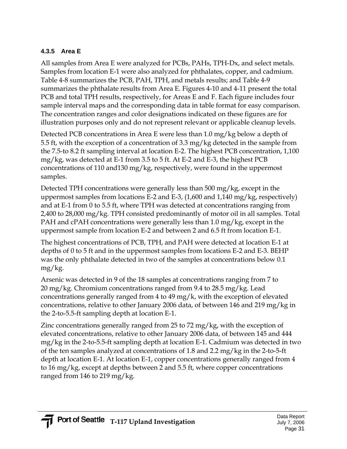#### <span id="page-38-0"></span>**4.3.5 Area E**

All samples from Area E were analyzed for PCBs, PAHs, TPH-Dx, and select metals. Samples from location E-1 were also analyzed for phthalates, copper, and cadmium. Table 4-8 summarizes the PCB, PAH, TPH, and metals results; and Table 4-9 summarizes the phthalate results from Area E. Figures 4-10 and 4-11 present the total PCB and total TPH results, respectively, for Areas E and F. Each figure includes four sample interval maps and the corresponding data in table format for easy comparison. The concentration ranges and color designations indicated on these figures are for illustration purposes only and do not represent relevant or applicable cleanup levels.

Detected PCB concentrations in Area E were less than 1.0 mg/kg below a depth of 5.5 ft, with the exception of a concentration of 3.3 mg/kg detected in the sample from the 7.5-to 8.2 ft sampling interval at location E-2. The highest PCB concentration, 1,100 mg/kg, was detected at E-1 from 3.5 to 5 ft. At E-2 and E-3, the highest PCB concentrations of 110 and130 mg/kg, respectively, were found in the uppermost samples.

Detected TPH concentrations were generally less than 500 mg/kg, except in the uppermost samples from locations E-2 and E-3,  $(1,600 \text{ and } 1,140 \text{ mg/kg})$ , respectively and at E-1 from 0 to 5.5 ft, where TPH was detected at concentrations ranging from 2,400 to 28,000 mg/kg. TPH consisted predominantly of motor oil in all samples. Total PAH and cPAH concentrations were generally less than 1.0 mg/kg, except in the uppermost sample from location E-2 and between 2 and 6.5 ft from location E-1.

The highest concentrations of PCB, TPH, and PAH were detected at location E-1 at depths of 0 to 5 ft and in the uppermost samples from locations E-2 and E-3. BEHP was the only phthalate detected in two of the samples at concentrations below 0.1 mg/kg.

Arsenic was detected in 9 of the 18 samples at concentrations ranging from 7 to 20 mg/kg. Chromium concentrations ranged from 9.4 to 28.5 mg/kg. Lead concentrations generally ranged from 4 to 49 mg/k, with the exception of elevated concentrations, relative to other January 2006 data, of between 146 and 219 mg/kg in the 2-to-5.5-ft sampling depth at location E-1.

Zinc concentrations generally ranged from 25 to 72 mg/kg, with the exception of elevated concentrations, relative to other January 2006 data, of between 145 and 444 mg/kg in the 2-to-5.5-ft sampling depth at location E-1. Cadmium was detected in two of the ten samples analyzed at concentrations of 1.8 and 2.2 mg/kg in the 2-to-5-ft depth at location E-1. At location E-1, copper concentrations generally ranged from 4 to 16 mg/kg, except at depths between 2 and 5.5 ft, where copper concentrations ranged from 146 to 219 mg/kg.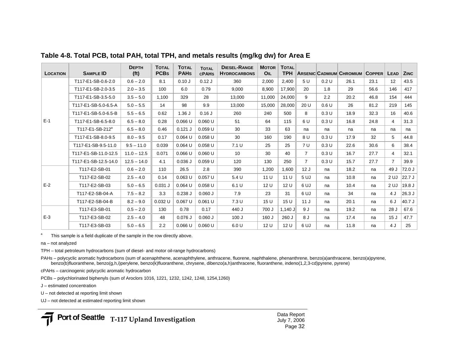| LOCATION | <b>SAMPLE ID</b>            | <b>DEPTH</b><br>(f <sup>t</sup> ) | <b>TOTAL</b><br><b>PCBs</b> | <b>TOTAL</b><br><b>PAHS</b> | <b>TOTAL</b><br><b>CPAHS</b> | <b>DIESEL-RANGE</b><br><b>HYDROCARBONS</b> | <b>MOTOR</b><br><b>OIL</b> | <b>TOTAL</b><br><b>TPH</b> |                |       | <b>ARSENIC CADMIUM CHROMIUM</b> | <b>COPPER</b> | LEAD            | <b>ZINC</b> |
|----------|-----------------------------|-----------------------------------|-----------------------------|-----------------------------|------------------------------|--------------------------------------------|----------------------------|----------------------------|----------------|-------|---------------------------------|---------------|-----------------|-------------|
|          | T117-E1-SB-0.6-2.0          | $0.6 - 2.0$                       | 8.1                         | $0.10$ J                    | $0.12$ J                     | 360                                        | 2,000                      | 2,400                      | 5 U            | 0.2 U | 26.1                            | 23.1          | 12 <sup>2</sup> | 43.5        |
|          | T117-E1-SB-2.0-3.5          | $2.0 - 3.5$                       | 100                         | 6.0                         | 0.79                         | 9,000                                      | 8,900                      | 17,900                     | 20             | 1.8   | 29                              | 56.6          | 146             | 417         |
|          | T117-E1-SB-3.5-5.0          | $3.5 - 5.0$                       | 1,100                       | 329                         | 28                           | 13,000                                     | 11,000                     | 24,000                     | 9              | 2.2   | 20.2                            | 46.8          | 154             | 444         |
|          | T117-E1-SB-5.0-6.5-A        | $5.0 - 5.5$                       | 14                          | 98                          | 9.9                          | 13,000                                     | 15,000                     | 28,000                     | 20 U           | 0.6U  | 26                              | 81.2          | 219             | 145         |
|          | T117-E1-SB-5.0-6.5-B        | $5.5 - 6.5$                       | 0.62                        | 1.36J                       | $0.16$ J                     | 260                                        | 240                        | 500                        | 8              | 0.3 U | 18.9                            | 32.3          | 16              | 40.6        |
| $E-1$    | T117-E1-SB-6.5-8.0          | $6.5 - 8.0$                       | 0.28                        | $0.066$ U                   | $0.060$ U                    | 51                                         | 64                         | 115                        | 6 U            | 0.3 U | 16.8                            | 24.8          | $\overline{4}$  | 31.3        |
|          | T117-E1-SB-212 <sup>a</sup> | $6.5 - 8.0$                       | 0.46                        | $0.121$ J                   | 0.059 U                      | 30                                         | 33                         | 63                         | na             | na    | na                              | na            | na              | na          |
|          | T117-E1-SB-8.0-9.5          | $8.0 - 9.5$                       | 0.17                        | $0.064$ U                   | $0.058$ U                    | 30                                         | 160                        | 190                        | 8 U            | 0.3 U | 17.9                            | 32            | 5               | 44.8        |
|          | T117-E1-SB-9.5-11.0         | $9.5 - 11.0$                      | 0.039                       | $0.064$ U                   | 0.058 U                      | 7.1 U                                      | 25                         | 25                         | 7 U            | 0.3 U | 22.6                            | 30.6          | 6               | 38.4        |
|          | T117-E1-SB-11.0-12.5        | $11.0 - 12.5$                     | 0.071                       | $0.066$ U                   | 0.060 U                      | 10                                         | 30                         | 40                         | $\overline{7}$ | 0.3 U | 16.7                            | 27.7          | 4               | 32.1        |
|          | T117-E1-SB-12.5-14.0        | $12.5 - 14.0$                     | 4.1                         | $0.036$ J                   | 0.059 U                      | 120                                        | 130                        | 250                        | $\overline{7}$ | 0.3 U | 15.7                            | 27.7          | $\overline{7}$  | 39.9        |
|          | T117-E2-SB-01               | $0.6 - 2.0$                       | 110                         | 26.5                        | 2.8                          | 390                                        | 1,200                      | 1,600                      | 12J            | na    | 18.2                            | na            | 49 J            | 72.0 J      |
|          | T117-E2-SB-02               | $2.5 - 4.0$                       | 0.14                        | $0.063$ U                   | 0.057 U                      | 5.4 U                                      | 11 <sub>U</sub>            | 11 <sub>U</sub>            | 5 UJ           | na    | 10.8                            | na            | 2 UJ            | $22.7$ J    |
| $E-2$    | T117-E2-SB-03               | $5.0 - 6.5$                       | $0.031$ J                   | $0.064$ U                   | $0.058$ U                    | 6.1 U                                      | 12 U                       | 12 <sub>U</sub>            | 6 UJ           | na    | 10.4                            | na            | 2 <sub>UJ</sub> | 19.8 J      |
|          | T117-E2-SB-04-A             | $7.5 - 8.2$                       | 3.3                         | $0.238$ J                   | $0.060$ J                    | 7.9                                        | 23                         | 31                         | 6 UJ           | na    | 34                              | na            | 4 J             | $26.3$ J    |
|          | T117-E2-SB-04-B             | $8.2 - 9.0$                       | $0.032$ U                   | $0.067$ U                   | $0.061$ U                    | 7.3U                                       | 15 <sub>U</sub>            | 15 <sub>U</sub>            | 11J            | na    | 20.1                            | na            | 6 J             | 40.7 J      |
|          | T117-E3-SB-01               | $0.5 - 2.0$                       | 130                         | 0.78                        | 0.17                         | 440 J                                      | 700 J                      | $1,140$ J                  | 9 J            | na    | 19.2                            | na            | 28 J            | 67.6        |
| $E-3$    | T117-E3-SB-02               | $2.5 - 4.0$                       | 48                          | $0.076$ J                   | $0.060$ J                    | 100J                                       | 160 J                      | 260 J                      | 8 J            | na    | 17.4                            | na            | 15J             | 47.7        |
|          | T117-E3-SB-03               | $5.0 - 6.5$                       | 2.2                         | $0.066$ U                   | 0.060 U                      | 6.0 U                                      | 12 <sub>U</sub>            | 12 U                       | 6 UJ           | na    | 11.8                            | na            | 4 J             | 25          |

**Table 4-8. Total PCB, total PAH, total TPH, and metals results (mg/kg dw) for Area E**

aThis sample is a field duplicate of the sample in the row directly above.

na – not analyzed

TPH – total petroleum hydrocarbons (sum of diesel- and motor oil-range hydrocarbons)

PAHs - polycyclic aromatic hydrocarbons (sum of acenaphthene, acenaphthylene, anthracene, fluorene, naphthalene, phenanthrene, benzo(a)anthracene, benzo(a)pyrene, benzo(b)fluoranthene, benzo(g,h,i)perylene, benzo(k)fluoranthene, chrysene, dibenzo(a,h)anthracene, fluoranthene, indeno(1,2,3-cd)pyrene, pyrene)

cPAHs – carcinogenic polycyclic aromatic hydrocarbon

PCBs – polychlorinated biphenyls (sum of Aroclors 1016, 1221, 1232, 1242, 1248, 1254,1260)

J – estimated concentration

U – not detected at reporting limit shown

UJ – not detected at estimated reporting limit shown

<span id="page-39-0"></span>**T** Port of Seattle T-117 Upland Investigation

Data Report July 7, 2006 Page 32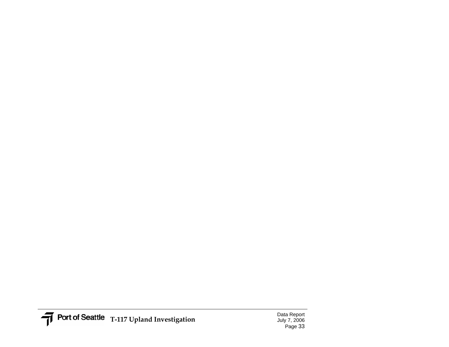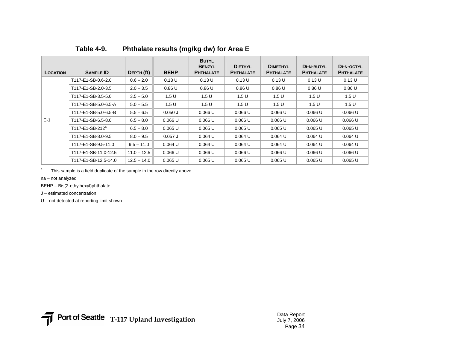|          |                             |                                       |             | <b>BUTYL</b><br><b>BENZYL</b> | <b>DIETHYL</b>   | <b>DIMETHYL</b>  | DI-N-BUTYL       | DI-N-OCTYL       |
|----------|-----------------------------|---------------------------------------|-------------|-------------------------------|------------------|------------------|------------------|------------------|
| LOCATION | <b>SAMPLE ID</b>            | DEF <sub>H</sub> (ft)                 | <b>BEHP</b> | <b>PHTHALATE</b>              | <b>PHTHALATE</b> | <b>PHTHALATE</b> | <b>PHTHALATE</b> | <b>PHTHALATE</b> |
|          | T117-E1-SB-0.6-2.0          | $0.6 - 2.0$                           | 0.13U       | 0.13 U                        | 0.13 U           | 0.13U            | 0.13 U           | 0.13 U           |
|          | T117-E1-SB-2.0-3.5          | $2.0 - 3.5$                           | 0.86U       | 0.86U                         | 0.86U            | 0.86U            | 0.86U            | 0.86 U           |
|          | T117-E1-SB-3.5-5.0          | $3.5 - 5.0$                           | 1.5U        | 1.5U                          | 1.5U             | 1.5U             | 1.5U             | 1.5 U            |
|          | T117-E1-SB-5.0-6.5-A        | $5.0 - 5.5$                           | 1.5U        | 1.5U                          | 1.5U             | 1.5U             | 1.5U             | 1.5U             |
|          | T117-E1-SB-5.0-6.5-B        | $5.5 - 6.5$                           | $0.050$ J   | 0.066 U                       | 0.066 U          | $0.066$ U        | 0.066 U          | 0.066U           |
| $E-1$    | T117-E1-SB-6.5-8.0          | $6.5 - 8.0$                           | 0.066 U     | 0.066 U                       | 0.066 U          | 0.066 U          | 0.066 U          | 0.066 U          |
|          | T117-E1-SB-212 <sup>a</sup> | $6.5 - 8.0$                           | 0.065 U     | $0.065$ U                     | 0.065 U          | $0.065$ U        | $0.065$ U        | $0.065$ U        |
|          | T117-E1-SB-8.0-9.5          | $8.0 - 9.5$                           | $0.057$ J   | $0.064$ U                     | 0.064 U          | $0.064$ U        | $0.064$ U        | $0.064$ U        |
|          | T117-E1-SB-9.5-11.0         | $9.5 - 11.0$                          | $0.064$ U   | $0.064$ U                     | $0.064$ U        | $0.064$ U        | $0.064$ U        | $0.064$ U        |
|          | T117-E1-SB-11.0-12.5        | $0.066$ U<br>$11.0 - 12.5$<br>0.066 U |             |                               | 0.066 U          | $0.066$ U        | 0.066 U          | 0.066U           |
|          | T117-E1-SB-12.5-14.0        | $12.5 - 14.0$                         | $0.065$ U   | 0.065 U                       | 0.065 U          | $0.065$ U        | 0.065 U          | $0.065$ U        |

#### **Table 4-9. Phthalate results (mg/kg dw) for Area E**

aThis sample is a field duplicate of the sample in the row directly above.

na – not analyzed

BEHP – Bis(2-ethylhexyl)phthalate

J – estimated concentration

<span id="page-41-0"></span>U – not detected at reporting limit shown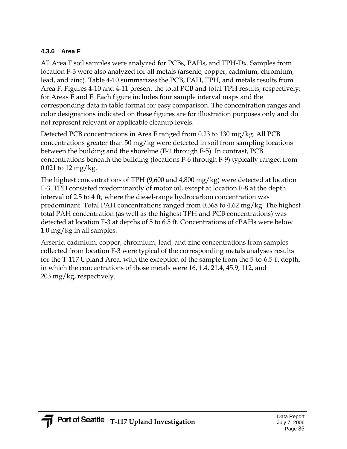#### <span id="page-42-0"></span>**4.3.6 Area F**

All Area F soil samples were analyzed for PCBs, PAHs, and TPH-Dx. Samples from location F-3 were also analyzed for all metals (arsenic, copper, cadmium, chromium, lead, and zinc). Table 4-10 summarizes the PCB, PAH, TPH, and metals results from Area F. Figures 4-10 and 4-11 present the total PCB and total TPH results, respectively, for Areas E and F. Each figure includes four sample interval maps and the corresponding data in table format for easy comparison. The concentration ranges and color designations indicated on these figures are for illustration purposes only and do not represent relevant or applicable cleanup levels.

Detected PCB concentrations in Area F ranged from 0.23 to 130 mg/kg. All PCB concentrations greater than 50 mg/kg were detected in soil from sampling locations between the building and the shoreline (F-1 through F-5). In contrast, PCB concentrations beneath the building (locations F-6 through F-9) typically ranged from 0.021 to 12 mg/kg.

The highest concentrations of TPH (9,600 and 4,800 mg/kg) were detected at location F-3. TPH consisted predominantly of motor oil, except at location F-8 at the depth interval of 2.5 to 4 ft, where the diesel-range hydrocarbon concentration was predominant. Total PAH concentrations ranged from 0.368 to 4.62 mg/kg. The highest total PAH concentration (as well as the highest TPH and PCB concentrations) was detected at location F-3 at depths of 5 to 6.5 ft. Concentrations of cPAHs were below 1.0 mg/kg in all samples.

Arsenic, cadmium, copper, chromium, lead, and zinc concentrations from samples collected from location F-3 were typical of the corresponding metals analyses results for the T-117 Upland Area, with the exception of the sample from the 5-to-6.5-ft depth, in which the concentrations of those metals were 16, 1.4, 21.4, 45.9, 112, and 203 mg/kg, respectively.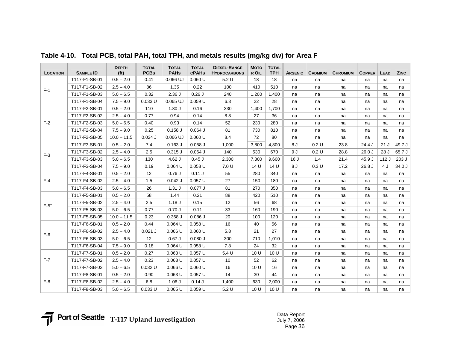<span id="page-43-0"></span>

| <b>LOCATION</b> | <b>SAMPLE ID</b> | <b>DEPTH</b><br>(f <sup>t</sup> ) | <b>TOTAL</b><br><b>PCBs</b> | <b>TOTAL</b><br><b>PAHS</b> | <b>TOTAL</b><br><b>CPAHS</b> | <b>DIESEL-RANGE</b><br><b>HYDROCARBONS</b> | Мото<br>R OIL | <b>TOTAL</b><br><b>TPH</b> | <b>ARSENIC</b> | <b>CADMIUM</b> | <b>CHROMIUM</b> | <b>COPPER</b> | LEAD                 | <b>ZINC</b> |
|-----------------|------------------|-----------------------------------|-----------------------------|-----------------------------|------------------------------|--------------------------------------------|---------------|----------------------------|----------------|----------------|-----------------|---------------|----------------------|-------------|
|                 | T117-F1-SB-01    | $0.5 - 2.0$                       | 0.41                        | $0.066$ UJ                  | 0.060 U                      | 5.2U                                       | 18            | 18                         | na             | na             | na              | na            | na                   | na          |
| $F-1$           | T117-F1-SB-02    | $2.5 - 4.0$                       | 86                          | 1.35                        | 0.22                         | 100                                        | 410           | 510                        | na             | na             | na              | na            | na                   | na          |
|                 | T117-F1-SB-03    | $5.0 - 6.5$                       | 0.32                        | 2.36J                       | $0.26$ J                     | 240                                        | 1.200         | 1.400                      | na             | na             | na              | na            | na                   | na          |
|                 | T117-F1-SB-04    | $7.5 - 9.0$                       | $0.033$ U                   | $0.065$ UJ                  | $0.059$ U                    | 6.3                                        | 22            | 28                         | na             | na             | na              | na            | na                   | na          |
|                 | T117-F2-SB-01    | $0.5 - 2.0$                       | 110                         | 1.80J                       | 0.16                         | 330                                        | 1,400         | 1,700                      | na             | na             | na              | na            | na                   | na          |
|                 | T117-F2-SB-02    | $2.5 - 4.0$                       | 0.77                        | 0.94                        | 0.14                         | 8.8                                        | 27            | 36                         | na             | na             | na              | na            | na                   | na          |
| $F-2$           | T117-F2-SB-03    | $5.0 - 6.5$                       | 0.40                        | 0.93                        | 0.14                         | 52                                         | 230           | 280                        | na             | na             | na              | na            | na                   | na          |
|                 | T117-F2-SB-04    | $7.5 - 9.0$                       | 0.25                        | $0.158$ $J$                 | $0.064$ J                    | 81                                         | 730           | 810                        | na             | na             | na              | na            | na                   | na          |
|                 | T117-F2-SB-05    | $10.0 - 11.5$                     | $0.024$ J                   | $0.066$ UJ                  | 0.060 U                      | 8.4                                        | 72            | 80                         | na             | na             | na              | na            | na                   | na          |
|                 | T117-F3-SB-01    | $0.5 - 2.0$                       | 7.4                         | $0.163$ J                   | $0.058$ J                    | 1,000                                      | 3.800         | 4.800                      | 8 J            | 0.2 U          | 23.8            | 24.4 J        | 21J                  | 49.7 J      |
| $F-3$           | T117-F3-SB-02    | $2.5 - 4.0$                       | 2.5                         | $0.315$ J                   | $0.064$ J                    | 140                                        | 530           | 670                        | 9 J            | 0.2 U          | 28.8            | $26.0$ J      | 28 J                 | 65.7 J      |
|                 | T117-F3-SB-03    | $5.0 - 6.5$                       | 130                         | 4.62 J                      | $0.45$ J                     | 2,300                                      | 7,300         | 9,600                      | 16J            | 1.4            | 21.4            | 45.9 J        | 112J                 | 203J        |
|                 | T117-F3-SB-04    | $7.5 - 9.0$                       | 0.19                        | $0.064$ U                   | $0.058$ U                    | 7.0 U                                      | 14 U          | 14 U                       | 8 J            | 0.3U           | 17.2            | $26.8$ J      | 4 J                  | 34.0 J      |
|                 | T117-F4-SB-01    | $0.5 - 2.0$                       | 12                          | 0.76J                       | $0.11$ J                     | 55                                         | 280           | 340                        | na             | na             | na              | na            | na                   | na          |
| $F-4$           | T117-F4-SB-02    | $2.5 - 4.0$                       | 1.5                         | $0.042$ J                   | 0.057 U                      | 27                                         | 150           | 180                        | na             | na             | na              | na            | na                   | na          |
|                 | T117-F4-SB-03    | $5.0 - 6.5$                       | 26                          | $1.31$ J                    | $0.077$ J                    | 81                                         | 270           | 350                        | na             | na             | na              | na            | na                   | na          |
|                 | T117-F5-SB-01    | $0.5 - 2.0$                       | 58                          | 1.44                        | 0.21                         | 88                                         | 420           | 510                        | na             | na             | na              | na            | na                   | na          |
| $F-5^a$         | T117-F5-SB-02    | $2.5 - 4.0$                       | 2.5                         | 1.18J                       | 0.15                         | $12 \overline{ }$                          | 56            | 68                         | na             | na             | na              | na            | na                   | na          |
|                 | T117-F5-SB-03    | $5.0 - 6.5$                       | 0.77                        | 0.70J                       | 0.11                         | 33                                         | 160           | 190                        | na             | na             | na              | na            | na                   | na          |
|                 | T117-F5-SB-05    | $10.0 - 11.5$                     | 0.23                        | $0.368$ $J$                 | $0.086$ J                    | 20                                         | 100           | 120                        | na             | na             | na              | na            | na                   | na          |
|                 | T117-F6-SB-01    | $0.5 - 2.0$                       | 0.44                        | $0.064$ U                   | $0.058$ U                    | 16                                         | 40            | 56                         | na             | na             | na              | na            | na                   | na          |
| $F-6$           | T117-F6-SB-02    | $2.5 - 4.0$                       | $0.021$ J                   | $0.066$ U                   | 0.060 U                      | 5.8                                        | 21            | 27                         | na             | na             | na              | na            | na                   | na          |
|                 | T117-F6-SB-03    | $5.0 - 6.5$                       | 12                          | $0.67$ J                    | $0.080$ J                    | 300                                        | 710           | 1.010                      | na             | na             | na              | na            | na                   | na          |
|                 | T117-F6-SB-04    | $7.5 - 9.0$                       | 0.18                        | $0.064$ U                   | $0.058$ U                    | 7.8                                        | 24            | 32                         | na             | na             | na              | na            | na                   | na          |
|                 | T117-F7-SB-01    | $0.5 - 2.0$                       | 0.27                        | $0.063$ U                   | 0.057 U                      | 5.4 U                                      | 10 U          | 10U                        | na             | na             | na              | na            | na                   | na          |
| $F-7$           | T117-F7-SB-02    | $2.5 - 4.0$                       | 0.23                        | $0.063$ U                   | 0.057 U                      | 10                                         | 52            | 62                         | na             | na             | na              | na            | na                   | na          |
|                 | T117-F7-SB-03    | $5.0 - 6.5$                       | $0.032$ U                   | $0.066$ U                   | $0.060$ U                    | 16                                         | 10U           | 16                         | na             | na             | na              | na            | na<br>na<br>na<br>na | na          |
|                 | T117-F8-SB-01    | $0.5 - 2.0$                       | 0.90                        | $0.063$ U                   | 0.057U                       | 14                                         | 30            | 44                         | na             | na             | na              | na            |                      | na          |
| $F-8$           | T117-F8-SB-02    | $2.5 - 4.0$                       | 6.8                         | $1.06$ J                    | 0.14J                        | 1,400                                      | 630           | 2,000                      | na             | na             | na              | na            |                      | na          |
|                 | T117-F8-SB-03    | $5.0 - 6.5$                       | 0.033 U                     | $0.065$ U                   | 0.059 U                      | 5.2U                                       | 10U           | 10 U                       | na             | na             | na              | na            |                      | na          |

#### **Table 4-10. Total PCB, total PAH, total TPH, and metals results (mg/kg dw) for Area F**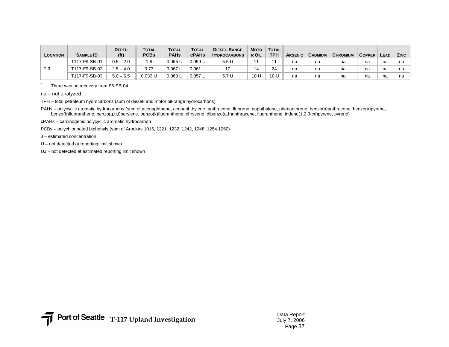| LOCATION | <b>SAMPLE ID</b> | <b>DEPTH</b><br>(f <sup>t</sup> ) | <b>TOTAL</b><br><b>PCBs</b> | <b>TOTAL</b><br><b>PAHS</b> | <b>TOTAL</b><br><b>CPAHS</b> | <b>DIESEL-RANGE</b><br><b>HYDROCARBONS</b> | Мото<br>R OIL | <b>TOTAL</b><br>TPH | <b>ARSENIC</b> | <b>CADMIUM</b> | <b>CHROMIUM</b> | <b>COPPER</b> | LEAD | <b>ZINC</b> |
|----------|------------------|-----------------------------------|-----------------------------|-----------------------------|------------------------------|--------------------------------------------|---------------|---------------------|----------------|----------------|-----------------|---------------|------|-------------|
|          | T117-F9-SB-01    | $0.5 - 2.0$                       | 1.8                         | 0.065L                      | 0.059U                       | 5.5U                                       |               |                     | na             | na             | na              | na            | na   | na          |
| $F-9$    | T117-F9-SB-02    | $2.5 - 4.0$                       | 0.73                        | 0.067 U                     | $0.061$ U                    | 10                                         | 14            | 24                  | na             | na             | na              | na            | na   | na          |
|          | T117-F9-SB-03    | $5.0 - 6.5$                       | 0.033U                      | 0.063L                      | $0.057$ U                    | 5.7 U                                      | 10 U          | 10U                 | na             | na             | na              | na            | na   | na          |

aThere was no recovery from F5-SB-04.

na – not analyzed

TPH – total petroleum hydrocarbons (sum of diesel- and motor oil-range hydrocarbons)

PAHs - polycyclic aromatic hydrocarbons (sum of acenaphthene, acenaphthylene, anthracene, fluorene, naphthalene, phenanthrene, benzo(a)anthracene, benzo(a)pyrene, benzo(b)fluoranthene, benzo(g,h,i)perylene, benzo(k)fluoranthene, chrysene, dibenzo(a,h)anthracene, fluoranthene, indeno(1,2,3-cd)pyrene, pyrene)

cPAHs – carcinogenic polycyclic aromatic hydrocarbon

PCBs – polychlorinated biphenyls (sum of Aroclors 1016, 1221, 1232, 1242, 1248, 1254,1260)

J – estimated concentration

U – not detected at reporting limit shown

UJ – not detected at estimated reporting limit shown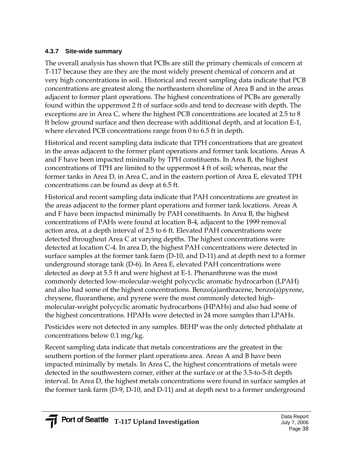#### <span id="page-45-0"></span>**4.3.7 Site-wide summary**

The overall analysis has shown that PCBs are still the primary chemicals of concern at T-117 because they are they are the most widely present chemical of concern and at very high concentrations in soil*.*. Historical and recent sampling data indicate that PCB concentrations are greatest along the northeastern shoreline of Area B and in the areas adjacent to former plant operations. The highest concentrations of PCBs are generally found within the uppermost 2 ft of surface soils and tend to decrease with depth. The exceptions are in Area C, where the highest PCB concentrations are located at 2.5 to 8 ft below ground surface and then decrease with additional depth, and at location E-1, where elevated PCB concentrations range from 0 to 6.5 ft in depth.

Historical and recent sampling data indicate that TPH concentrations that are greatest in the areas adjacent to the former plant operations and former tank locations. Areas A and F have been impacted minimally by TPH constituents. In Area B, the highest concentrations of TPH are limited to the uppermost 4 ft of soil; whereas, near the former tanks in Area D, in Area C, and in the eastern portion of Area E, elevated TPH concentrations can be found as deep at 6.5 ft.

Historical and recent sampling data indicate that PAH concentrations are greatest in the areas adjacent to the former plant operations and former tank locations. Areas A and F have been impacted minimally by PAH constituents. In Area B, the highest concentrations of PAHs were found at location B-4, adjacent to the 1999 removal action area, at a depth interval of 2.5 to 6 ft. Elevated PAH concentrations were detected throughout Area C at varying depths. The highest concentrations were detected at location C-4. In area D, the highest PAH concentrations were detected in surface samples at the former tank farm (D-10, and D-11) and at depth next to a former underground storage tank (D-6). In Area E, elevated PAH concentrations were detected as deep at 5.5 ft and were highest at E-1. Phenanthrene was the most commonly detected low-molecular-weight polycyclic aromatic hydrocarbon (LPAH) and also had some of the highest concentrations. Benzo(a)anthracene, benzo(a)pyrene, chrysene, fluoranthene, and pyrene were the most commonly detected highmolecular-weight polycyclic aromatic hydrocarbons (HPAHs) and also had some of the highest concentrations. HPAHs were detected in 24 more samples than LPAHs.

Pesticides were not detected in any samples. BEHP was the only detected phthalate at concentrations below 0.1 mg/kg.

Recent sampling data indicate that metals concentrations are the greatest in the southern portion of the former plant operations area. Areas A and B have been impacted minimally by metals. In Area C, the highest concentrations of metals were detected in the southwestern corner, either at the surface or at the 3.5-to-5-ft depth interval. In Area D, the highest metals concentrations were found in surface samples at the former tank farm (D-9, D-10, and D-11) and at depth next to a former underground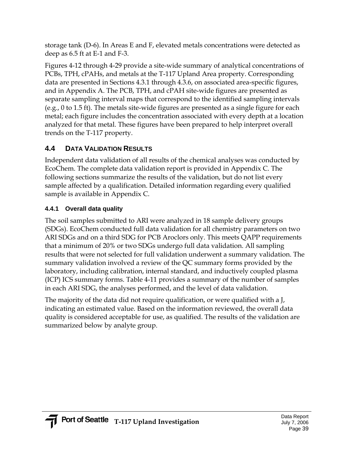<span id="page-46-0"></span>storage tank (D-6). In Areas E and F, elevated metals concentrations were detected as deep as 6.5 ft at E-1 and F-3.

Figures 4-12 through 4-29 provide a site-wide summary of analytical concentrations of PCBs, TPH, cPAHs, and metals at the T-117 Upland Area property. Corresponding data are presented in Sections 4.3.1 through 4.3.6, on associated area-specific figures, and in Appendix A. The PCB, TPH, and cPAH site-wide figures are presented as separate sampling interval maps that correspond to the identified sampling intervals (e.g., 0 to 1.5 ft). The metals site-wide figures are presented as a single figure for each metal; each figure includes the concentration associated with every depth at a location analyzed for that metal. These figures have been prepared to help interpret overall trends on the T-117 property.

# **4.4 DATA VALIDATION RESULTS**

Independent data validation of all results of the chemical analyses was conducted by EcoChem. The complete data validation report is provided in Appendix C. The following sections summarize the results of the validation, but do not list every sample affected by a qualification. Detailed information regarding every qualified sample is available in Appendix C.

## **4.4.1 Overall data quality**

The soil samples submitted to ARI were analyzed in 18 sample delivery groups (SDGs). EcoChem conducted full data validation for all chemistry parameters on two ARI SDGs and on a third SDG for PCB Aroclors only. This meets QAPP requirements that a minimum of 20% or two SDGs undergo full data validation. All sampling results that were not selected for full validation underwent a summary validation. The summary validation involved a review of the QC summary forms provided by the laboratory, including calibration, internal standard, and inductively coupled plasma (ICP) ICS summary forms. Table 4-11 provides a summary of the number of samples in each ARI SDG, the analyses performed, and the level of data validation.

The majority of the data did not require qualification, or were qualified with a J, indicating an estimated value. Based on the information reviewed, the overall data quality is considered acceptable for use, as qualified. The results of the validation are summarized below by analyte group.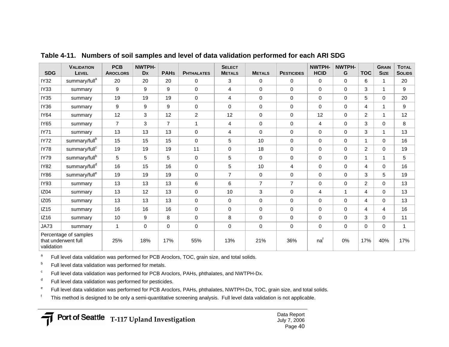| <b>SDG</b>  | <b>VALIDATION</b><br>LEVEL                   | <b>PCB</b><br><b>AROCLORS</b> | NWTPH-<br><b>D</b> <sub>x</sub> | <b>PAHs</b>    | <b>PHTHALATES</b> | <b>SELECT</b><br><b>METALS</b> | <b>METALS</b>  | <b>PESTICIDES</b> | NWTPH-<br><b>HCID</b> | NWTPH-<br>G  | <b>TOC</b>     | <b>GRAIN</b><br><b>SIZE</b> | <b>TOTAL</b><br><b>SOLIDS</b> |
|-------------|----------------------------------------------|-------------------------------|---------------------------------|----------------|-------------------|--------------------------------|----------------|-------------------|-----------------------|--------------|----------------|-----------------------------|-------------------------------|
| <b>IY32</b> | summary/full <sup>a</sup>                    | 20                            | 20                              | 20             | $\mathbf 0$       | 3                              | 0              | 0                 | $\mathbf 0$           | $\Omega$     | 6              | $\mathbf{1}$                | 20                            |
| IY33        | summary                                      | 9                             | 9                               | 9              | $\Omega$          | $\overline{4}$                 | 0              | $\mathbf 0$       | $\Omega$              | $\Omega$     | 3              | $\mathbf{1}$                | 9                             |
| <b>IY35</b> | summary                                      | 19                            | 19                              | 19             | $\mathbf 0$       | 4                              | 0              | $\mathbf 0$       | $\mathbf 0$           | $\mathbf 0$  | 5              | $\mathbf 0$                 | 20                            |
| <b>IY36</b> | summary                                      | 9                             | 9                               | 9              | $\mathbf 0$       | $\Omega$                       | 0              | $\mathbf 0$       | $\Omega$              | $\mathbf{0}$ | 4              | $\mathbf{1}$                | 9                             |
| <b>IY64</b> | summary                                      | 12                            | 3                               | 12             | $\overline{2}$    | 12                             | 0              | 0                 | 12                    | $\mathbf 0$  | $\overline{2}$ | $\mathbf{1}$                | 12                            |
| IY65        | summary                                      | $\overline{7}$                | 3                               | $\overline{7}$ | $\mathbf 1$       | $\overline{4}$                 | $\Omega$       | $\mathbf 0$       | 4                     | $\Omega$     | 3              | $\Omega$                    | 8                             |
| <b>IY71</b> | summary                                      | 13                            | 13                              | 13             | $\Omega$          | 4                              | $\Omega$       | $\mathbf 0$       | $\Omega$              | $\Omega$     | 3              | $\mathbf{1}$                | 13                            |
| <b>IY72</b> | summary/fullb                                | 15                            | 15                              | 15             | $\mathbf 0$       | 5                              | 10             | $\mathbf 0$       | $\mathbf 0$           | $\Omega$     | 1              | $\mathbf 0$                 | 16                            |
| <b>IY78</b> | summary/full <sup>c</sup>                    | 19                            | 19                              | 19             | 11                | 0                              | 18             | 0                 | $\Omega$              | $\Omega$     | $\overline{2}$ | $\mathbf 0$                 | 19                            |
| <b>IY79</b> | summary/fullb                                | 5                             | 5                               | 5              | $\mathbf 0$       | 5                              | 0              | $\boldsymbol{0}$  | $\Omega$              | $\Omega$     | $\mathbf{1}$   | $\mathbf{1}$                | 5                             |
| <b>IY82</b> | summary/full <sup>d</sup>                    | 16                            | 15                              | 16             | $\mathbf 0$       | 5                              | 10             | 4                 | $\Omega$              | $\Omega$     | 4              | 0                           | 16                            |
| <b>IY86</b> | summary/full <sup>e</sup>                    | 19                            | 19                              | 19             | $\mathbf 0$       | $\overline{7}$                 | 0              | $\mathbf 0$       | $\mathbf 0$           | $\Omega$     | 3              | 5                           | 19                            |
| <b>IY93</b> | summary                                      | 13                            | 13                              | 13             | 6                 | 6                              | $\overline{7}$ | $\overline{7}$    | $\mathbf 0$           | $\Omega$     | $\overline{2}$ | $\mathbf 0$                 | 13                            |
| IZ04        | summary                                      | 13                            | 12                              | 13             | $\mathbf 0$       | 10                             | 3              | $\boldsymbol{0}$  | 4                     | 1            | 4              | $\mathbf 0$                 | 13                            |
| IZ05        | summary                                      | 13                            | 13                              | 13             | $\Omega$          | $\Omega$                       | 0              | 0                 | $\Omega$              | $\Omega$     | 4              | 0                           | 13                            |
| IZ15        | summary                                      | 16                            | 16                              | 16             | $\mathbf 0$       | 0                              | 0              | $\mathbf 0$       | 0                     | $\Omega$     | 4              | $\overline{4}$              | 16                            |
| IZ16        | summary                                      | 10                            | 9                               | 8              | $\mathbf 0$       | 8                              | 0              | 0                 | $\mathbf 0$           | $\Omega$     | 3              | $\mathbf 0$                 | 11                            |
| <b>JA73</b> | summary                                      | $\mathbf{1}$                  | 0                               | $\mathbf 0$    | $\mathbf 0$       | 0                              | 0              | 0                 | 0                     | $\mathbf 0$  | 0              | $\mathbf 0$                 | $\overline{1}$                |
| validation  | Percentage of samples<br>that underwent full | 25%                           | 18%                             | 17%            | 55%               | 13%                            | 21%            | 36%               | na'                   | 0%           | 17%            | 40%                         | 17%                           |

**Table 4-11. Numbers of soil samples and level of data validation performed for each ARI SDG** 

aFull level data validation was performed for PCB Aroclors, TOC, grain size, and total solids.

bFull level data validation was performed for metals.

cFull level data validation was performed for PCB Aroclors, PAHs, phthalates, and NWTPH-Dx.

dFull level data validation was performed for pesticides.

eFull level data validation was performed for PCB Aroclors, PAHs, phthalates, NWTPH-Dx, TOC, grain size, and total solids.

<span id="page-47-0"></span>fThis method is designed to be only a semi-quantitative screening analysis. Full level data validation is not applicable.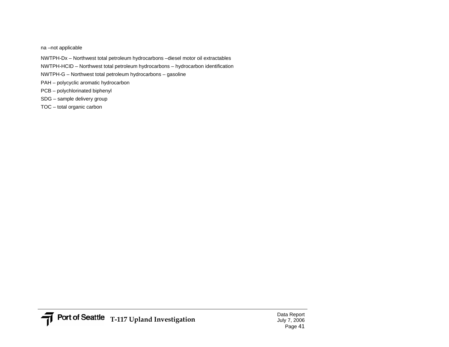na –n ot applicable

NW TPH-Dx – Northwest total petroleum hydrocarbons –diesel motor oil extractables

NW TPH-HCID – Northwest total petroleum hydrocarbons – hydrocarbon identification

NW TPH-G – Northwest total petroleum hydrocarbons – gasoline

PAH – pol ycyclic aromatic hydrocarbon

PC B – polychlorinated biphenyl

SDG – sample delivery group

T OC – total organic carbon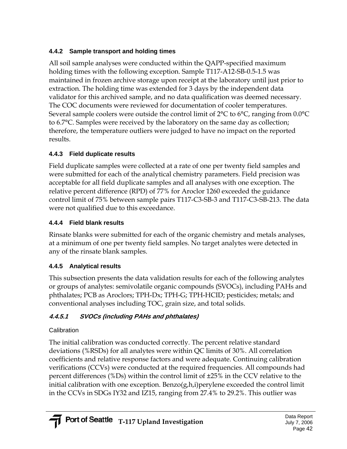### <span id="page-49-0"></span>**4.4.2 Sample transport and holding times**

All soil sample analyses were conducted within the QAPP-specified maximum holding times with the following exception. Sample T117-A12-SB-0.5-1.5 was maintained in frozen archive storage upon receipt at the laboratory until just prior to extraction. The holding time was extended for 3 days by the independent data validator for this archived sample, and no data qualification was deemed necessary. The COC documents were reviewed for documentation of cooler temperatures. Several sample coolers were outside the control limit of 2°C to 6°C, ranging from 0.0°C to 6.7°C. Samples were received by the laboratory on the same day as collection; therefore, the temperature outliers were judged to have no impact on the reported results.

### **4.4.3 Field duplicate results**

Field duplicate samples were collected at a rate of one per twenty field samples and were submitted for each of the analytical chemistry parameters. Field precision was acceptable for all field duplicate samples and all analyses with one exception. The relative percent difference (RPD) of 77% for Aroclor 1260 exceeded the guidance control limit of 75% between sample pairs T117-C3-SB-3 and T117-C3-SB-213. The data were not qualified due to this exceedance.

### **4.4.4 Field blank results**

Rinsate blanks were submitted for each of the organic chemistry and metals analyses, at a minimum of one per twenty field samples. No target analytes were detected in any of the rinsate blank samples.

### **4.4.5 Analytical results**

This subsection presents the data validation results for each of the following analytes or groups of analytes: semivolatile organic compounds (SVOCs), including PAHs and phthalates; PCB as Aroclors; TPH-Dx; TPH-G; TPH-HCID; pesticides; metals; and conventional analyses including TOC, grain size, and total solids.

### **4.4.5.1 SVOCs (including PAHs and phthalates)**

### **Calibration**

The initial calibration was conducted correctly. The percent relative standard deviations (%RSDs) for all analytes were within QC limits of 30%. All correlation coefficients and relative response factors and were adequate. Continuing calibration verifications (CCVs) were conducted at the required frequencies. All compounds had percent differences (%Ds) within the control limit of ±25% in the CCV relative to the initial calibration with one exception. Benzo(g,h,i)perylene exceeded the control limit in the CCVs in SDGs IY32 and IZ15, ranging from 27.4% to 29.2%. This outlier was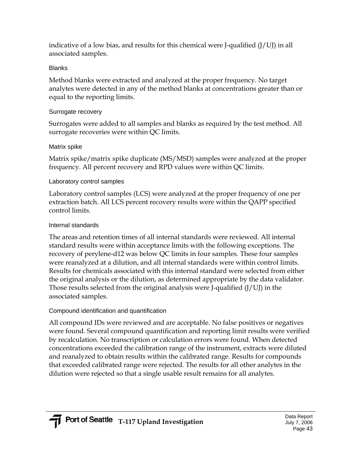indicative of a low bias, and results for this chemical were J-qualified  $(J/U)$  in all associated samples.

#### Blanks

Method blanks were extracted and analyzed at the proper frequency. No target analytes were detected in any of the method blanks at concentrations greater than or equal to the reporting limits.

#### Surrogate recovery

Surrogates were added to all samples and blanks as required by the test method. All surrogate recoveries were within QC limits.

#### Matrix spike

Matrix spike/matrix spike duplicate (MS/MSD) samples were analyzed at the proper frequency. All percent recovery and RPD values were within QC limits.

#### Laboratory control samples

Laboratory control samples (LCS) were analyzed at the proper frequency of one per extraction batch. All LCS percent recovery results were within the QAPP specified control limits.

#### Internal standards

The areas and retention times of all internal standards were reviewed. All internal standard results were within acceptance limits with the following exceptions. The recovery of perylene-d12 was below QC limits in four samples. These four samples were reanalyzed at a dilution, and all internal standards were within control limits. Results for chemicals associated with this internal standard were selected from either the original analysis or the dilution, as determined appropriate by the data validator. Those results selected from the original analysis were J-qualified (J/UJ) in the associated samples.

#### Compound identification and quantification

All compound IDs were reviewed and are acceptable. No false positives or negatives were found. Several compound quantification and reporting limit results were verified by recalculation. No transcription or calculation errors were found. When detected concentrations exceeded the calibration range of the instrument, extracts were diluted and reanalyzed to obtain results within the calibrated range. Results for compounds that exceeded calibrated range were rejected. The results for all other analytes in the dilution were rejected so that a single usable result remains for all analytes.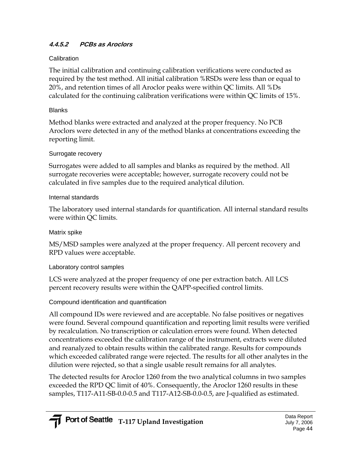### **4.4.5.2 PCBs as Aroclors**

#### **Calibration**

The initial calibration and continuing calibration verifications were conducted as required by the test method. All initial calibration %RSDs were less than or equal to 20%, and retention times of all Aroclor peaks were within QC limits. All %Ds calculated for the continuing calibration verifications were within QC limits of 15%.

#### Blanks

Method blanks were extracted and analyzed at the proper frequency. No PCB Aroclors were detected in any of the method blanks at concentrations exceeding the reporting limit.

#### Surrogate recovery

Surrogates were added to all samples and blanks as required by the method. All surrogate recoveries were acceptable; however, surrogate recovery could not be calculated in five samples due to the required analytical dilution.

#### Internal standards

The laboratory used internal standards for quantification. All internal standard results were within QC limits.

#### Matrix spike

MS/MSD samples were analyzed at the proper frequency. All percent recovery and RPD values were acceptable.

#### Laboratory control samples

LCS were analyzed at the proper frequency of one per extraction batch. All LCS percent recovery results were within the QAPP-specified control limits.

#### Compound identification and quantification

All compound IDs were reviewed and are acceptable. No false positives or negatives were found. Several compound quantification and reporting limit results were verified by recalculation. No transcription or calculation errors were found. When detected concentrations exceeded the calibration range of the instrument, extracts were diluted and reanalyzed to obtain results within the calibrated range. Results for compounds which exceeded calibrated range were rejected. The results for all other analytes in the dilution were rejected, so that a single usable result remains for all analytes.

The detected results for Aroclor 1260 from the two analytical columns in two samples exceeded the RPD QC limit of 40%. Consequently, the Aroclor 1260 results in these samples, T117-A11-SB-0.0-0.5 and T117-A12-SB-0.0-0.5, are J-qualified as estimated.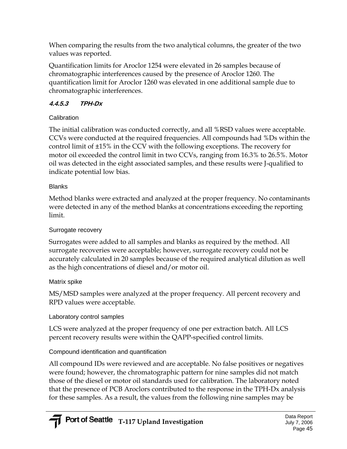When comparing the results from the two analytical columns, the greater of the two values was reported.

Quantification limits for Aroclor 1254 were elevated in 26 samples because of chromatographic interferences caused by the presence of Aroclor 1260. The quantification limit for Aroclor 1260 was elevated in one additional sample due to chromatographic interferences.

### **4.4.5.3 TPH-Dx**

### **Calibration**

The initial calibration was conducted correctly, and all %RSD values were acceptable. CCVs were conducted at the required frequencies. All compounds had %Ds within the control limit of ±15% in the CCV with the following exceptions. The recovery for motor oil exceeded the control limit in two CCVs, ranging from 16.3% to 26.5%. Motor oil was detected in the eight associated samples, and these results were J-qualified to indicate potential low bias.

### Blanks

Method blanks were extracted and analyzed at the proper frequency. No contaminants were detected in any of the method blanks at concentrations exceeding the reporting limit.

#### Surrogate recovery

Surrogates were added to all samples and blanks as required by the method. All surrogate recoveries were acceptable; however, surrogate recovery could not be accurately calculated in 20 samples because of the required analytical dilution as well as the high concentrations of diesel and/or motor oil.

### Matrix spike

MS/MSD samples were analyzed at the proper frequency. All percent recovery and RPD values were acceptable.

#### Laboratory control samples

LCS were analyzed at the proper frequency of one per extraction batch. All LCS percent recovery results were within the QAPP-specified control limits.

### Compound identification and quantification

All compound IDs were reviewed and are acceptable. No false positives or negatives were found; however, the chromatographic pattern for nine samples did not match those of the diesel or motor oil standards used for calibration. The laboratory noted that the presence of PCB Aroclors contributed to the response in the TPH-Dx analysis for these samples. As a result, the values from the following nine samples may be

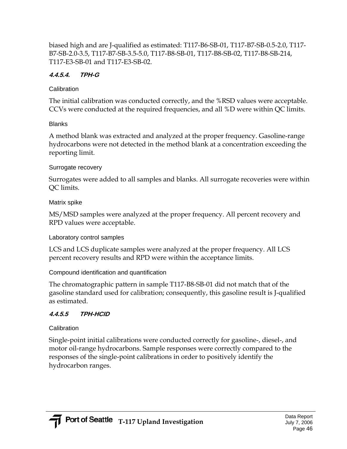biased high and are J-qualified as estimated: T117-B6-SB-01, T117-B7-SB-0.5-2.0, T117- B7-SB-2.0-3.5, T117-B7-SB-3.5-5.0, T117-B8-SB-01, T117-B8-SB-02, T117-B8-SB-214, T117-E3-SB-01 and T117-E3-SB-02.

#### **4.4.5.4. TPH-G**

### Calibration

The initial calibration was conducted correctly, and the %RSD values were acceptable. CCVs were conducted at the required frequencies, and all %D were within QC limits.

Blanks

A method blank was extracted and analyzed at the proper frequency. Gasoline-range hydrocarbons were not detected in the method blank at a concentration exceeding the reporting limit.

Surrogate recovery

Surrogates were added to all samples and blanks. All surrogate recoveries were within QC limits.

Matrix spike

MS/MSD samples were analyzed at the proper frequency. All percent recovery and RPD values were acceptable.

Laboratory control samples

LCS and LCS duplicate samples were analyzed at the proper frequency. All LCS percent recovery results and RPD were within the acceptance limits.

Compound identification and quantification

The chromatographic pattern in sample T117-B8-SB-01 did not match that of the gasoline standard used for calibration; consequently, this gasoline result is J-qualified as estimated.

# **4.4.5.5 TPH-HCID**

**Calibration** 

Single-point initial calibrations were conducted correctly for gasoline-, diesel-, and motor oil-range hydrocarbons. Sample responses were correctly compared to the responses of the single-point calibrations in order to positively identify the hydrocarbon ranges.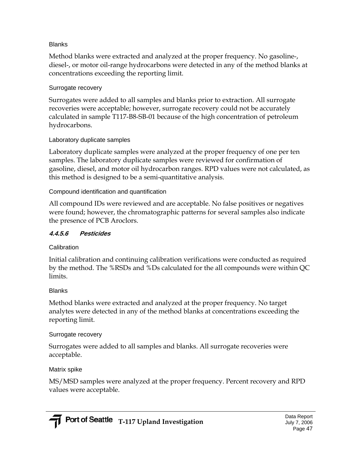#### Blanks

Method blanks were extracted and analyzed at the proper frequency. No gasoline-, diesel-, or motor oil-range hydrocarbons were detected in any of the method blanks at concentrations exceeding the reporting limit.

#### Surrogate recovery

Surrogates were added to all samples and blanks prior to extraction. All surrogate recoveries were acceptable; however, surrogate recovery could not be accurately calculated in sample T117-B8-SB-01 because of the high concentration of petroleum hydrocarbons.

#### Laboratory duplicate samples

Laboratory duplicate samples were analyzed at the proper frequency of one per ten samples. The laboratory duplicate samples were reviewed for confirmation of gasoline, diesel, and motor oil hydrocarbon ranges. RPD values were not calculated, as this method is designed to be a semi-quantitative analysis.

#### Compound identification and quantification

All compound IDs were reviewed and are acceptable. No false positives or negatives were found; however, the chromatographic patterns for several samples also indicate the presence of PCB Aroclors.

#### **4.4.5.6 Pesticides**

#### **Calibration**

Initial calibration and continuing calibration verifications were conducted as required by the method. The %RSDs and %Ds calculated for the all compounds were within QC limits.

#### Blanks

Method blanks were extracted and analyzed at the proper frequency. No target analytes were detected in any of the method blanks at concentrations exceeding the reporting limit.

#### Surrogate recovery

Surrogates were added to all samples and blanks. All surrogate recoveries were acceptable.

#### Matrix spike

MS/MSD samples were analyzed at the proper frequency. Percent recovery and RPD values were acceptable.

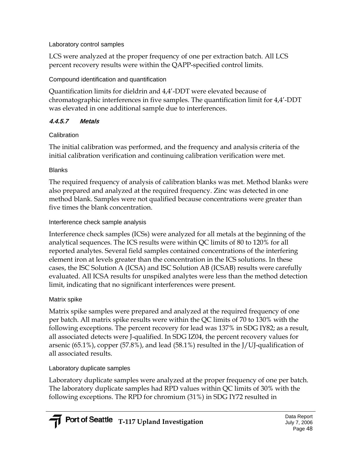#### Laboratory control samples

LCS were analyzed at the proper frequency of one per extraction batch. All LCS percent recovery results were within the QAPP-specified control limits.

### Compound identification and quantification

Quantification limits for dieldrin and 4,4'-DDT were elevated because of chromatographic interferences in five samples. The quantification limit for 4,4'-DDT was elevated in one additional sample due to interferences.

### **4.4.5.7 Metals**

### **Calibration**

The initial calibration was performed, and the frequency and analysis criteria of the initial calibration verification and continuing calibration verification were met.

### Blanks

The required frequency of analysis of calibration blanks was met. Method blanks were also prepared and analyzed at the required frequency. Zinc was detected in one method blank. Samples were not qualified because concentrations were greater than five times the blank concentration.

#### Interference check sample analysis

Interference check samples (ICSs) were analyzed for all metals at the beginning of the analytical sequences. The ICS results were within QC limits of 80 to 120% for all reported analytes. Several field samples contained concentrations of the interfering element iron at levels greater than the concentration in the ICS solutions. In these cases, the ISC Solution A (ICSA) and ISC Solution AB (ICSAB) results were carefully evaluated. All ICSA results for unspiked analytes were less than the method detection limit, indicating that no significant interferences were present.

### Matrix spike

Matrix spike samples were prepared and analyzed at the required frequency of one per batch. All matrix spike results were within the QC limits of 70 to 130% with the following exceptions. The percent recovery for lead was 137% in SDG IY82; as a result, all associated detects were J-qualified. In SDG IZ04, the percent recovery values for arsenic (65.1%), copper (57.8%), and lead (58.1%) resulted in the J/UJ-qualification of all associated results.

### Laboratory duplicate samples

Laboratory duplicate samples were analyzed at the proper frequency of one per batch. The laboratory duplicate samples had RPD values within QC limits of 30% with the following exceptions. The RPD for chromium (31%) in SDG IY72 resulted in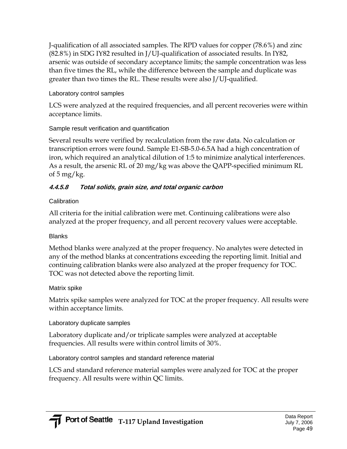J-qualification of all associated samples. The RPD values for copper (78.6%) and zinc (82.8%) in SDG IY82 resulted in J/UJ-qualification of associated results. In IY82, arsenic was outside of secondary acceptance limits; the sample concentration was less than five times the RL, while the difference between the sample and duplicate was greater than two times the RL. These results were also J/UJ-qualified.

### Laboratory control samples

LCS were analyzed at the required frequencies, and all percent recoveries were within acceptance limits.

Sample result verification and quantification

Several results were verified by recalculation from the raw data. No calculation or transcription errors were found. Sample E1-SB-5.0-6.5A had a high concentration of iron, which required an analytical dilution of 1:5 to minimize analytical interferences. As a result, the arsenic RL of 20 mg/kg was above the QAPP-specified minimum RL of 5 mg/kg.

# **4.4.5.8 Total solids, grain size, and total organic carbon**

**Calibration** 

All criteria for the initial calibration were met. Continuing calibrations were also analyzed at the proper frequency, and all percent recovery values were acceptable.

Blanks

Method blanks were analyzed at the proper frequency. No analytes were detected in any of the method blanks at concentrations exceeding the reporting limit. Initial and continuing calibration blanks were also analyzed at the proper frequency for TOC. TOC was not detected above the reporting limit.

### Matrix spike

Matrix spike samples were analyzed for TOC at the proper frequency. All results were within acceptance limits.

### Laboratory duplicate samples

Laboratory duplicate and/or triplicate samples were analyzed at acceptable frequencies. All results were within control limits of 30%.

Laboratory control samples and standard reference material

LCS and standard reference material samples were analyzed for TOC at the proper frequency. All results were within QC limits.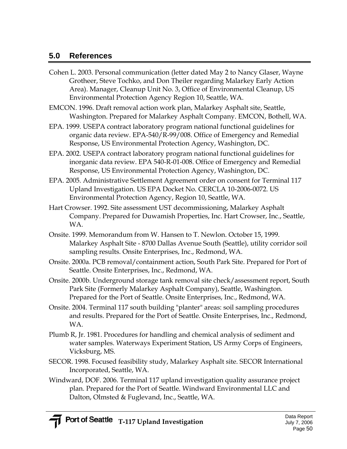## <span id="page-57-0"></span>**5.0 References**

- Cohen L. 2003. Personal communication (letter dated May 2 to Nancy Glaser, Wayne Grotheer, Steve Tochko, and Don Theiler regarding Malarkey Early Action Area). Manager, Cleanup Unit No. 3, Office of Environmental Cleanup, US Environmental Protection Agency Region 10, Seattle, WA.
- EMCON. 1996. Draft removal action work plan, Malarkey Asphalt site, Seattle, Washington. Prepared for Malarkey Asphalt Company. EMCON, Bothell, WA.
- EPA. 1999. USEPA contract laboratory program national functional guidelines for organic data review. EPA-540/R-99/008. Office of Emergency and Remedial Response, US Environmental Protection Agency, Washington, DC.
- EPA. 2002. USEPA contract laboratory program national functional guidelines for inorganic data review. EPA 540-R-01-008. Office of Emergency and Remedial Response, US Environmental Protection Agency, Washington, DC.
- EPA. 2005. Administrative Settlement Agreement order on consent for Terminal 117 Upland Investigation. US EPA Docket No. CERCLA 10-2006-0072. US Environmental Protection Agency, Region 10, Seattle, WA.
- Hart Crowser. 1992. Site assessment UST decommissioning, Malarkey Asphalt Company. Prepared for Duwamish Properties, Inc. Hart Crowser, Inc., Seattle, WA.
- Onsite. 1999. Memorandum from W. Hansen to T. Newlon. October 15, 1999. Malarkey Asphalt Site - 8700 Dallas Avenue South (Seattle), utility corridor soil sampling results. Onsite Enterprises, Inc., Redmond, WA.
- Onsite. 2000a. PCB removal/containment action, South Park Site. Prepared for Port of Seattle. Onsite Enterprises, Inc., Redmond, WA.
- Onsite. 2000b. Underground storage tank removal site check/assessment report, South Park Site (Formerly Malarkey Asphalt Company), Seattle, Washington. Prepared for the Port of Seattle. Onsite Enterprises, Inc., Redmond, WA.
- Onsite. 2004. Terminal 117 south building "planter" areas: soil sampling procedures and results. Prepared for the Port of Seattle. Onsite Enterprises, Inc., Redmond, WA.
- Plumb R, Jr. 1981. Procedures for handling and chemical analysis of sediment and water samples. Waterways Experiment Station, US Army Corps of Engineers, Vicksburg, MS.
- SECOR. 1998. Focused feasibility study, Malarkey Asphalt site. SECOR International Incorporated, Seattle, WA.
- Windward, DOF. 2006. Terminal 117 upland investigation quality assurance project plan. Prepared for the Port of Seattle. Windward Environmental LLC and Dalton, Olmsted & Fuglevand, Inc., Seattle, WA.